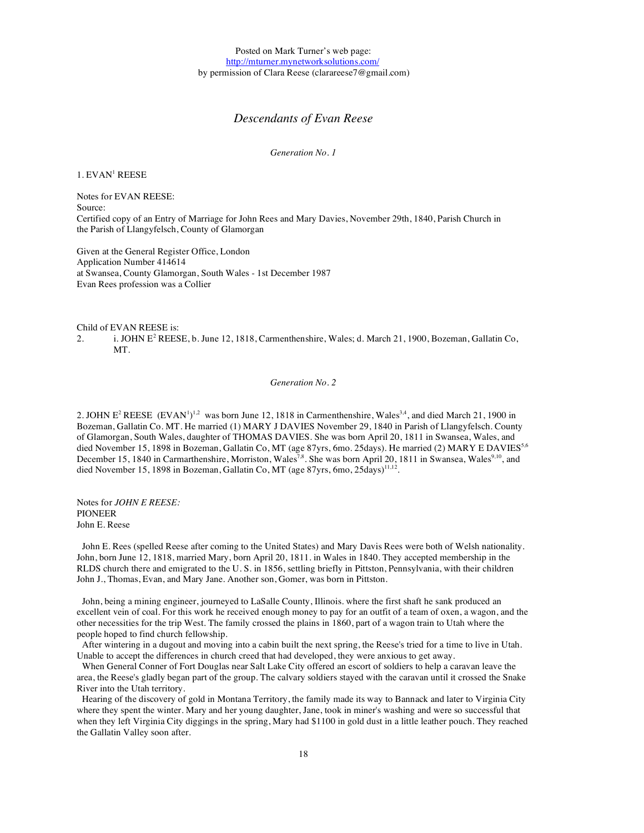Posted on Mark Turner's web page: http://mturner.mynetworksolutions.com/ by permission of Clara Reese (clarareese7@gmail.com)

# *Descendants of Evan Reese*

*Generation No. 1*

1. EVAN<sup>1</sup> REESE

Notes for EVAN REESE: Source: Certified copy of an Entry of Marriage for John Rees and Mary Davies, November 29th, 1840, Parish Church in the Parish of Llangyfelsch, County of Glamorgan

Given at the General Register Office, London Application Number 414614 at Swansea, County Glamorgan, South Wales - 1st December 1987 Evan Rees profession was a Collier

Child of EVAN REESE is:

2. i. JOHN E<sup>2</sup> REESE, b. June 12, 1818, Carmenthenshire, Wales; d. March 21, 1900, Bozeman, Gallatin Co, MT.

*Generation No. 2*

2. JOHN E<sup>2</sup> REESE  $(EVAN)^{1,2}$  was born June 12, 1818 in Carmenthenshire, Wales<sup>3,4</sup>, and died March 21, 1900 in Bozeman, Gallatin Co. MT. He married (1) MARY J DAVIES November 29, 1840 in Parish of Llangyfelsch. County of Glamorgan, South Wales, daughter of THOMAS DAVIES. She was born April 20, 1811 in Swansea, Wales, and died November 15, 1898 in Bozeman, Gallatin Co, MT (age 87yrs, 6mo. 25days). He married (2) MARY E DAVIES<sup>5,6</sup> December 15, 1840 in Carmarthenshire, Morriston, Wales<sup>7,8</sup>. She was born April 20, 1811 in Swansea, Wales<sup>9,10</sup>, and died November 15, 1898 in Bozeman, Gallatin Co, MT (age 87yrs, 6mo, 25days)<sup>11,12</sup>.

Notes for *JOHN E REESE:* PIONEER John E. Reese

John E. Rees (spelled Reese after coming to the United States) and Mary Davis Rees were both of Welsh nationality. John, born June 12, 1818, married Mary, born April 20, 1811. in Wales in 1840. They accepted membership in the RLDS church there and emigrated to the U. S. in 1856, settling briefly in Pittston, Pennsylvania, with their children John J., Thomas, Evan, and Mary Jane. Another son, Gomer, was born in Pittston.

John, being a mining engineer, journeyed to LaSalle County, Illinois. where the first shaft he sank produced an excellent vein of coal. For this work he received enough money to pay for an outfit of a team of oxen, a wagon, and the other necessities for the trip West. The family crossed the plains in 1860, part of a wagon train to Utah where the people hoped to find church fellowship.

After wintering in a dugout and moving into a cabin built the next spring, the Reese's tried for a time to live in Utah. Unable to accept the differences in church creed that had developed, they were anxious to get away.

When General Conner of Fort Douglas near Salt Lake City offered an escort of soldiers to help a caravan leave the area, the Reese's gladly began part of the group. The calvary soldiers stayed with the caravan until it crossed the Snake River into the Utah territory.

Hearing of the discovery of gold in Montana Territory, the family made its way to Bannack and later to Virginia City where they spent the winter. Mary and her young daughter, Jane, took in miner's washing and were so successful that when they left Virginia City diggings in the spring, Mary had \$1100 in gold dust in a little leather pouch. They reached the Gallatin Valley soon after.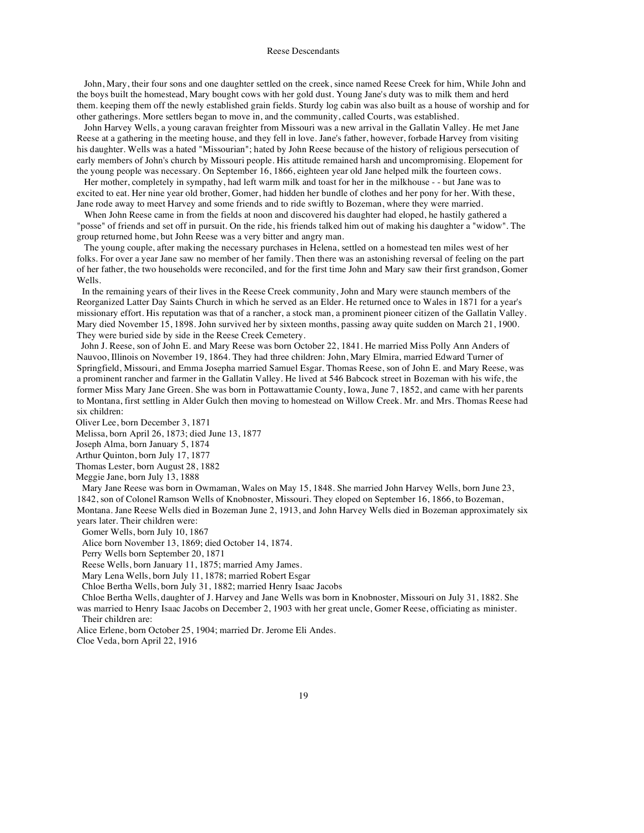John, Mary, their four sons and one daughter settled on the creek, since named Reese Creek for him, While John and the boys built the homestead, Mary bought cows with her gold dust. Young Jane's duty was to milk them and herd them. keeping them off the newly established grain fields. Sturdy log cabin was also built as a house of worship and for other gatherings. More settlers began to move in, and the community, called Courts, was established.

John Harvey Wells, a young caravan freighter from Missouri was a new arrival in the Gallatin Valley. He met Jane Reese at a gathering in the meeting house, and they fell in love. Jane's father, however, forbade Harvey from visiting his daughter. Wells was a hated "Missourian"; hated by John Reese because of the history of religious persecution of early members of John's church by Missouri people. His attitude remained harsh and uncompromising. Elopement for the young people was necessary. On September 16, 1866, eighteen year old Jane helped milk the fourteen cows.

Her mother, completely in sympathy, had left warm milk and toast for her in the milkhouse - - but Jane was to excited to eat. Her nine year old brother, Gomer, had hidden her bundle of clothes and her pony for her. With these, Jane rode away to meet Harvey and some friends and to ride swiftly to Bozeman, where they were married.

When John Reese came in from the fields at noon and discovered his daughter had eloped, he hastily gathered a "posse" of friends and set off in pursuit. On the ride, his friends talked him out of making his daughter a "widow". The group returned home, but John Reese was a very bitter and angry man.

The young couple, after making the necessary purchases in Helena, settled on a homestead ten miles west of her folks. For over a year Jane saw no member of her family. Then there was an astonishing reversal of feeling on the part of her father, the two households were reconciled, and for the first time John and Mary saw their first grandson, Gomer Wells.

In the remaining years of their lives in the Reese Creek community, John and Mary were staunch members of the Reorganized Latter Day Saints Church in which he served as an Elder. He returned once to Wales in 1871 for a year's missionary effort. His reputation was that of a rancher, a stock man, a prominent pioneer citizen of the Gallatin Valley. Mary died November 15, 1898. John survived her by sixteen months, passing away quite sudden on March 21, 1900. They were buried side by side in the Reese Creek Cemetery.

John J. Reese, son of John E. and Mary Reese was born October 22, 1841. He married Miss Polly Ann Anders of Nauvoo, Illinois on November 19, 1864. They had three children: John, Mary Elmira, married Edward Turner of Springfield, Missouri, and Emma Josepha married Samuel Esgar. Thomas Reese, son of John E. and Mary Reese, was a prominent rancher and farmer in the Gallatin Valley. He lived at 546 Babcock street in Bozeman with his wife, the former Miss Mary Jane Green. She was born in Pottawattamie County, Iowa, June 7, 1852, and came with her parents to Montana, first settling in Alder Gulch then moving to homestead on Willow Creek. Mr. and Mrs. Thomas Reese had six children:

Oliver Lee, born December 3, 1871

Melissa, born April 26, 1873; died June 13, 1877

Joseph Alma, born January 5, 1874

Arthur Quinton, born July 17, 1877

Thomas Lester, born August 28, 1882

Meggie Jane, born July 13, 1888

Mary Jane Reese was born in Owmaman, Wales on May 15, 1848. She married John Harvey Wells, born June 23, 1842, son of Colonel Ramson Wells of Knobnoster, Missouri. They eloped on September 16, 1866, to Bozeman, Montana. Jane Reese Wells died in Bozeman June 2, 1913, and John Harvey Wells died in Bozeman approximately six years later. Their children were:

Gomer Wells, born July 10, 1867

Alice born November 13, 1869; died October 14, 1874.

Perry Wells born September 20, 1871

Reese Wells, born January 11, 1875; married Amy James.

Mary Lena Wells, born July 11, 1878; married Robert Esgar

Chloe Bertha Wells, born July 31, 1882; married Henry Isaac Jacobs

Chloe Bertha Wells, daughter of J. Harvey and Jane Wells was born in Knobnoster, Missouri on July 31, 1882. She was married to Henry Isaac Jacobs on December 2, 1903 with her great uncle, Gomer Reese, officiating as minister. Their children are:

Alice Erlene, born October 25, 1904; married Dr. Jerome Eli Andes.

Cloe Veda, born April 22, 1916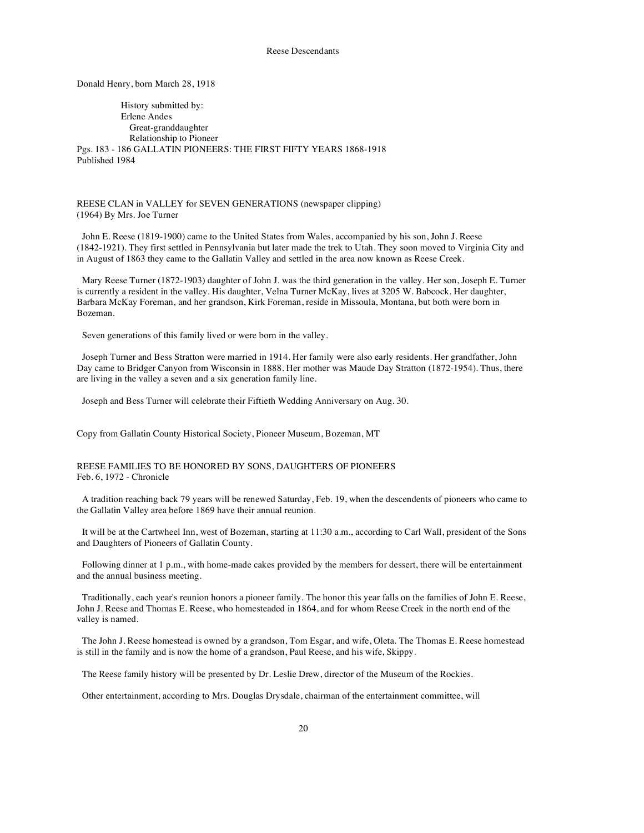Donald Henry, born March 28, 1918

History submitted by: Erlene Andes Great-granddaughter Relationship to Pioneer Pgs. 183 - 186 GALLATIN PIONEERS: THE FIRST FIFTY YEARS 1868-1918 Published 1984

REESE CLAN in VALLEY for SEVEN GENERATIONS (newspaper clipping) (1964) By Mrs. Joe Turner

John E. Reese (1819-1900) came to the United States from Wales, accompanied by his son, John J. Reese (1842-1921). They first settled in Pennsylvania but later made the trek to Utah. They soon moved to Virginia City and in August of 1863 they came to the Gallatin Valley and settled in the area now known as Reese Creek.

Mary Reese Turner (1872-1903) daughter of John J. was the third generation in the valley. Her son, Joseph E. Turner is currently a resident in the valley. His daughter, Velna Turner McKay, lives at 3205 W. Babcock. Her daughter, Barbara McKay Foreman, and her grandson, Kirk Foreman, reside in Missoula, Montana, but both were born in Bozeman.

Seven generations of this family lived or were born in the valley.

Joseph Turner and Bess Stratton were married in 1914. Her family were also early residents. Her grandfather, John Day came to Bridger Canyon from Wisconsin in 1888. Her mother was Maude Day Stratton (1872-1954). Thus, there are living in the valley a seven and a six generation family line.

Joseph and Bess Turner will celebrate their Fiftieth Wedding Anniversary on Aug. 30.

Copy from Gallatin County Historical Society, Pioneer Museum, Bozeman, MT

## REESE FAMILIES TO BE HONORED BY SONS, DAUGHTERS OF PIONEERS Feb. 6, 1972 - Chronicle

A tradition reaching back 79 years will be renewed Saturday, Feb. 19, when the descendents of pioneers who came to the Gallatin Valley area before 1869 have their annual reunion.

It will be at the Cartwheel Inn, west of Bozeman, starting at 11:30 a.m., according to Carl Wall, president of the Sons and Daughters of Pioneers of Gallatin County.

Following dinner at 1 p.m., with home-made cakes provided by the members for dessert, there will be entertainment and the annual business meeting.

Traditionally, each year's reunion honors a pioneer family. The honor this year falls on the families of John E. Reese, John J. Reese and Thomas E. Reese, who homesteaded in 1864, and for whom Reese Creek in the north end of the valley is named.

The John J. Reese homestead is owned by a grandson, Tom Esgar, and wife, Oleta. The Thomas E. Reese homestead is still in the family and is now the home of a grandson, Paul Reese, and his wife, Skippy.

The Reese family history will be presented by Dr. Leslie Drew, director of the Museum of the Rockies.

Other entertainment, according to Mrs. Douglas Drysdale, chairman of the entertainment committee, will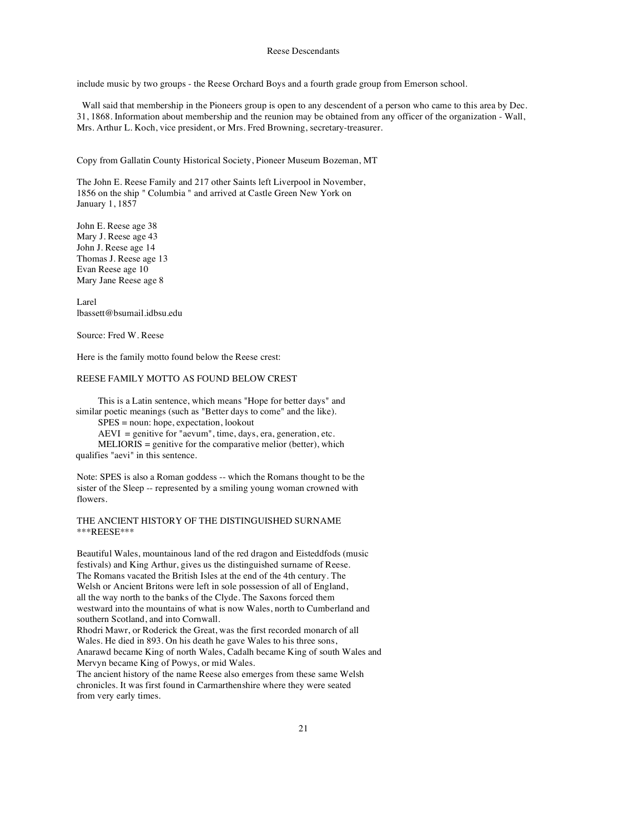include music by two groups - the Reese Orchard Boys and a fourth grade group from Emerson school.

Wall said that membership in the Pioneers group is open to any descendent of a person who came to this area by Dec. 31, 1868. Information about membership and the reunion may be obtained from any officer of the organization - Wall, Mrs. Arthur L. Koch, vice president, or Mrs. Fred Browning, secretary-treasurer.

Copy from Gallatin County Historical Society, Pioneer Museum Bozeman, MT

The John E. Reese Family and 217 other Saints left Liverpool in November, 1856 on the ship " Columbia " and arrived at Castle Green New York on January 1, 1857

John E. Reese age 38 Mary J. Reese age 43 John J. Reese age 14 Thomas J. Reese age 13 Evan Reese age 10 Mary Jane Reese age 8

Larel lbassett@bsumail.idbsu.edu

Source: Fred W. Reese

Here is the family motto found below the Reese crest:

# REESE FAMILY MOTTO AS FOUND BELOW CREST

This is a Latin sentence, which means "Hope for better days" and similar poetic meanings (such as "Better days to come" and the like). SPES = noun: hope, expectation, lookout

AEVI = genitive for "aevum", time, days, era, generation, etc.  $MELIORIS =$  genitive for the comparative melior (better), which qualifies "aevi" in this sentence.

Note: SPES is also a Roman goddess -- which the Romans thought to be the sister of the Sleep -- represented by a smiling young woman crowned with flowers.

THE ANCIENT HISTORY OF THE DISTINGUISHED SURNAME \*\*\*REESE\*\*\*

Beautiful Wales, mountainous land of the red dragon and Eisteddfods (music festivals) and King Arthur, gives us the distinguished surname of Reese. The Romans vacated the British Isles at the end of the 4th century. The Welsh or Ancient Britons were left in sole possession of all of England, all the way north to the banks of the Clyde. The Saxons forced them westward into the mountains of what is now Wales, north to Cumberland and southern Scotland, and into Cornwall.

Rhodri Mawr, or Roderick the Great, was the first recorded monarch of all Wales. He died in 893. On his death he gave Wales to his three sons, Anarawd became King of north Wales, Cadalh became King of south Wales and Mervyn became King of Powys, or mid Wales.

The ancient history of the name Reese also emerges from these same Welsh chronicles. It was first found in Carmarthenshire where they were seated from very early times.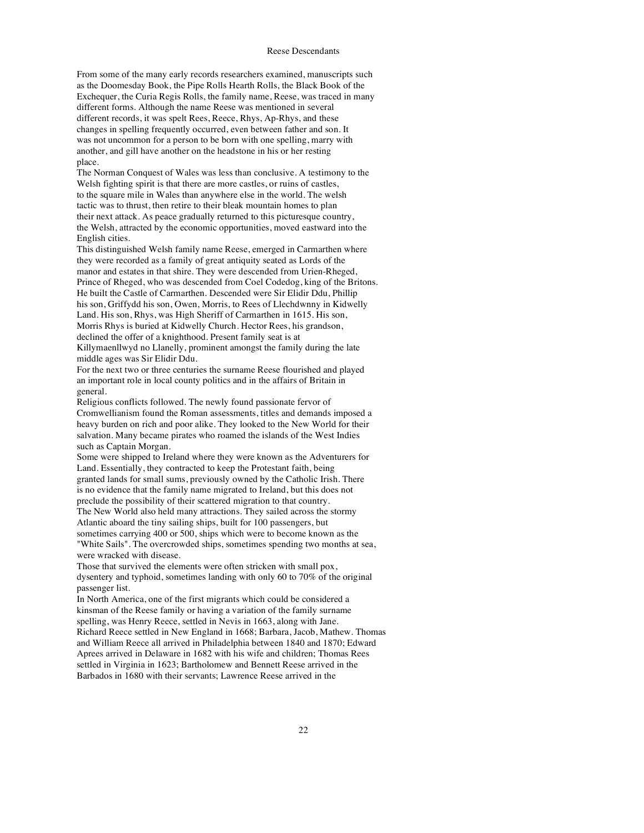From some of the many early records researchers examined, manuscripts such as the Doomesday Book, the Pipe Rolls Hearth Rolls, the Black Book of the Exchequer, the Curia Regis Rolls, the family name, Reese, was traced in many different forms. Although the name Reese was mentioned in several different records, it was spelt Rees, Reece, Rhys, Ap-Rhys, and these changes in spelling frequently occurred, even between father and son. It was not uncommon for a person to be born with one spelling, marry with another, and gill have another on the headstone in his or her resting place.

The Norman Conquest of Wales was less than conclusive. A testimony to the Welsh fighting spirit is that there are more castles, or ruins of castles, to the square mile in Wales than anywhere else in the world. The welsh tactic was to thrust, then retire to their bleak mountain homes to plan their next attack. As peace gradually returned to this picturesque country, the Welsh, attracted by the economic opportunities, moved eastward into the English cities.

This distinguished Welsh family name Reese, emerged in Carmarthen where they were recorded as a family of great antiquity seated as Lords of the manor and estates in that shire. They were descended from Urien-Rheged, Prince of Rheged, who was descended from Coel Codedog, king of the Britons. He built the Castle of Carmarthen. Descended were Sir Elidir Ddu, Phillip his son, Griffydd his son, Owen, Morris, to Rees of Llechdwnny in Kidwelly Land. His son, Rhys, was High Sheriff of Carmarthen in 1615. His son, Morris Rhys is buried at Kidwelly Church. Hector Rees, his grandson, declined the offer of a knighthood. Present family seat is at Killymaenllwyd no Llanelly, prominent amongst the family during the late middle ages was Sir Elidir Ddu.

For the next two or three centuries the surname Reese flourished and played an important role in local county politics and in the affairs of Britain in general.

Religious conflicts followed. The newly found passionate fervor of Cromwellianism found the Roman assessments, titles and demands imposed a heavy burden on rich and poor alike. They looked to the New World for their salvation. Many became pirates who roamed the islands of the West Indies such as Captain Morgan.

Some were shipped to Ireland where they were known as the Adventurers for Land. Essentially, they contracted to keep the Protestant faith, being granted lands for small sums, previously owned by the Catholic Irish. There is no evidence that the family name migrated to Ireland, but this does not preclude the possibility of their scattered migration to that country.

The New World also held many attractions. They sailed across the stormy Atlantic aboard the tiny sailing ships, built for 100 passengers, but sometimes carrying 400 or 500, ships which were to become known as the

"White Sails". The overcrowded ships, sometimes spending two months at sea, were wracked with disease.

Those that survived the elements were often stricken with small pox, dysentery and typhoid, sometimes landing with only 60 to 70% of the original passenger list.

In North America, one of the first migrants which could be considered a kinsman of the Reese family or having a variation of the family surname spelling, was Henry Reece, settled in Nevis in 1663, along with Jane. Richard Reece settled in New England in 1668; Barbara, Jacob, Mathew. Thomas and William Reece all arrived in Philadelphia between 1840 and 1870; Edward Aprees arrived in Delaware in 1682 with his wife and children; Thomas Rees settled in Virginia in 1623; Bartholomew and Bennett Reese arrived in the Barbados in 1680 with their servants; Lawrence Reese arrived in the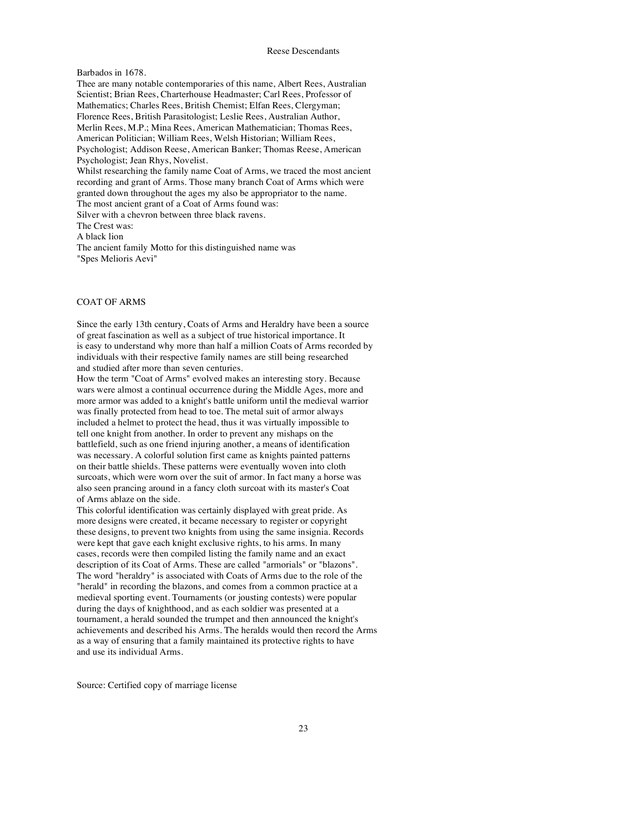#### Barbados in 1678.

Thee are many notable contemporaries of this name, Albert Rees, Australian Scientist; Brian Rees, Charterhouse Headmaster; Carl Rees, Professor of Mathematics; Charles Rees, British Chemist; Elfan Rees, Clergyman; Florence Rees, British Parasitologist; Leslie Rees, Australian Author, Merlin Rees, M.P.; Mina Rees, American Mathematician; Thomas Rees, American Politician; William Rees, Welsh Historian; William Rees, Psychologist; Addison Reese, American Banker; Thomas Reese, American Psychologist; Jean Rhys, Novelist. Whilst researching the family name Coat of Arms, we traced the most ancient recording and grant of Arms. Those many branch Coat of Arms which were granted down throughout the ages my also be appropriator to the name. The most ancient grant of a Coat of Arms found was: Silver with a chevron between three black ravens. The Crest was: A black lion The ancient family Motto for this distinguished name was "Spes Melioris Aevi"

#### COAT OF ARMS

Since the early 13th century, Coats of Arms and Heraldry have been a source of great fascination as well as a subject of true historical importance. It is easy to understand why more than half a million Coats of Arms recorded by individuals with their respective family names are still being researched and studied after more than seven centuries.

How the term "Coat of Arms" evolved makes an interesting story. Because wars were almost a continual occurrence during the Middle Ages, more and more armor was added to a knight's battle uniform until the medieval warrior was finally protected from head to toe. The metal suit of armor always included a helmet to protect the head, thus it was virtually impossible to tell one knight from another. In order to prevent any mishaps on the battlefield, such as one friend injuring another, a means of identification was necessary. A colorful solution first came as knights painted patterns on their battle shields. These patterns were eventually woven into cloth surcoats, which were worn over the suit of armor. In fact many a horse was also seen prancing around in a fancy cloth surcoat with its master's Coat of Arms ablaze on the side.

This colorful identification was certainly displayed with great pride. As more designs were created, it became necessary to register or copyright these designs, to prevent two knights from using the same insignia. Records were kept that gave each knight exclusive rights, to his arms. In many cases, records were then compiled listing the family name and an exact description of its Coat of Arms. These are called "armorials" or "blazons". The word "heraldry" is associated with Coats of Arms due to the role of the "herald" in recording the blazons, and comes from a common practice at a medieval sporting event. Tournaments (or jousting contests) were popular during the days of knighthood, and as each soldier was presented at a tournament, a herald sounded the trumpet and then announced the knight's achievements and described his Arms. The heralds would then record the Arms as a way of ensuring that a family maintained its protective rights to have and use its individual Arms.

Source: Certified copy of marriage license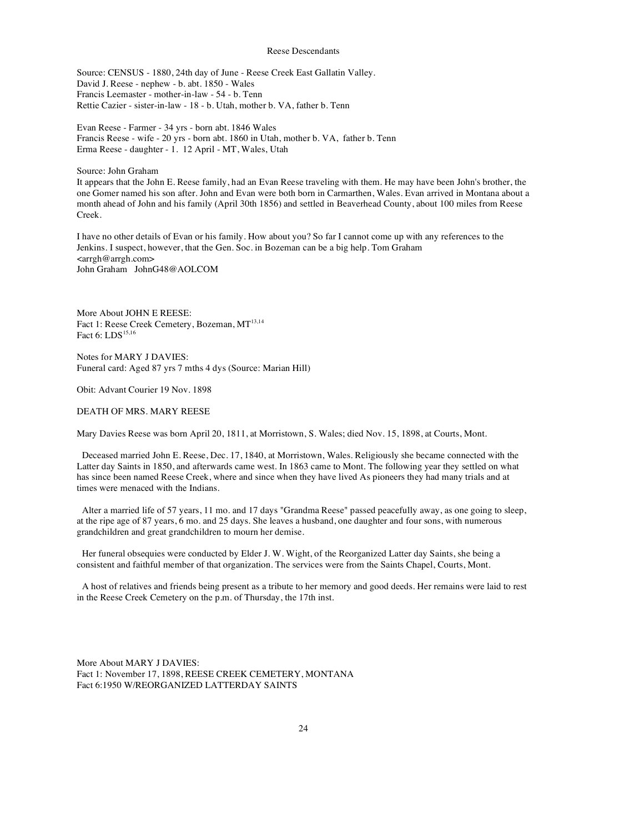Source: CENSUS - 1880, 24th day of June - Reese Creek East Gallatin Valley. David J. Reese - nephew - b. abt. 1850 - Wales Francis Leemaster - mother-in-law - 54 - b. Tenn Rettie Cazier - sister-in-law - 18 - b. Utah, mother b. VA, father b. Tenn

Evan Reese - Farmer - 34 yrs - born abt. 1846 Wales Francis Reese - wife - 20 yrs - born abt. 1860 in Utah, mother b. VA, father b. Tenn Erma Reese - daughter - 1. 12 April - MT, Wales, Utah

Source: John Graham

It appears that the John E. Reese family, had an Evan Reese traveling with them. He may have been John's brother, the one Gomer named his son after. John and Evan were both born in Carmarthen, Wales. Evan arrived in Montana about a month ahead of John and his family (April 30th 1856) and settled in Beaverhead County, about 100 miles from Reese Creek.

I have no other details of Evan or his family. How about you? So far I cannot come up with any references to the Jenkins. I suspect, however, that the Gen. Soc. in Bozeman can be a big help. Tom Graham <arrgh@arrgh.com> John Graham JohnG48@AOLCOM

More About JOHN E REESE: Fact 1: Reese Creek Cemetery, Bozeman, MT<sup>13,14</sup> Fact 6:  $\mathrm{LDS}^{15,16}$ 

Notes for MARY J DAVIES: Funeral card: Aged 87 yrs 7 mths 4 dys (Source: Marian Hill)

Obit: Advant Courier 19 Nov. 1898

DEATH OF MRS. MARY REESE

Mary Davies Reese was born April 20, 1811, at Morristown, S. Wales; died Nov. 15, 1898, at Courts, Mont.

Deceased married John E. Reese, Dec. 17, 1840, at Morristown, Wales. Religiously she became connected with the Latter day Saints in 1850, and afterwards came west. In 1863 came to Mont. The following year they settled on what has since been named Reese Creek, where and since when they have lived As pioneers they had many trials and at times were menaced with the Indians.

Alter a married life of 57 years, 11 mo. and 17 days "Grandma Reese" passed peacefully away, as one going to sleep, at the ripe age of 87 years, 6 mo. and 25 days. She leaves a husband, one daughter and four sons, with numerous grandchildren and great grandchildren to mourn her demise.

Her funeral obsequies were conducted by Elder J. W. Wight, of the Reorganized Latter day Saints, she being a consistent and faithful member of that organization. The services were from the Saints Chapel, Courts, Mont.

A host of relatives and friends being present as a tribute to her memory and good deeds. Her remains were laid to rest in the Reese Creek Cemetery on the p.m. of Thursday, the 17th inst.

More About MARY J DAVIES: Fact 1: November 17, 1898, REESE CREEK CEMETERY, MONTANA Fact 6:1950 W/REORGANIZED LATTERDAY SAINTS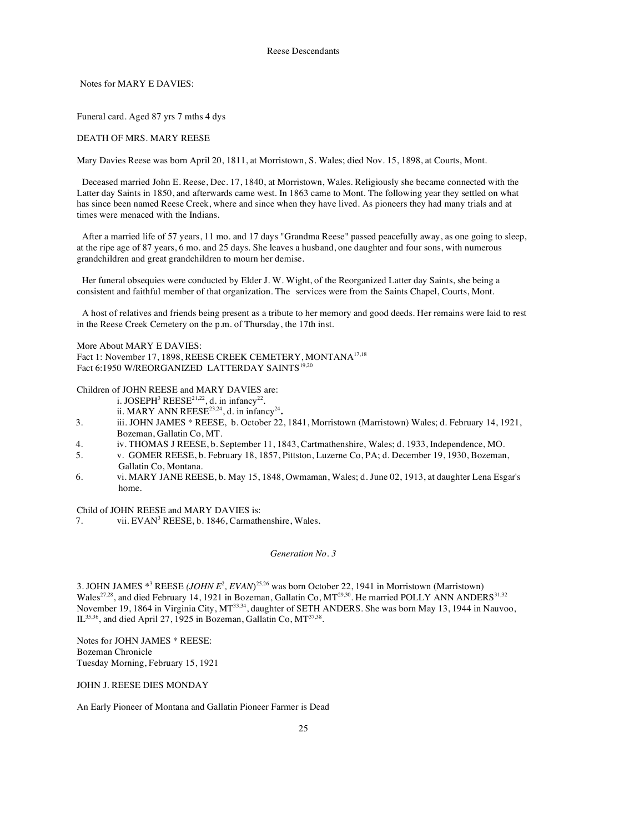Notes for MARY E DAVIES:

Funeral card. Aged 87 yrs 7 mths 4 dys

DEATH OF MRS. MARY REESE

Mary Davies Reese was born April 20, 1811, at Morristown, S. Wales; died Nov. 15, 1898, at Courts, Mont.

Deceased married John E. Reese, Dec. 17, 1840, at Morristown, Wales. Religiously she became connected with the Latter day Saints in 1850, and afterwards came west. In 1863 came to Mont. The following year they settled on what has since been named Reese Creek, where and since when they have lived. As pioneers they had many trials and at times were menaced with the Indians.

After a married life of 57 years, 11 mo. and 17 days "Grandma Reese" passed peacefully away, as one going to sleep, at the ripe age of 87 years, 6 mo. and 25 days. She leaves a husband, one daughter and four sons, with numerous grandchildren and great grandchildren to mourn her demise.

Her funeral obsequies were conducted by Elder J. W. Wight, of the Reorganized Latter day Saints, she being a consistent and faithful member of that organization. The services were from the Saints Chapel, Courts, Mont.

A host of relatives and friends being present as a tribute to her memory and good deeds. Her remains were laid to rest in the Reese Creek Cemetery on the p.m. of Thursday, the 17th inst.

More About MARY E DAVIES:

Fact 1: November 17, 1898, REESE CREEK CEMETERY, MONTANA17,18 Fact 6:1950 W/REORGANIZED LATTERDAY SAINTS<sup>19,20</sup>

Children of JOHN REESE and MARY DAVIES are:

- i. JOSEPH<sup>3</sup> REESE<sup>21,22</sup>, d. in infancy<sup>22</sup>.
- ii. MARY ANN REESE<sup>23,24</sup>, d. in infancy<sup>24</sup>.
- 3. iii. JOHN JAMES \* REESE, b. October 22, 1841, Morristown (Marristown) Wales; d. February 14, 1921, Bozeman, Gallatin Co, MT.
- 4. iv. THOMAS J REESE, b. September 11, 1843, Cartmathenshire, Wales; d. 1933, Independence, MO.
- 5. v. GOMER REESE, b. February 18, 1857, Pittston, Luzerne Co, PA; d. December 19, 1930, Bozeman, Gallatin Co, Montana.
- 6. vi. MARY JANE REESE, b. May 15, 1848, Owmaman, Wales; d. June 02, 1913, at daughter Lena Esgar's home.

Child of JOHN REESE and MARY DAVIES is:

7. vii. EVAN<sup>3</sup> REESE, b. 1846, Carmathenshire, Wales.

## *Generation No. 3*

3. JOHN JAMES \*<sup>3</sup> REESE *(JOHN E<sup>2</sup> , EVAN*) 25,26 was born October 22, 1941 in Morristown (Marristown) Wales<sup>27,28</sup>, and died February 14, 1921 in Bozeman, Gallatin Co,  $MT^{29,30}$ . He married POLLY ANN ANDERS<sup>31,32</sup> November 19, 1864 in Virginia City, MT<sup>33,34</sup>, daughter of SETH ANDERS. She was born May 13, 1944 in Nauvoo, IL  $35,36$ , and died April 27, 1925 in Bozeman, Gallatin Co, MT $37,38$ .

Notes for JOHN JAMES \* REESE: Bozeman Chronicle Tuesday Morning, February 15, 1921

# JOHN J. REESE DIES MONDAY

An Early Pioneer of Montana and Gallatin Pioneer Farmer is Dead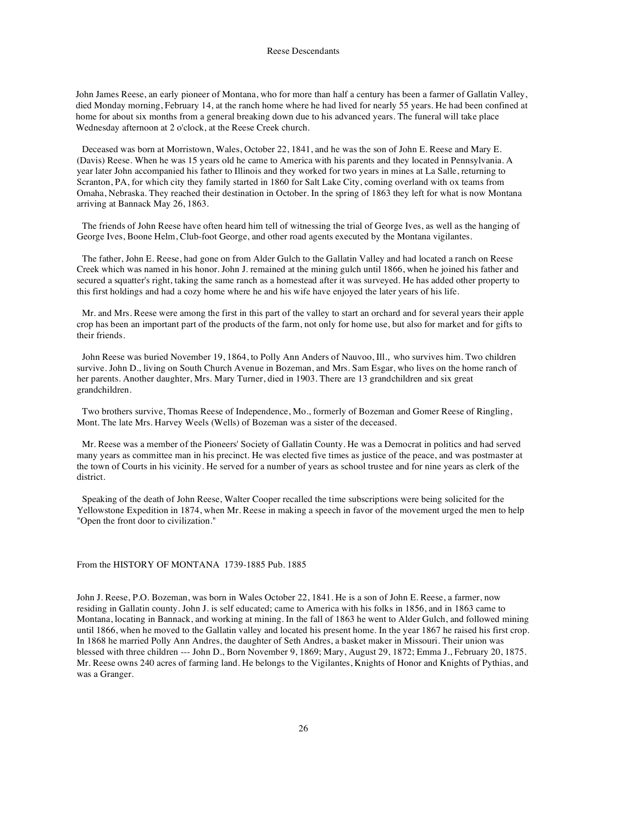John James Reese, an early pioneer of Montana, who for more than half a century has been a farmer of Gallatin Valley, died Monday morning, February 14, at the ranch home where he had lived for nearly 55 years. He had been confined at home for about six months from a general breaking down due to his advanced years. The funeral will take place Wednesday afternoon at 2 o'clock, at the Reese Creek church.

Deceased was born at Morristown, Wales, October 22, 1841, and he was the son of John E. Reese and Mary E. (Davis) Reese. When he was 15 years old he came to America with his parents and they located in Pennsylvania. A year later John accompanied his father to Illinois and they worked for two years in mines at La Salle, returning to Scranton, PA, for which city they family started in 1860 for Salt Lake City, coming overland with ox teams from Omaha, Nebraska. They reached their destination in October. In the spring of 1863 they left for what is now Montana arriving at Bannack May 26, 1863.

The friends of John Reese have often heard him tell of witnessing the trial of George Ives, as well as the hanging of George Ives, Boone Helm, Club-foot George, and other road agents executed by the Montana vigilantes.

The father, John E. Reese, had gone on from Alder Gulch to the Gallatin Valley and had located a ranch on Reese Creek which was named in his honor. John J. remained at the mining gulch until 1866, when he joined his father and secured a squatter's right, taking the same ranch as a homestead after it was surveyed. He has added other property to this first holdings and had a cozy home where he and his wife have enjoyed the later years of his life.

Mr. and Mrs. Reese were among the first in this part of the valley to start an orchard and for several years their apple crop has been an important part of the products of the farm, not only for home use, but also for market and for gifts to their friends.

John Reese was buried November 19, 1864, to Polly Ann Anders of Nauvoo, Ill., who survives him. Two children survive. John D., living on South Church Avenue in Bozeman, and Mrs. Sam Esgar, who lives on the home ranch of her parents. Another daughter, Mrs. Mary Turner, died in 1903. There are 13 grandchildren and six great grandchildren.

Two brothers survive, Thomas Reese of Independence, Mo., formerly of Bozeman and Gomer Reese of Ringling, Mont. The late Mrs. Harvey Weels (Wells) of Bozeman was a sister of the deceased.

Mr. Reese was a member of the Pioneers' Society of Gallatin County. He was a Democrat in politics and had served many years as committee man in his precinct. He was elected five times as justice of the peace, and was postmaster at the town of Courts in his vicinity. He served for a number of years as school trustee and for nine years as clerk of the district.

Speaking of the death of John Reese, Walter Cooper recalled the time subscriptions were being solicited for the Yellowstone Expedition in 1874, when Mr. Reese in making a speech in favor of the movement urged the men to help "Open the front door to civilization."

### From the HISTORY OF MONTANA 1739-1885 Pub. 1885

John J. Reese, P.O. Bozeman, was born in Wales October 22, 1841. He is a son of John E. Reese, a farmer, now residing in Gallatin county. John J. is self educated; came to America with his folks in 1856, and in 1863 came to Montana, locating in Bannack, and working at mining. In the fall of 1863 he went to Alder Gulch, and followed mining until 1866, when he moved to the Gallatin valley and located his present home. In the year 1867 he raised his first crop. In 1868 he married Polly Ann Andres, the daughter of Seth Andres, a basket maker in Missouri. Their union was blessed with three children --- John D., Born November 9, 1869; Mary, August 29, 1872; Emma J., February 20, 1875. Mr. Reese owns 240 acres of farming land. He belongs to the Vigilantes, Knights of Honor and Knights of Pythias, and was a Granger.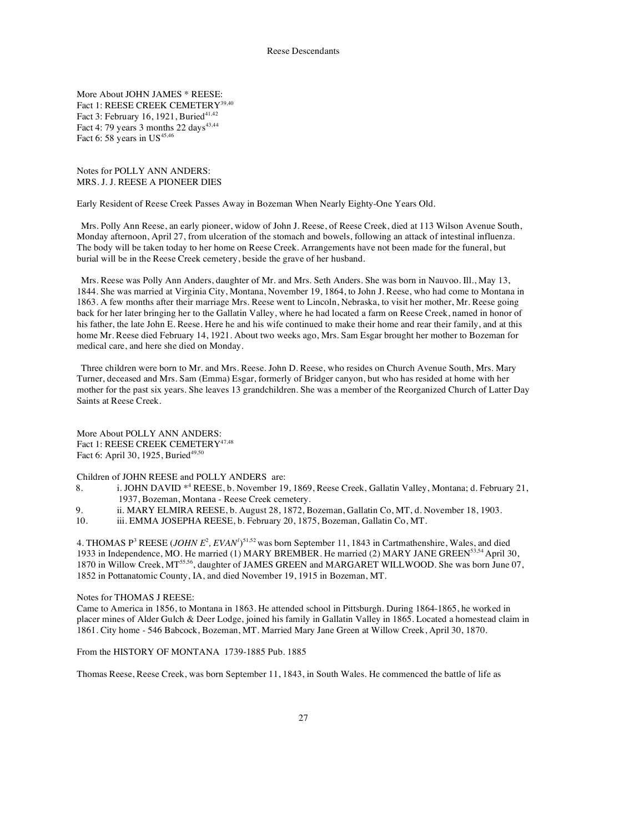More About JOHN JAMES \* REESE: Fact 1: REESE CREEK CEMETERY<sup>39,40</sup> Fact 3: February 16, 1921, Buried<sup>41,42</sup> Fact 4: 79 years 3 months 22 days<sup>43,44</sup> Fact 6: 58 years in US $45,46$ 

Notes for POLLY ANN ANDERS: MRS. J. J. REESE A PIONEER DIES

Early Resident of Reese Creek Passes Away in Bozeman When Nearly Eighty-One Years Old.

Mrs. Polly Ann Reese, an early pioneer, widow of John J. Reese, of Reese Creek, died at 113 Wilson Avenue South, Monday afternoon, April 27, from ulceration of the stomach and bowels, following an attack of intestinal influenza. The body will be taken today to her home on Reese Creek. Arrangements have not been made for the funeral, but burial will be in the Reese Creek cemetery, beside the grave of her husband.

Mrs. Reese was Polly Ann Anders, daughter of Mr. and Mrs. Seth Anders. She was born in Nauvoo. Ill., May 13, 1844. She was married at Virginia City, Montana, November 19, 1864, to John J. Reese, who had come to Montana in 1863. A few months after their marriage Mrs. Reese went to Lincoln, Nebraska, to visit her mother, Mr. Reese going back for her later bringing her to the Gallatin Valley, where he had located a farm on Reese Creek, named in honor of his father, the late John E. Reese. Here he and his wife continued to make their home and rear their family, and at this home Mr. Reese died February 14, 1921. About two weeks ago, Mrs. Sam Esgar brought her mother to Bozeman for medical care, and here she died on Monday.

Three children were born to Mr. and Mrs. Reese. John D. Reese, who resides on Church Avenue South, Mrs. Mary Turner, deceased and Mrs. Sam (Emma) Esgar, formerly of Bridger canyon, but who has resided at home with her mother for the past six years. She leaves 13 grandchildren. She was a member of the Reorganized Church of Latter Day Saints at Reese Creek.

More About POLLY ANN ANDERS: Fact 1: REESE CREEK CEMETERY<sup>47,48</sup> Fact 6: April 30, 1925, Buried<sup>49,50</sup>

Children of JOHN REESE and POLLY ANDERS are:

- 8. i. JOHN DAVID \*<sup>4</sup> REESE, b. November 19, 1869, Reese Creek, Gallatin Valley, Montana; d. February 21, 1937, Bozeman, Montana - Reese Creek cemetery.
- 9. ii. MARY ELMIRA REESE, b. August 28, 1872, Bozeman, Gallatin Co, MT, d. November 18, 1903.<br>10. iii. EMMA JOSEPHA REESE. b. February 20. 1875. Bozeman. Gallatin Co. MT.
- iii. EMMA JOSEPHA REESE, b. February 20, 1875, Bozeman, Gallatin Co, MT.

4. THOMAS P<sup>3</sup> REESE (*JOHN E<sup>2</sup>*, *EVAN<sup>1</sup>*)<sup>51,52</sup> was born September 11, 1843 in Cartmathenshire, Wales, and died 1933 in Independence, MO. He married (1) MARY BREMBER. He married (2) MARY JANE GREEN<sup>53,54</sup> April 30, 1870 in Willow Creek, MT<sup>55,56</sup>, daughter of JAMES GREEN and MARGARET WILLWOOD. She was born June 07, 1852 in Pottanatomic County, IA, and died November 19, 1915 in Bozeman, MT.

## Notes for THOMAS J REESE:

Came to America in 1856, to Montana in 1863. He attended school in Pittsburgh. During 1864-1865, he worked in placer mines of Alder Gulch & Deer Lodge, joined his family in Gallatin Valley in 1865. Located a homestead claim in 1861. City home - 546 Babcock, Bozeman, MT. Married Mary Jane Green at Willow Creek, April 30, 1870.

From the HISTORY OF MONTANA 1739-1885 Pub. 1885

Thomas Reese, Reese Creek, was born September 11, 1843, in South Wales. He commenced the battle of life as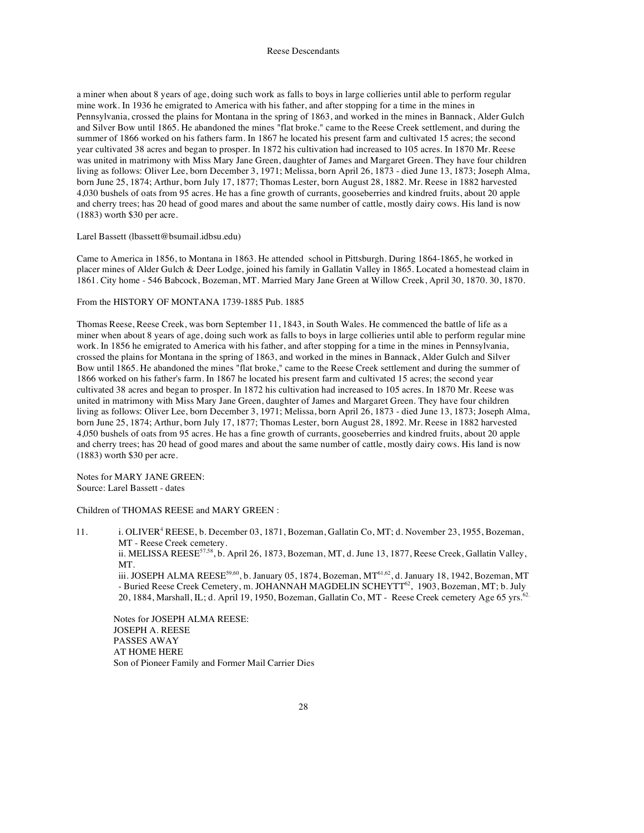a miner when about 8 years of age, doing such work as falls to boys in large collieries until able to perform regular mine work. In 1936 he emigrated to America with his father, and after stopping for a time in the mines in Pennsylvania, crossed the plains for Montana in the spring of 1863, and worked in the mines in Bannack, Alder Gulch and Silver Bow until 1865. He abandoned the mines "flat broke." came to the Reese Creek settlement, and during the summer of 1866 worked on his fathers farm. In 1867 he located his present farm and cultivated 15 acres; the second year cultivated 38 acres and began to prosper. In 1872 his cultivation had increased to 105 acres. In 1870 Mr. Reese was united in matrimony with Miss Mary Jane Green, daughter of James and Margaret Green. They have four children living as follows: Oliver Lee, born December 3, 1971; Melissa, born April 26, 1873 - died June 13, 1873; Joseph Alma, born June 25, 1874; Arthur, born July 17, 1877; Thomas Lester, born August 28, 1882. Mr. Reese in 1882 harvested 4,030 bushels of oats from 95 acres. He has a fine growth of currants, gooseberries and kindred fruits, about 20 apple and cherry trees; has 20 head of good mares and about the same number of cattle, mostly dairy cows. His land is now (1883) worth \$30 per acre.

## Larel Bassett (lbassett@bsumail.idbsu.edu)

Came to America in 1856, to Montana in 1863. He attended school in Pittsburgh. During 1864-1865, he worked in placer mines of Alder Gulch & Deer Lodge, joined his family in Gallatin Valley in 1865. Located a homestead claim in 1861. City home - 546 Babcock, Bozeman, MT. Married Mary Jane Green at Willow Creek, April 30, 1870. 30, 1870.

From the HISTORY OF MONTANA 1739-1885 Pub. 1885

Thomas Reese, Reese Creek, was born September 11, 1843, in South Wales. He commenced the battle of life as a miner when about 8 years of age, doing such work as falls to boys in large collieries until able to perform regular mine work. In 1856 he emigrated to America with his father, and after stopping for a time in the mines in Pennsylvania, crossed the plains for Montana in the spring of 1863, and worked in the mines in Bannack, Alder Gulch and Silver Bow until 1865. He abandoned the mines "flat broke," came to the Reese Creek settlement and during the summer of 1866 worked on his father's farm. In 1867 he located his present farm and cultivated 15 acres; the second year cultivated 38 acres and began to prosper. In 1872 his cultivation had increased to 105 acres. In 1870 Mr. Reese was united in matrimony with Miss Mary Jane Green, daughter of James and Margaret Green. They have four children living as follows: Oliver Lee, born December 3, 1971; Melissa, born April 26, 1873 - died June 13, 1873; Joseph Alma, born June 25, 1874; Arthur, born July 17, 1877; Thomas Lester, born August 28, 1892. Mr. Reese in 1882 harvested 4,050 bushels of oats from 95 acres. He has a fine growth of currants, gooseberries and kindred fruits, about 20 apple and cherry trees; has 20 head of good mares and about the same number of cattle, mostly dairy cows. His land is now (1883) worth \$30 per acre.

Notes for MARY JANE GREEN: Source: Larel Bassett - dates

Children of THOMAS REESE and MARY GREEN :

11. i. OLIVER<sup>4</sup> REESE, b. December 03, 1871, Bozeman, Gallatin Co, MT; d. November 23, 1955, Bozeman, MT - Reese Creek cemetery. ii. MELISSA REESE<sup>57,58</sup>, b. April 26, 1873, Bozeman, MT, d. June 13, 1877, Reese Creek, Gallatin Valley, MT. iii. JOSEPH ALMA REESE<sup>59,60</sup>, b. January 05, 1874, Bozeman, MT<sup>61,62</sup>, d. January 18, 1942, Bozeman, MT - Buried Reese Creek Cemetery, m. JOHANNAH MAGDELIN SCHEYTT<sup>62</sup>, 1903, Bozeman, MT; b. July 20, 1884, Marshall, IL; d. April 19, 1950, Bozeman, Gallatin Co, MT - Reese Creek cemetery Age 65 yrs.<sup>62.</sup> Notes for JOSEPH ALMA REESE:

JOSEPH A. REESE PASSES AWAY AT HOME HERE Son of Pioneer Family and Former Mail Carrier Dies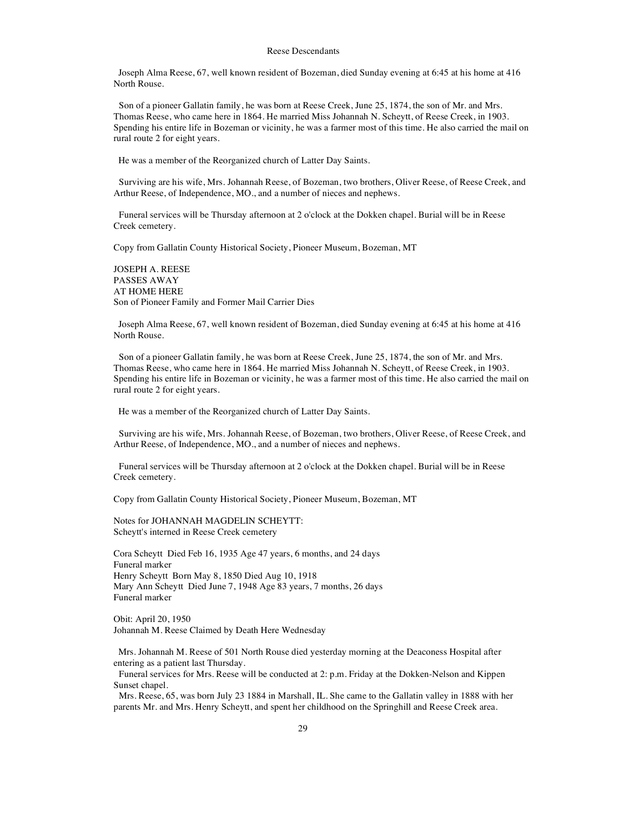Joseph Alma Reese, 67, well known resident of Bozeman, died Sunday evening at 6:45 at his home at 416 North Rouse.

Son of a pioneer Gallatin family, he was born at Reese Creek, June 25, 1874, the son of Mr. and Mrs. Thomas Reese, who came here in 1864. He married Miss Johannah N. Scheytt, of Reese Creek, in 1903. Spending his entire life in Bozeman or vicinity, he was a farmer most of this time. He also carried the mail on rural route 2 for eight years.

He was a member of the Reorganized church of Latter Day Saints.

Surviving are his wife, Mrs. Johannah Reese, of Bozeman, two brothers, Oliver Reese, of Reese Creek, and Arthur Reese, of Independence, MO., and a number of nieces and nephews.

Funeral services will be Thursday afternoon at 2 o'clock at the Dokken chapel. Burial will be in Reese Creek cemetery.

Copy from Gallatin County Historical Society, Pioneer Museum, Bozeman, MT

JOSEPH A. REESE PASSES AWAY AT HOME HERE Son of Pioneer Family and Former Mail Carrier Dies

Joseph Alma Reese, 67, well known resident of Bozeman, died Sunday evening at 6:45 at his home at 416 North Rouse.

Son of a pioneer Gallatin family, he was born at Reese Creek, June 25, 1874, the son of Mr. and Mrs. Thomas Reese, who came here in 1864. He married Miss Johannah N. Scheytt, of Reese Creek, in 1903. Spending his entire life in Bozeman or vicinity, he was a farmer most of this time. He also carried the mail on rural route 2 for eight years.

He was a member of the Reorganized church of Latter Day Saints.

Surviving are his wife, Mrs. Johannah Reese, of Bozeman, two brothers, Oliver Reese, of Reese Creek, and Arthur Reese, of Independence, MO., and a number of nieces and nephews.

Funeral services will be Thursday afternoon at 2 o'clock at the Dokken chapel. Burial will be in Reese Creek cemetery.

Copy from Gallatin County Historical Society, Pioneer Museum, Bozeman, MT

Notes for JOHANNAH MAGDELIN SCHEYTT: Scheytt's interned in Reese Creek cemetery

Cora Scheytt Died Feb 16, 1935 Age 47 years, 6 months, and 24 days Funeral marker Henry Scheytt Born May 8, 1850 Died Aug 10, 1918 Mary Ann Scheytt Died June 7, 1948 Age 83 years, 7 months, 26 days Funeral marker

Obit: April 20, 1950 Johannah M. Reese Claimed by Death Here Wednesday

Mrs. Johannah M. Reese of 501 North Rouse died yesterday morning at the Deaconess Hospital after entering as a patient last Thursday.

Funeral services for Mrs. Reese will be conducted at 2: p.m. Friday at the Dokken-Nelson and Kippen Sunset chapel.

Mrs. Reese, 65, was born July 23 1884 in Marshall, IL. She came to the Gallatin valley in 1888 with her parents Mr. and Mrs. Henry Scheytt, and spent her childhood on the Springhill and Reese Creek area.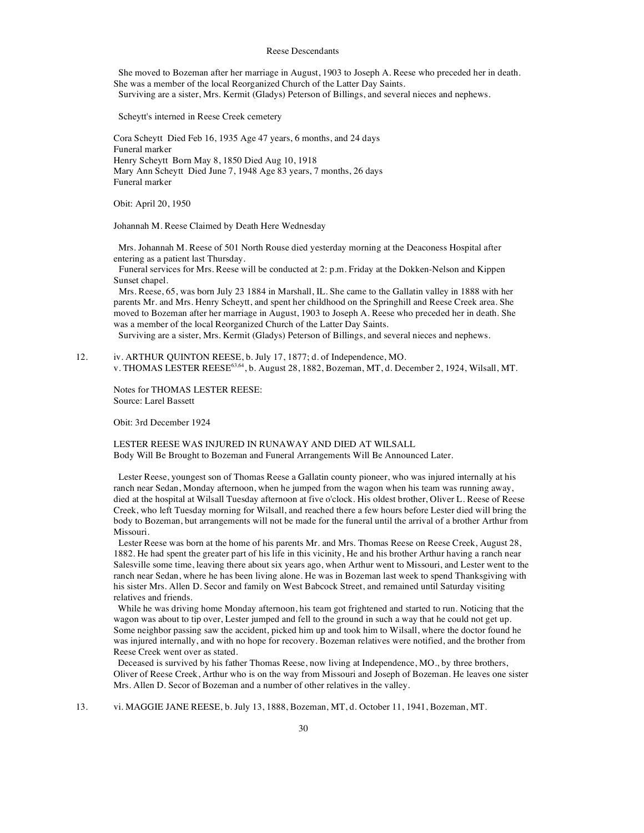She moved to Bozeman after her marriage in August, 1903 to Joseph A. Reese who preceded her in death. She was a member of the local Reorganized Church of the Latter Day Saints. Surviving are a sister, Mrs. Kermit (Gladys) Peterson of Billings, and several nieces and nephews.

Scheytt's interned in Reese Creek cemetery

Cora Scheytt Died Feb 16, 1935 Age 47 years, 6 months, and 24 days Funeral marker Henry Scheytt Born May 8, 1850 Died Aug 10, 1918 Mary Ann Scheytt Died June 7, 1948 Age 83 years, 7 months, 26 days Funeral marker

Obit: April 20, 1950

Johannah M. Reese Claimed by Death Here Wednesday

Mrs. Johannah M. Reese of 501 North Rouse died yesterday morning at the Deaconess Hospital after entering as a patient last Thursday.

Funeral services for Mrs. Reese will be conducted at 2: p.m. Friday at the Dokken-Nelson and Kippen Sunset chapel.

Mrs. Reese, 65, was born July 23 1884 in Marshall, IL. She came to the Gallatin valley in 1888 with her parents Mr. and Mrs. Henry Scheytt, and spent her childhood on the Springhill and Reese Creek area. She moved to Bozeman after her marriage in August, 1903 to Joseph A. Reese who preceded her in death. She was a member of the local Reorganized Church of the Latter Day Saints.

Surviving are a sister, Mrs. Kermit (Gladys) Peterson of Billings, and several nieces and nephews.

12. iv. ARTHUR QUINTON REESE, b. July 17, 1877; d. of Independence, MO. v. THOMAS LESTER REESE<sup>63,64</sup>, b. August 28, 1882, Bozeman, MT, d. December 2, 1924, Wilsall, MT.

Notes for THOMAS LESTER REESE: Source: Larel Bassett

Obit: 3rd December 1924

LESTER REESE WAS INJURED IN RUNAWAY AND DIED AT WILSALL Body Will Be Brought to Bozeman and Funeral Arrangements Will Be Announced Later.

Lester Reese, youngest son of Thomas Reese a Gallatin county pioneer, who was injured internally at his ranch near Sedan, Monday afternoon, when he jumped from the wagon when his team was running away, died at the hospital at Wilsall Tuesday afternoon at five o'clock. His oldest brother, Oliver L. Reese of Reese Creek, who left Tuesday morning for Wilsall, and reached there a few hours before Lester died will bring the body to Bozeman, but arrangements will not be made for the funeral until the arrival of a brother Arthur from Missouri.

Lester Reese was born at the home of his parents Mr. and Mrs. Thomas Reese on Reese Creek, August 28, 1882. He had spent the greater part of his life in this vicinity, He and his brother Arthur having a ranch near Salesville some time, leaving there about six years ago, when Arthur went to Missouri, and Lester went to the ranch near Sedan, where he has been living alone. He was in Bozeman last week to spend Thanksgiving with his sister Mrs. Allen D. Secor and family on West Babcock Street, and remained until Saturday visiting relatives and friends.

While he was driving home Monday afternoon, his team got frightened and started to run. Noticing that the wagon was about to tip over, Lester jumped and fell to the ground in such a way that he could not get up. Some neighbor passing saw the accident, picked him up and took him to Wilsall, where the doctor found he was injured internally, and with no hope for recovery. Bozeman relatives were notified, and the brother from Reese Creek went over as stated.

Deceased is survived by his father Thomas Reese, now living at Independence, MO., by three brothers, Oliver of Reese Creek, Arthur who is on the way from Missouri and Joseph of Bozeman. He leaves one sister Mrs. Allen D. Secor of Bozeman and a number of other relatives in the valley.

13. vi. MAGGIE JANE REESE, b. July 13, 1888, Bozeman, MT, d. October 11, 1941, Bozeman, MT.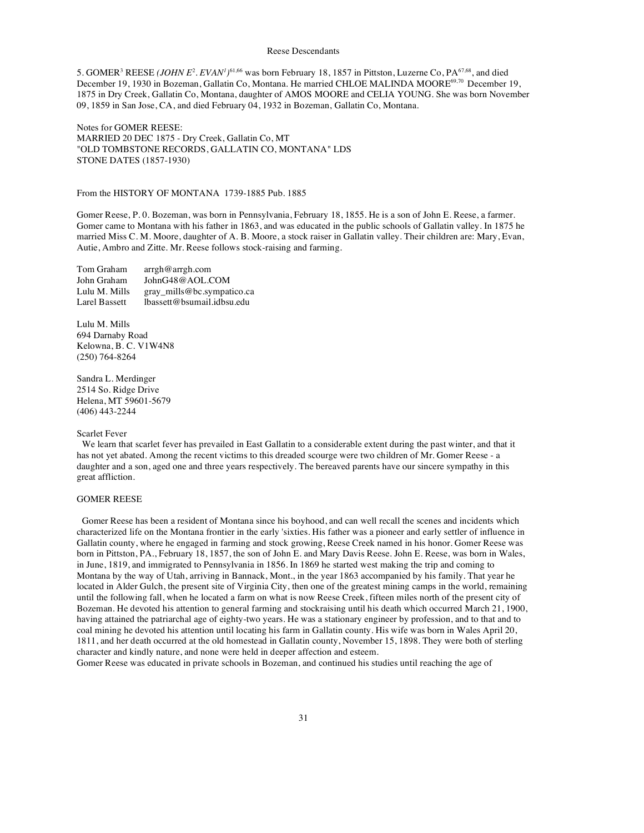5. GOMER<sup>3</sup> REESE (*JOHN E*<sup>2</sup>. EVAN<sup>*I*</sup>)<sup>61,66</sup> was born February 18, 1857 in Pittston, Luzerne Co, PA<sup>67,68</sup>, and died December 19, 1930 in Bozeman, Gallatin Co, Montana. He married CHLOE MALINDA MOORE69,70 December 19, 1875 in Dry Creek, Gallatin Co, Montana, daughter of AMOS MOORE and CELIA YOUNG. She was born November 09, 1859 in San Jose, CA, and died February 04, 1932 in Bozeman, Gallatin Co, Montana.

Notes for GOMER REESE: MARRIED 20 DEC 1875 - Dry Creek, Gallatin Co, MT "OLD TOMBSTONE RECORDS, GALLATIN CO, MONTANA" LDS STONE DATES (1857-1930)

## From the HISTORY OF MONTANA 1739-1885 Pub. 1885

Gomer Reese, P. 0. Bozeman, was born in Pennsylvania, February 18, 1855. He is a son of John E. Reese, a farmer. Gomer came to Montana with his father in 1863, and was educated in the public schools of Gallatin valley. In 1875 he married Miss C. M. Moore, daughter of A. B. Moore, a stock raiser in Gallatin valley. Their children are: Mary, Evan, Autie, Ambro and Zitte. Mr. Reese follows stock-raising and farming.

| Tom Graham    | $\argh@argh.com$           |
|---------------|----------------------------|
| John Graham   | JohnG48@AOL.COM            |
| Lulu M. Mills | gray_mills@bc.sympatico.ca |
| Larel Bassett | lbassett@bsumail.idbsu.edu |

Lulu M. Mills 694 Darnaby Road Kelowna, B. C. V1W4N8 (250) 764-8264

Sandra L. Merdinger 2514 So. Ridge Drive Helena, MT 59601-5679 (406) 443-2244

## Scarlet Fever

We learn that scarlet fever has prevailed in East Gallatin to a considerable extent during the past winter, and that it has not yet abated. Among the recent victims to this dreaded scourge were two children of Mr. Gomer Reese - a daughter and a son, aged one and three years respectively. The bereaved parents have our sincere sympathy in this great affliction.

## GOMER REESE

Gomer Reese has been a resident of Montana since his boyhood, and can well recall the scenes and incidents which characterized life on the Montana frontier in the early 'sixties. His father was a pioneer and early settler of influence in Gallatin county, where he engaged in farming and stock growing, Reese Creek named in his honor. Gomer Reese was born in Pittston, PA., February 18, 1857, the son of John E. and Mary Davis Reese. John E. Reese, was born in Wales, in June, 1819, and immigrated to Pennsylvania in 1856. In 1869 he started west making the trip and coming to Montana by the way of Utah, arriving in Bannack, Mont., in the year 1863 accompanied by his family. That year he located in Alder Gulch, the present site of Virginia City, then one of the greatest mining camps in the world, remaining until the following fall, when he located a farm on what is now Reese Creek, fifteen miles north of the present city of Bozeman. He devoted his attention to general farming and stockraising until his death which occurred March 21, 1900, having attained the patriarchal age of eighty-two years. He was a stationary engineer by profession, and to that and to coal mining he devoted his attention until locating his farm in Gallatin county. His wife was born in Wales April 20, 1811, and her death occurred at the old homestead in Gallatin county, November 15, 1898. They were both of sterling character and kindly nature, and none were held in deeper affection and esteem.

Gomer Reese was educated in private schools in Bozeman, and continued his studies until reaching the age of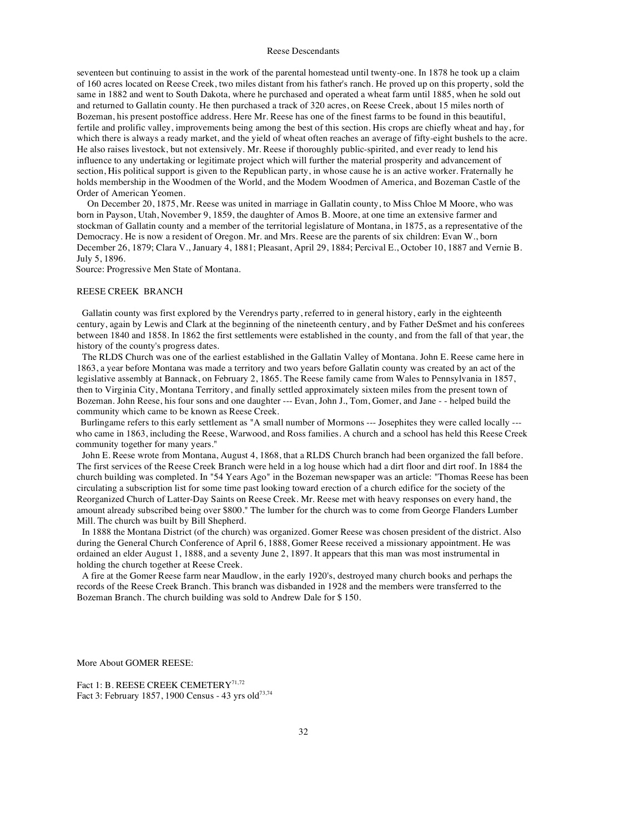seventeen but continuing to assist in the work of the parental homestead until twenty-one. In 1878 he took up a claim of 160 acres located on Reese Creek, two miles distant from his father's ranch. He proved up on this property, sold the same in 1882 and went to South Dakota, where he purchased and operated a wheat farm until 1885, when he sold out and returned to Gallatin county. He then purchased a track of 320 acres, on Reese Creek, about 15 miles north of Bozeman, his present postoffice address. Here Mr. Reese has one of the finest farms to be found in this beautiful, fertile and prolific valley, improvements being among the best of this section. His crops are chiefly wheat and hay, for which there is always a ready market, and the yield of wheat often reaches an average of fifty-eight bushels to the acre. He also raises livestock, but not extensively. Mr. Reese if thoroughly public-spirited, and ever ready to lend his influence to any undertaking or legitimate project which will further the material prosperity and advancement of section, His political support is given to the Republican party, in whose cause he is an active worker. Fraternally he holds membership in the Woodmen of the World, and the Modem Woodmen of America, and Bozeman Castle of the Order of American Yeomen.

On December 20, 1875, Mr. Reese was united in marriage in Gallatin county, to Miss Chloe M Moore, who was born in Payson, Utah, November 9, 1859, the daughter of Amos B. Moore, at one time an extensive farmer and stockman of Gallatin county and a member of the territorial legislature of Montana, in 1875, as a representative of the Democracy. He is now a resident of Oregon. Mr. and Mrs. Reese are the parents of six children: Evan W., born December 26, 1879; Clara V., January 4, 1881; Pleasant, April 29, 1884; Percival E., October 10, 1887 and Vernie B. July 5, 1896.

Source: Progressive Men State of Montana.

#### REESE CREEK BRANCH

Gallatin county was first explored by the Verendrys party, referred to in general history, early in the eighteenth century, again by Lewis and Clark at the beginning of the nineteenth century, and by Father DeSmet and his conferees between 1840 and 1858. In 1862 the first settlements were established in the county, and from the fall of that year, the history of the county's progress dates.

The RLDS Church was one of the earliest established in the Gallatin Valley of Montana. John E. Reese came here in 1863, a year before Montana was made a territory and two years before Gallatin county was created by an act of the legislative assembly at Bannack, on February 2, 1865. The Reese family came from Wales to Pennsylvania in 1857, then to Virginia City, Montana Territory, and finally settled approximately sixteen miles from the present town of Bozeman. John Reese, his four sons and one daughter --- Evan, John J., Tom, Gomer, and Jane - - helped build the community which came to be known as Reese Creek.

Burlingame refers to this early settlement as "A small number of Mormons --- Josephites they were called locally -- who came in 1863, including the Reese, Warwood, and Ross families. A church and a school has held this Reese Creek community together for many years."

John E. Reese wrote from Montana, August 4, 1868, that a RLDS Church branch had been organized the fall before. The first services of the Reese Creek Branch were held in a log house which had a dirt floor and dirt roof. In 1884 the church building was completed. In "54 Years Ago" in the Bozeman newspaper was an article: "Thomas Reese has been circulating a subscription list for some time past looking toward erection of a church edifice for the society of the Reorganized Church of Latter-Day Saints on Reese Creek. Mr. Reese met with heavy responses on every hand, the amount already subscribed being over \$800." The lumber for the church was to come from George Flanders Lumber Mill. The church was built by Bill Shepherd.

In 1888 the Montana District (of the church) was organized. Gomer Reese was chosen president of the district. Also during the General Church Conference of April 6, 1888, Gomer Reese received a missionary appointment. He was ordained an elder August 1, 1888, and a seventy June 2, 1897. It appears that this man was most instrumental in holding the church together at Reese Creek.

A fire at the Gomer Reese farm near Maudlow, in the early 1920's, destroyed many church books and perhaps the records of the Reese Creek Branch. This branch was disbanded in 1928 and the members were transferred to the Bozeman Branch. The church building was sold to Andrew Dale for \$ 150.

More About GOMER REESE:

Fact 1: B. REESE CREEK CEMETERY<sup>71,72</sup> Fact 3: February 1857, 1900 Census - 43 yrs old<sup>73,74</sup>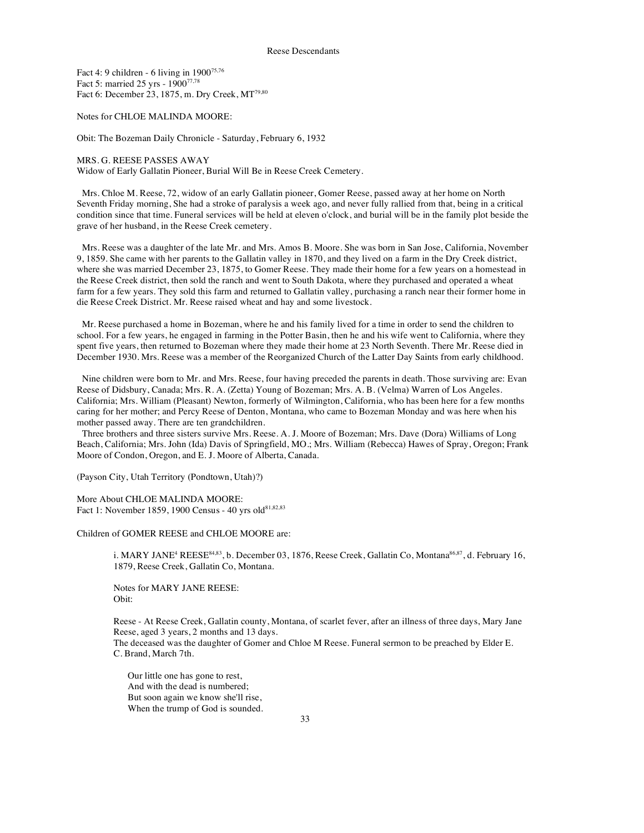Fact 4: 9 children - 6 living in  $1900^{75,76}$ Fact 5: married 25 yrs - 190077,78 Fact 6: December 23, 1875, m. Dry Creek, MT<sup>79,80</sup>

Notes for CHLOE MALINDA MOORE:

Obit: The Bozeman Daily Chronicle - Saturday, February 6, 1932

MRS. G. REESE PASSES AWAY Widow of Early Gallatin Pioneer, Burial Will Be in Reese Creek Cemetery.

Mrs. Chloe M. Reese, 72, widow of an early Gallatin pioneer, Gomer Reese, passed away at her home on North Seventh Friday morning, She had a stroke of paralysis a week ago, and never fully rallied from that, being in a critical condition since that time. Funeral services will be held at eleven o'clock, and burial will be in the family plot beside the grave of her husband, in the Reese Creek cemetery.

Mrs. Reese was a daughter of the late Mr. and Mrs. Amos B. Moore. She was born in San Jose, California, November 9, 1859. She came with her parents to the Gallatin valley in 1870, and they lived on a farm in the Dry Creek district, where she was married December 23, 1875, to Gomer Reese. They made their home for a few years on a homestead in the Reese Creek district, then sold the ranch and went to South Dakota, where they purchased and operated a wheat farm for a few years. They sold this farm and returned to Gallatin valley, purchasing a ranch near their former home in die Reese Creek District. Mr. Reese raised wheat and hay and some livestock.

Mr. Reese purchased a home in Bozeman, where he and his family lived for a time in order to send the children to school. For a few years, he engaged in farming in the Potter Basin, then he and his wife went to California, where they spent five years, then returned to Bozeman where they made their home at 23 North Seventh. There Mr. Reese died in December 1930. Mrs. Reese was a member of the Reorganized Church of the Latter Day Saints from early childhood.

Nine children were born to Mr. and Mrs. Reese, four having preceded the parents in death. Those surviving are: Evan Reese of Didsbury, Canada; Mrs. R. A. (Zetta) Young of Bozeman; Mrs. A. B. (Velma) Warren of Los Angeles. California; Mrs. William (Pleasant) Newton, formerly of Wilmington, California, who has been here for a few months caring for her mother; and Percy Reese of Denton, Montana, who came to Bozeman Monday and was here when his mother passed away. There are ten grandchildren.

Three brothers and three sisters survive Mrs. Reese. A. J. Moore of Bozeman; Mrs. Dave (Dora) Williams of Long Beach, California; Mrs. John (Ida) Davis of Springfield, MO.; Mrs. William (Rebecca) Hawes of Spray, Oregon; Frank Moore of Condon, Oregon, and E. J. Moore of Alberta, Canada.

(Payson City, Utah Territory (Pondtown, Utah)?)

More About CHLOE MALINDA MOORE: Fact 1: November 1859, 1900 Census - 40 yrs old<sup>81,82,83</sup>

Children of GOMER REESE and CHLOE MOORE are:

i. MARY JANE<sup>4</sup> REESE<sup>84,83</sup>, b. December 03, 1876, Reese Creek, Gallatin Co, Montana<sup>86,87</sup>, d. February 16, 1879, Reese Creek, Gallatin Co, Montana.

Notes for MARY JANE REESE: Obit:

Reese - At Reese Creek, Gallatin county, Montana, of scarlet fever, after an illness of three days, Mary Jane Reese, aged 3 years, 2 months and 13 days.

The deceased was the daughter of Gomer and Chloe M Reese. Funeral sermon to be preached by Elder E. C. Brand, March 7th.

Our little one has gone to rest, And with the dead is numbered; But soon again we know she'll rise, When the trump of God is sounded.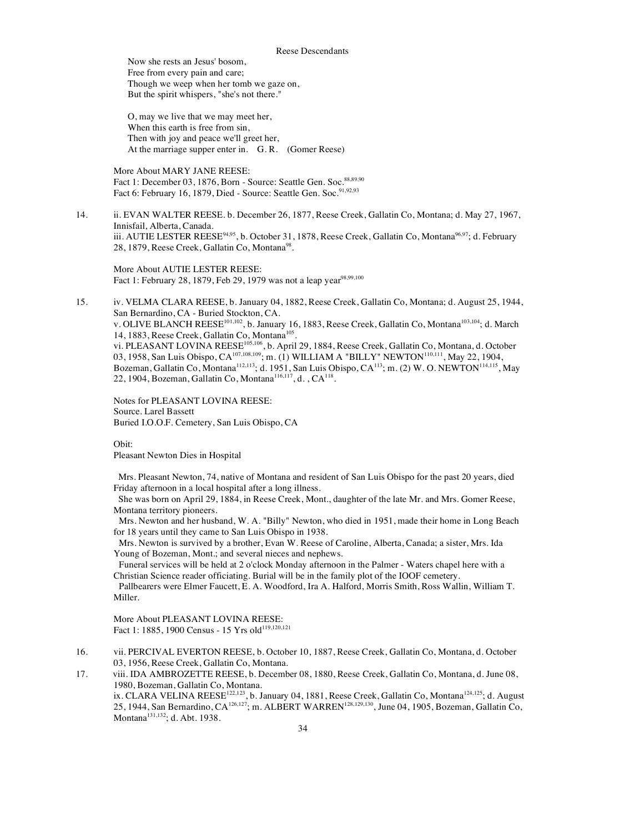Now she rests an Jesus' bosom, Free from every pain and care; Though we weep when her tomb we gaze on, But the spirit whispers, "she's not there."

O, may we live that we may meet her, When this earth is free from sin, Then with joy and peace we'll greet her, At the marriage supper enter in. G. R. (Gomer Reese)

More About MARY JANE REESE: Fact 1: December 03, 1876, Born - Source: Seattle Gen. Soc. 88,89,90 Fact 6: February 16, 1879, Died - Source: Seattle Gen. Soc.<sup>91,92,93</sup>

14. ii. EVAN WALTER REESE. b. December 26, 1877, Reese Creek, Gallatin Co, Montana; d. May 27, 1967, Innisfail, Alberta, Canada. iii. AUTIE LESTER REESE<sup>94,95</sup>, b. October 31, 1878, Reese Creek, Gallatin Co, Montana<sup>96,97</sup>; d. February 28, 1879, Reese Creek, Gallatin Co, Montana<sup>98</sup>.

More About AUTIE LESTER REESE: Fact 1: February 28, 1879, Feb 29, 1979 was not a leap year<sup>98,99,100</sup>

15. iv. VELMA CLARA REESE, b. January 04, 1882, Reese Creek, Gallatin Co, Montana; d. August 25, 1944, San Bernardino, CA - Buried Stockton, CA. v. OLIVE BLANCH REESE<sup>101,102</sup>, b. January 16, 1883, Reese Creek, Gallatin Co, Montana<sup>103,104</sup>; d. March 14, 1883, Reese Creek, Gallatin Co, Montana<sup>105</sup>. vi. PLEASANT LOVINA REESE<sup>105,106</sup>, b. April 29, 1884, Reese Creek, Gallatin Co, Montana, d. October 03, 1958, San Luis Obispo, CA<sup>107,108,109</sup>; m. (1) WILLIAM A "BILLY" NEWTON<sup>110,111</sup>, May 22, 1904, Bozeman, Gallatin Co, Montana<sup>112,113</sup>; d. 1951, San Luis Obispo, CA<sup>113</sup>; m. (2) W. O. NEWTON<sup>114,115</sup>, May 22, 1904, Bozeman, Gallatin Co, Montana<sup>116,117</sup>, d.,  $CA<sup>118</sup>$ .

Notes for PLEASANT LOVINA REESE: Source. Larel Bassett Buried I.O.O.F. Cemetery, San Luis Obispo, CA

Obit:

Pleasant Newton Dies in Hospital

Mrs. Pleasant Newton, 74, native of Montana and resident of San Luis Obispo for the past 20 years, died Friday afternoon in a local hospital after a long illness.

She was born on April 29, 1884, in Reese Creek, Mont., daughter of the late Mr. and Mrs. Gomer Reese, Montana territory pioneers.

Mrs. Newton and her husband, W. A. "Billy" Newton, who died in 1951, made their home in Long Beach for 18 years until they came to San Luis Obispo in 1938.

Mrs. Newton is survived by a brother, Evan W. Reese of Caroline, Alberta, Canada; a sister, Mrs. Ida Young of Bozeman, Mont.; and several nieces and nephews.

Funeral services will be held at 2 o'clock Monday afternoon in the Palmer - Waters chapel here with a Christian Science reader officiating. Burial will be in the family plot of the IOOF cemetery.

Pallbearers were Elmer Faucett, E. A. Woodford, Ira A. Halford, Morris Smith, Ross Wallin, William T. Miller.

More About PLEASANT LOVINA REESE: Fact 1: 1885, 1900 Census - 15 Yrs old<sup>119,120,121</sup>

16. vii. PERCIVAL EVERTON REESE, b. October 10, 1887, Reese Creek, Gallatin Co, Montana, d. October 03, 1956, Reese Creek, Gallatin Co, Montana.

17. viii. IDA AMBROZETTE REESE, b. December 08, 1880, Reese Creek, Gallatin Co, Montana, d. June 08, 1980, Bozeman, Gallatin Co, Montana. ix. CLARA VELINA REESE<sup>122,123</sup>, b. January 04, 1881, Reese Creek, Gallatin Co, Montana<sup>124,125</sup>; d. August 25, 1944, San Bernardino, CA<sup>126,127</sup>; m. ALBERT WARREN<sup>128,129,130</sup>, June 04, 1905, Bozeman, Gallatin Co, Montana<sup>131,132</sup>; d. Abt. 1938.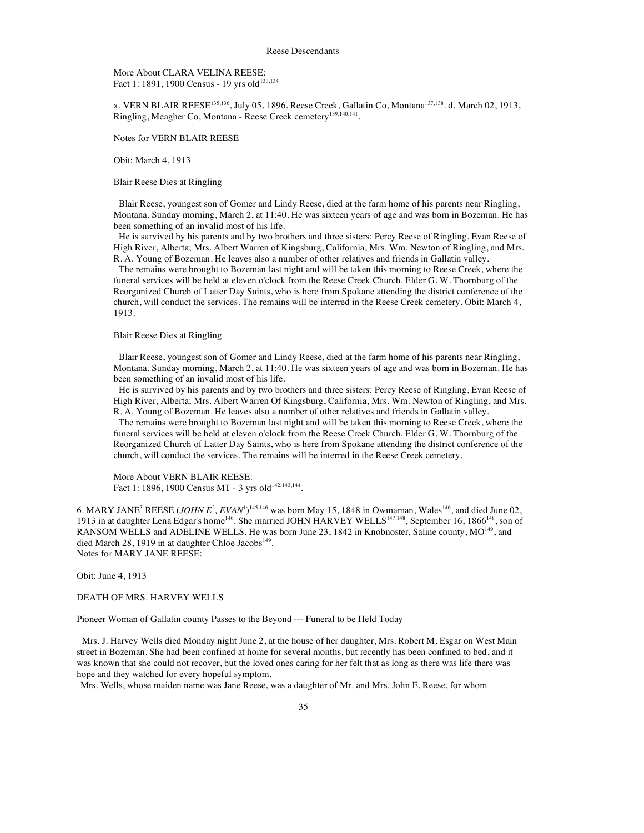More About CLARA VELINA REESE: Fact 1: 1891, 1900 Census - 19 yrs old<sup>133,134</sup>

x. VERN BLAIR REESE<sup>135,136</sup>, July 05, 1896, Reese Creek, Gallatin Co, Montana<sup>137,138</sup>. d. March 02, 1913, Ringling, Meagher Co, Montana - Reese Creek cemetery139,140,141.

Notes for VERN BLAIR REESE

Obit: March 4, 1913

Blair Reese Dies at Ringling

Blair Reese, youngest son of Gomer and Lindy Reese, died at the farm home of his parents near Ringling, Montana. Sunday morning, March 2, at 11:40. He was sixteen years of age and was born in Bozeman. He has been something of an invalid most of his life.

He is survived by his parents and by two brothers and three sisters: Percy Reese of Ringling, Evan Reese of High River, Alberta; Mrs. Albert Warren of Kingsburg, California, Mrs. Wm. Newton of Ringling, and Mrs. R. A. Young of Bozeman. He leaves also a number of other relatives and friends in Gallatin valley.

The remains were brought to Bozeman last night and will be taken this morning to Reese Creek, where the funeral services will be held at eleven o'clock from the Reese Creek Church. Elder G. W. Thornburg of the Reorganized Church of Latter Day Saints, who is here from Spokane attending the district conference of the church, will conduct the services. The remains will be interred in the Reese Creek cemetery. Obit: March 4, 1913.

Blair Reese Dies at Ringling

Blair Reese, youngest son of Gomer and Lindy Reese, died at the farm home of his parents near Ringling, Montana. Sunday morning, March 2, at 11:40. He was sixteen years of age and was born in Bozeman. He has been something of an invalid most of his life.

He is survived by his parents and by two brothers and three sisters: Percy Reese of Ringling, Evan Reese of High River, Alberta; Mrs. Albert Warren Of Kingsburg, California, Mrs. Wm. Newton of Ringling, and Mrs. R. A. Young of Bozeman. He leaves also a number of other relatives and friends in Gallatin valley.

The remains were brought to Bozeman last night and will be taken this morning to Reese Creek, where the funeral services will be held at eleven o'clock from the Reese Creek Church. Elder G. W. Thornburg of the Reorganized Church of Latter Day Saints, who is here from Spokane attending the district conference of the church, will conduct the services. The remains will be interred in the Reese Creek cemetery.

More About VERN BLAIR REESE: Fact 1: 1896, 1900 Census MT - 3 yrs old<sup>142,143,144</sup>.

6. MARY JANE<sup>3</sup> REESE (*JOHN E*<sup>2</sup>, *EVAN*<sup>1</sup>)<sup>145,146</sup> was born May 15, 1848 in Owmaman, Wales<sup>146</sup>, and died June 02, 1913 in at daughter Lena Edgar's home<sup>146</sup>. She married JOHN HARVEY WELLS<sup>147,148</sup>, September 16, 1866<sup>148</sup>, son of RANSOM WELLS and ADELINE WELLS. He was born June 23, 1842 in Knobnoster, Saline county, MO<sup>149</sup>, and died March 28, 1919 in at daughter Chloe Jacobs<sup>149</sup>. Notes for MARY JANE REESE:

Obit: June 4, 1913

DEATH OF MRS. HARVEY WELLS

Pioneer Woman of Gallatin county Passes to the Beyond --- Funeral to be Held Today

Mrs. J. Harvey Wells died Monday night June 2, at the house of her daughter, Mrs. Robert M. Esgar on West Main street in Bozeman. She had been confined at home for several months, but recently has been confined to bed, and it was known that she could not recover, but the loved ones caring for her felt that as long as there was life there was hope and they watched for every hopeful symptom.

Mrs. Wells, whose maiden name was Jane Reese, was a daughter of Mr. and Mrs. John E. Reese, for whom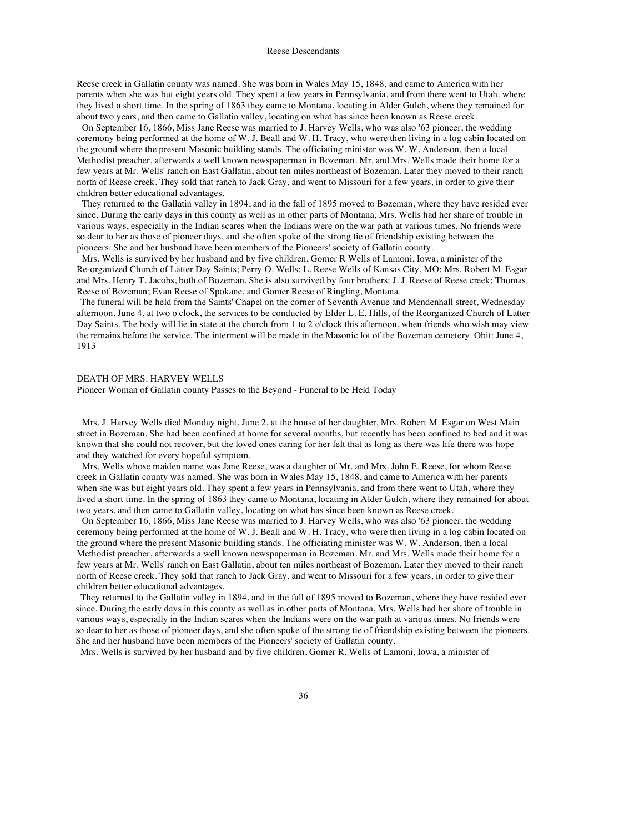Reese creek in Gallatin county was named. She was born in Wales May 15, 1848, and came to America with her parents when she was but eight years old. They spent a few years in Pennsylvania, and from there went to Utah. where they lived a short time. In the spring of 1863 they came to Montana, locating in Alder Gulch, where they remained for about two years, and then came to Gallatin valley, locating on what has since been known as Reese creek.

On September 16, 1866, Miss Jane Reese was married to J. Harvey Wells, who was also '63 pioneer, the wedding ceremony being performed at the home of W. J. Beall and W. H. Tracy, who were then living in a log cabin located on the ground where the present Masonic building stands. The officiating minister was W. W. Anderson, then a local Methodist preacher, afterwards a well known newspaperman in Bozeman. Mr. and Mrs. Wells made their home for a few years at Mr. Wells' ranch on East Gallatin, about ten miles northeast of Bozeman. Later they moved to their ranch north of Reese creek. They sold that ranch to Jack Gray, and went to Missouri for a few years, in order to give their children better educational advantages.

They returned to the Gallatin valley in 1894, and in the fall of 1895 moved to Bozeman, where they have resided ever since. During the early days in this county as well as in other parts of Montana, Mrs. Wells had her share of trouble in various ways, especially in the Indian scares when the Indians were on the war path at various times. No friends were so dear to her as those of pioneer days, and she often spoke of the strong tie of friendship existing between the pioneers. She and her husband have been members of the Pioneers' society of Gallatin county.

Mrs. Wells is survived by her husband and by five children, Gomer R Wells of Lamoni, Iowa, a minister of the Re-organized Church of Latter Day Saints; Perry O. Wells; L. Reese Wells of Kansas City, MO; Mrs. Robert M. Esgar and Mrs. Henry T. Jacobs, both of Bozeman. She is also survived by four brothers: J. J. Reese of Reese creek; Thomas Reese of Bozeman; Evan Reese of Spokane, and Gomer Reese of Ringling, Montana.

The funeral will be held from the Saints' Chapel on the corner of Seventh Avenue and Mendenhall street, Wednesday afternoon, June 4, at two o'clock, the services to be conducted by Elder L. E. Hills, of the Reorganized Church of Latter Day Saints. The body will lie in state at the church from 1 to 2 o'clock this afternoon, when friends who wish may view the remains before the service. The interment will be made in the Masonic lot of the Bozeman cemetery. Obit: June 4, 1913

### DEATH OF MRS. HARVEY WELLS

Pioneer Woman of Gallatin county Passes to the Beyond - Funeral to be Held Today

Mrs. J. Harvey Wells died Monday night, June 2, at the house of her daughter, Mrs. Robert M. Esgar on West Main street in Bozeman. She had been confined at home for several months, but recently has been confined to bed and it was known that she could not recover, but the loved ones caring for her felt that as long as there was life there was hope and they watched for every hopeful symptom.

Mrs. Wells whose maiden name was Jane Reese, was a daughter of Mr. and Mrs. John E. Reese, for whom Reese creek in Gallatin county was named. She was born in Wales May 15, 1848, and came to America with her parents when she was but eight years old. They spent a few years in Pennsylvania, and from there went to Utah, where they lived a short time. In the spring of 1863 they came to Montana, locating in Alder Gulch, where they remained for about two years, and then came to Gallatin valley, locating on what has since been known as Reese creek.

On September 16, 1866, Miss Jane Reese was married to J. Harvey Wells, who was also '63 pioneer, the wedding ceremony being performed at the home of W. J. Beall and W. H. Tracy, who were then living in a log cabin located on the ground where the present Masonic building stands. The officiating minister was W. W. Anderson, then a local Methodist preacher, afterwards a well known newspaperman in Bozeman. Mr. and Mrs. Wells made their home for a few years at Mr. Wells' ranch on East Gallatin, about ten miles northeast of Bozeman. Later they moved to their ranch north of Reese creek. They sold that ranch to Jack Gray, and went to Missouri for a few years, in order to give their children better educational advantages.

They returned to the Gallatin valley in 1894, and in the fall of 1895 moved to Bozeman, where they have resided ever since. During the early days in this county as well as in other parts of Montana, Mrs. Wells had her share of trouble in various ways, especially in the Indian scares when the Indians were on the war path at various times. No friends were so dear to her as those of pioneer days, and she often spoke of the strong tie of friendship existing between the pioneers. She and her husband have been members of the Pioneers' society of Gallatin county.

Mrs. Wells is survived by her husband and by five children, Gomer R. Wells of Lamoni, Iowa, a minister of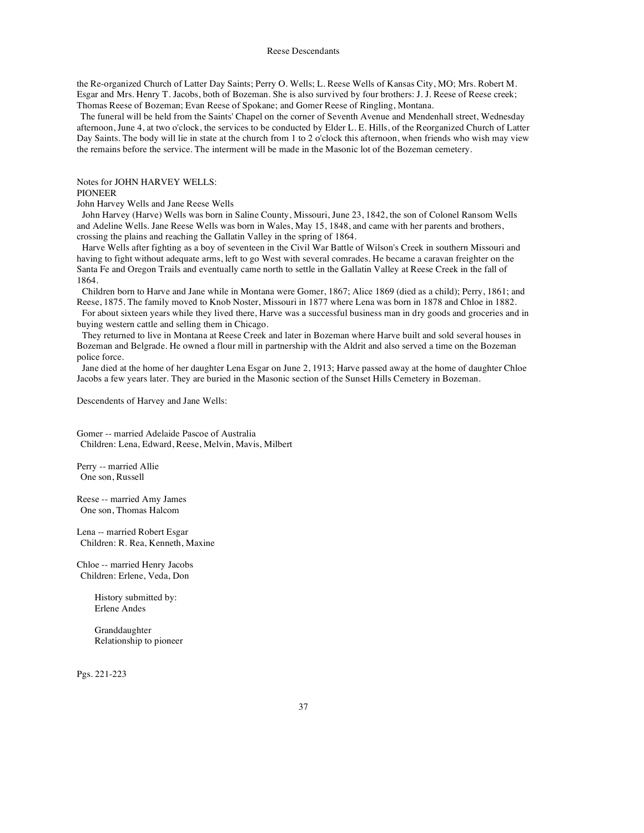the Re-organized Church of Latter Day Saints; Perry O. Wells; L. Reese Wells of Kansas City, MO; Mrs. Robert M. Esgar and Mrs. Henry T. Jacobs, both of Bozeman. She is also survived by four brothers: J. J. Reese of Reese creek; Thomas Reese of Bozeman; Evan Reese of Spokane; and Gomer Reese of Ringling, Montana.

The funeral will be held from the Saints' Chapel on the corner of Seventh Avenue and Mendenhall street, Wednesday afternoon, June 4, at two o'clock, the services to be conducted by Elder L. E. Hills, of the Reorganized Church of Latter Day Saints. The body will lie in state at the church from 1 to 2 o'clock this afternoon, when friends who wish may view the remains before the service. The interment will be made in the Masonic lot of the Bozeman cemetery.

Notes for JOHN HARVEY WELLS:

# PIONEER

John Harvey Wells and Jane Reese Wells

John Harvey (Harve) Wells was born in Saline County, Missouri, June 23, 1842, the son of Colonel Ransom Wells and Adeline Wells. Jane Reese Wells was born in Wales, May 15, 1848, and came with her parents and brothers, crossing the plains and reaching the Gallatin Valley in the spring of 1864.

Harve Wells after fighting as a boy of seventeen in the Civil War Battle of Wilson's Creek in southern Missouri and having to fight without adequate arms, left to go West with several comrades. He became a caravan freighter on the Santa Fe and Oregon Trails and eventually came north to settle in the Gallatin Valley at Reese Creek in the fall of 1864.

Children born to Harve and Jane while in Montana were Gomer, 1867; Alice 1869 (died as a child); Perry, 1861; and Reese, 1875. The family moved to Knob Noster, Missouri in 1877 where Lena was born in 1878 and Chloe in 1882.

For about sixteen years while they lived there, Harve was a successful business man in dry goods and groceries and in buying western cattle and selling them in Chicago.

They returned to live in Montana at Reese Creek and later in Bozeman where Harve built and sold several houses in Bozeman and Belgrade. He owned a flour mill in partnership with the Aldrit and also served a time on the Bozeman police force.

Jane died at the home of her daughter Lena Esgar on June 2, 1913; Harve passed away at the home of daughter Chloe Jacobs a few years later. They are buried in the Masonic section of the Sunset Hills Cemetery in Bozeman.

Descendents of Harvey and Jane Wells:

Gomer -- married Adelaide Pascoe of Australia Children: Lena, Edward, Reese, Melvin, Mavis, Milbert

Perry -- married Allie One son, Russell

Reese -- married Amy James One son, Thomas Halcom

Lena -- married Robert Esgar Children: R. Rea, Kenneth, Maxine

Chloe -- married Henry Jacobs Children: Erlene, Veda, Don

> History submitted by: Erlene Andes

Granddaughter Relationship to pioneer

Pgs. 221-223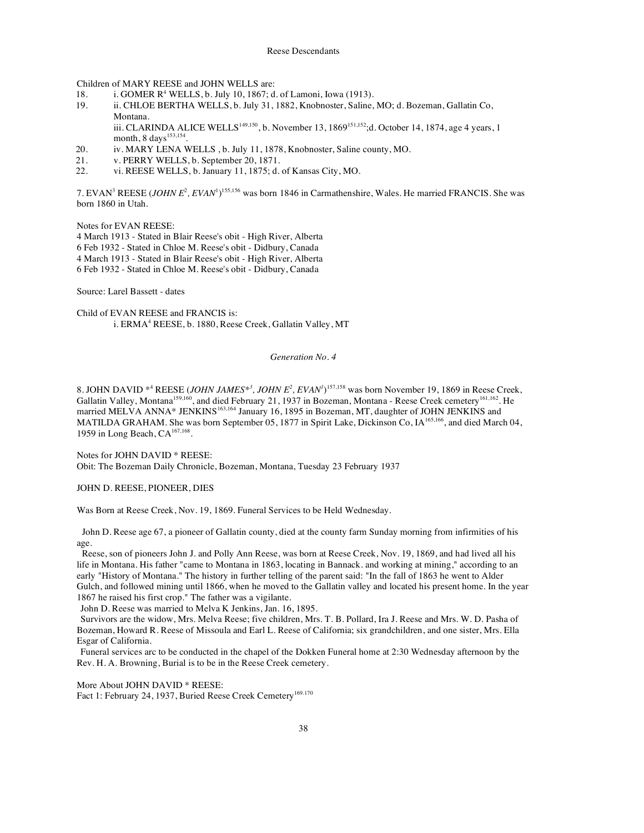Children of MARY REESE and JOHN WELLS are:

- 18. i. GOMER R<sup>4</sup> WELLS, b. July 10, 1867; d. of Lamoni, Iowa (1913).
- 19. ii. CHLOE BERTHA WELLS, b. July 31, 1882, Knobnoster, Saline, MO; d. Bozeman, Gallatin Co, Montana.

iii. CLARINDA ALICE WELLS<sup>149,150</sup>, b. November 13, 1869<sup>151,152</sup>;d. October 14, 1874, age 4 years, 1 month, 8 days<sup>153,154</sup>.

- 20. iv. MARY LENA WELLS , b. July 11, 1878, Knobnoster, Saline county, MO.
- 21. v. PERRY WELLS, b. September 20, 1871.
- 22. vi. REESE WELLS, b. January 11, 1875; d. of Kansas City, MO.

7. EVAN<sup>3</sup> REESE (*JOHN E<sup>2</sup>*, *EVAN*<sup>1</sup>)<sup>155,156</sup> was born 1846 in Carmathenshire, Wales. He married FRANCIS. She was born 1860 in Utah.

Notes for EVAN REESE:

4 March 1913 - Stated in Blair Reese's obit - High River, Alberta 6 Feb 1932 - Stated in Chloe M. Reese's obit - Didbury, Canada 4 March 1913 - Stated in Blair Reese's obit - High River, Alberta 6 Feb 1932 - Stated in Chloe M. Reese's obit - Didbury, Canada

Source: Larel Bassett - dates

Child of EVAN REESE and FRANCIS is: i. ERMA<sup>4</sup> REESE, b. 1880, Reese Creek, Gallatin Valley, MT

#### *Generation No. 4*

8. JOHN DAVID  $*^4$  REESE (*JOHN JAMES* $*^3$ , *JOHN E*<sup>2</sup>, *EVAN*<sup> $1$ </sup>)<sup>157,158</sup> was born November 19, 1869 in Reese Creek, Gallatin Valley, Montana<sup>159,160</sup>, and died February 21, 1937 in Bozeman, Montana - Reese Creek cemetery<sup>161,162</sup>. He married MELVA ANNA\* JENKINS<sup>163,164</sup> January 16, 1895 in Bozeman, MT, daughter of JOHN JENKINS and MATILDA GRAHAM. She was born September 05, 1877 in Spirit Lake, Dickinson Co, IA165,166, and died March 04, 1959 in Long Beach, CA<sup>167,168</sup>.

Notes for JOHN DAVID \* REESE: Obit: The Bozeman Daily Chronicle, Bozeman, Montana, Tuesday 23 February 1937

### JOHN D. REESE, PIONEER, DIES

Was Born at Reese Creek, Nov. 19, 1869. Funeral Services to be Held Wednesday.

John D. Reese age 67, a pioneer of Gallatin county, died at the county farm Sunday morning from infirmities of his age.

Reese, son of pioneers John J. and Polly Ann Reese, was born at Reese Creek, Nov. 19, 1869, and had lived all his life in Montana. His father "came to Montana in 1863, locating in Bannack. and working at mining," according to an early "History of Montana." The history in further telling of the parent said: "In the fall of 1863 he went to Alder Gulch, and followed mining until 1866, when he moved to the Gallatin valley and located his present home. In the year 1867 he raised his first crop." The father was a vigilante.

John D. Reese was married to Melva K Jenkins, Jan. 16, 1895.

Survivors are the widow, Mrs. Melva Reese; five children, Mrs. T. B. Pollard, Ira J. Reese and Mrs. W. D. Pasha of Bozeman, Howard R. Reese of Missoula and Earl L. Reese of California; six grandchildren, and one sister, Mrs. Ella Esgar of California.

Funeral services arc to be conducted in the chapel of the Dokken Funeral home at 2:30 Wednesday afternoon by the Rev. H. A. Browning, Burial is to be in the Reese Creek cemetery.

More About JOHN DAVID \* REESE: Fact 1: February 24, 1937, Buried Reese Creek Cemetery<sup>169.170</sup>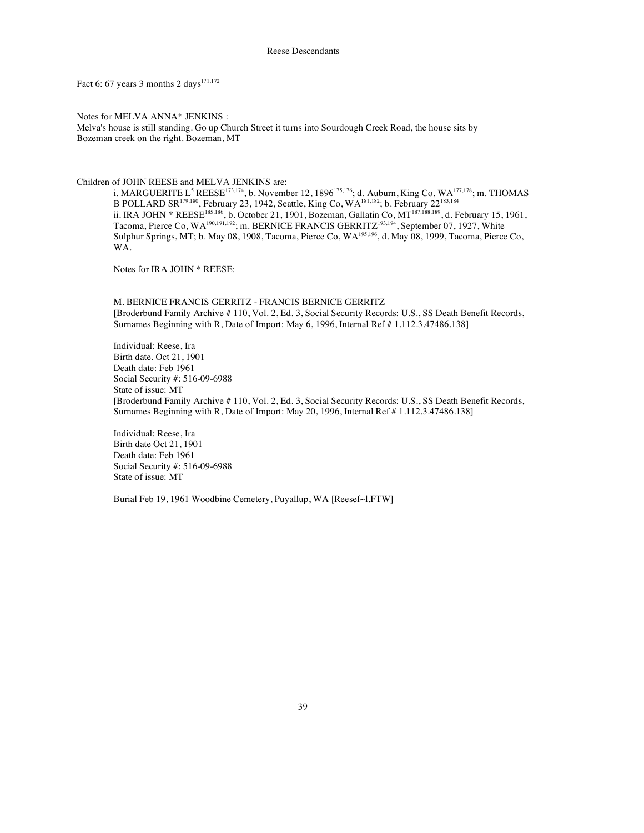Fact 6: 67 years 3 months 2 days<sup>171,172</sup>

Notes for MELVA ANNA\* JENKINS : Melva's house is still standing. Go up Church Street it turns into Sourdough Creek Road, the house sits by Bozeman creek on the right. Bozeman, MT

#### Children of JOHN REESE and MELVA JENKINS are:

i. MARGUERITE L<sup>5</sup> REESE<sup>173,174</sup>, b. November 12, 1896<sup>175,176</sup>; d. Auburn, King Co, WA<sup>177,178</sup>; m. THOMAS B POLLARD SR179,180, February 23, 1942, Seattle, King Co, WA181,182; b. February 22183,184 ii. IRA JOHN \* REESE<sup>185,186</sup>, b. October 21, 1901, Bozeman, Gallatin Co, MT<sup>187,188,189</sup>, d. February 15, 1961, Tacoma, Pierce Co, WA<sup>190,191,192</sup>; m. BERNICE FRANCIS GERRITZ<sup>193,194</sup>, September 07, 1927, White Sulphur Springs, MT; b. May 08, 1908, Tacoma, Pierce Co, WA<sup>195,196</sup>, d. May 08, 1999, Tacoma, Pierce Co, WA.

Notes for IRA JOHN \* REESE:

M. BERNICE FRANCIS GERRITZ - FRANCIS BERNICE GERRITZ [Broderbund Family Archive # 110, Vol. 2, Ed. 3, Social Security Records: U.S., SS Death Benefit Records, Surnames Beginning with R, Date of Import: May 6, 1996, Internal Ref # 1.112.3.47486.138]

Individual: Reese, Ira Birth date. Oct 21, 1901 Death date: Feb 1961 Social Security #: 516-09-6988 State of issue: MT [Broderbund Family Archive # 110, Vol. 2, Ed. 3, Social Security Records: U.S., SS Death Benefit Records, Surnames Beginning with R, Date of Import: May 20, 1996, Internal Ref # 1.112.3.47486.138]

Individual: Reese, Ira Birth date Oct 21, 1901 Death date: Feb 1961 Social Security #: 516-09-6988 State of issue: MT

Burial Feb 19, 1961 Woodbine Cemetery, Puyallup, WA [Reesef~l.FTW]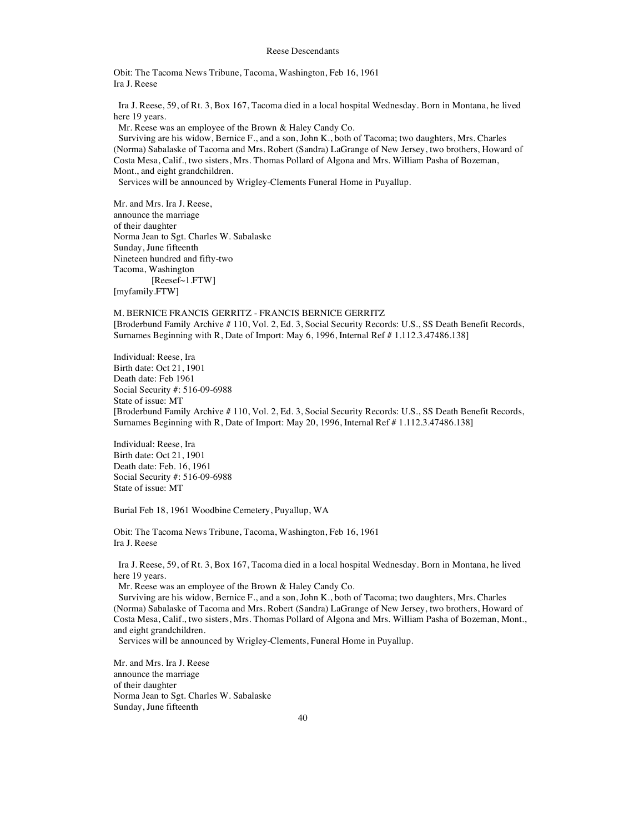Obit: The Tacoma News Tribune, Tacoma, Washington, Feb 16, 1961 Ira J. Reese

Ira J. Reese, 59, of Rt. 3, Box 167, Tacoma died in a local hospital Wednesday. Born in Montana, he lived here 19 years.

Mr. Reese was an employee of the Brown & Haley Candy Co.

Surviving are his widow, Bernice F., and a son, John K., both of Tacoma; two daughters, Mrs. Charles (Norma) Sabalaske of Tacoma and Mrs. Robert (Sandra) LaGrange of New Jersey, two brothers, Howard of Costa Mesa, Calif., two sisters, Mrs. Thomas Pollard of Algona and Mrs. William Pasha of Bozeman, Mont., and eight grandchildren.

Services will be announced by Wrigley-Clements Funeral Home in Puyallup.

Mr. and Mrs. Ira J. Reese, announce the marriage of their daughter Norma Jean to Sgt. Charles W. Sabalaske Sunday, June fifteenth Nineteen hundred and fifty-two Tacoma, Washington [Reesef~1.FTW] [myfamily.FTW]

M. BERNICE FRANCIS GERRITZ - FRANCIS BERNICE GERRITZ [Broderbund Family Archive # 110, Vol. 2, Ed. 3, Social Security Records: U.S., SS Death Benefit Records, Surnames Beginning with R, Date of Import: May 6, 1996, Internal Ref # 1.112.3.47486.138]

Individual: Reese, Ira Birth date: Oct 21, 1901 Death date: Feb 1961 Social Security #: 516-09-6988 State of issue: MT [Broderbund Family Archive # 110, Vol. 2, Ed. 3, Social Security Records: U.S., SS Death Benefit Records, Surnames Beginning with R, Date of Import: May 20, 1996, Internal Ref # 1.112.3.47486.138]

Individual: Reese, Ira Birth date: Oct 21, 1901 Death date: Feb. 16, 1961 Social Security #: 516-09-6988 State of issue: MT

Burial Feb 18, 1961 Woodbine Cemetery, Puyallup, WA

Obit: The Tacoma News Tribune, Tacoma, Washington, Feb 16, 1961 Ira J. Reese

Ira J. Reese, 59, of Rt. 3, Box 167, Tacoma died in a local hospital Wednesday. Born in Montana, he lived here 19 years.

Mr. Reese was an employee of the Brown & Haley Candy Co.

Surviving are his widow, Bernice F., and a son, John K., both of Tacoma; two daughters, Mrs. Charles (Norma) Sabalaske of Tacoma and Mrs. Robert (Sandra) LaGrange of New Jersey, two brothers, Howard of Costa Mesa, Calif., two sisters, Mrs. Thomas Pollard of Algona and Mrs. William Pasha of Bozeman, Mont., and eight grandchildren.

Services will be announced by Wrigley-Clements, Funeral Home in Puyallup.

Mr. and Mrs. Ira J. Reese announce the marriage of their daughter Norma Jean to Sgt. Charles W. Sabalaske Sunday, June fifteenth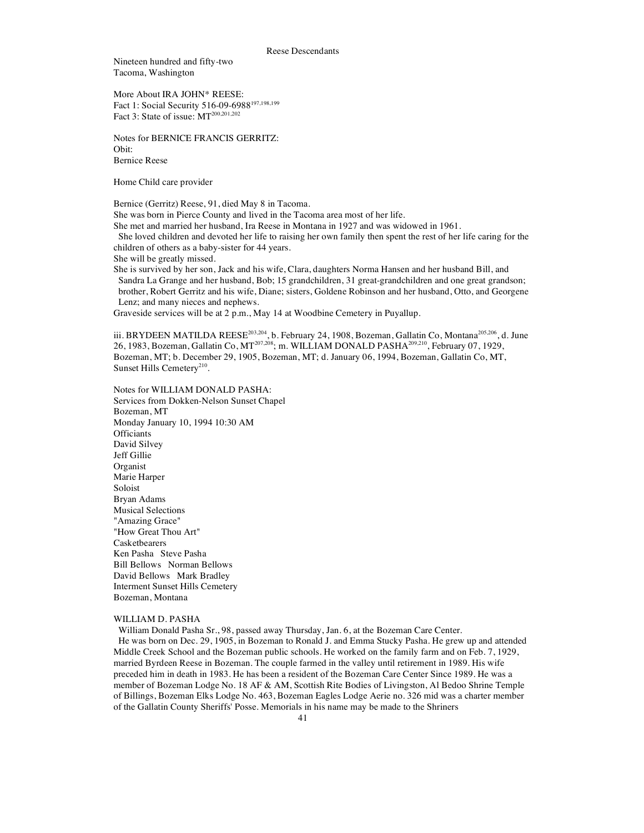Nineteen hundred and fifty-two Tacoma, Washington

More About IRA JOHN\* REESE: Fact 1: Social Security 516-09-6988<sup>197,198,199</sup> Fact 3: State of issue: MT<sup>200,201,202</sup>

Notes for BERNICE FRANCIS GERRITZ: Obit: Bernice Reese

Home Child care provider

Bernice (Gerritz) Reese, 91, died May 8 in Tacoma.

She was born in Pierce County and lived in the Tacoma area most of her life.

She met and married her husband, Ira Reese in Montana in 1927 and was widowed in 1961.

She loved children and devoted her life to raising her own family then spent the rest of her life caring for the children of others as a baby-sister for 44 years.

She will be greatly missed.

She is survived by her son, Jack and his wife, Clara, daughters Norma Hansen and her husband Bill, and Sandra La Grange and her husband, Bob; 15 grandchildren, 31 great-grandchildren and one great grandson; brother, Robert Gerritz and his wife, Diane; sisters, Goldene Robinson and her husband, Otto, and Georgene Lenz; and many nieces and nephews.

Graveside services will be at 2 p.m., May 14 at Woodbine Cemetery in Puyallup.

iii. BRYDEEN MATILDA REESE<sup>203,204</sup>, b. February 24, 1908, Bozeman, Gallatin Co, Montana<sup>205,206</sup>, d. June 26, 1983, Bozeman, Gallatin Co, MT<sup>207,208</sup>; m. WILLIAM DONALD PASHA<sup>209,210</sup>, February 07, 1929, Bozeman, MT; b. December 29, 1905, Bozeman, MT; d. January 06, 1994, Bozeman, Gallatin Co, MT, Sunset Hills Cemetery<sup>210</sup>.

Notes for WILLIAM DONALD PASHA: Services from Dokken-Nelson Sunset Chapel Bozeman, MT Monday January 10, 1994 10:30 AM **Officiants** David Silvey Jeff Gillie Organist Marie Harper Soloist Bryan Adams Musical Selections "Amazing Grace" "How Great Thou Art" Casketbearers Ken Pasha Steve Pasha Bill Bellows Norman Bellows David Bellows Mark Bradley Interment Sunset Hills Cemetery Bozeman, Montana

#### WILLIAM D. PASHA

William Donald Pasha Sr., 98, passed away Thursday, Jan. 6, at the Bozeman Care Center. He was born on Dec. 29, 1905, in Bozeman to Ronald J. and Emma Stucky Pasha. He grew up and attended Middle Creek School and the Bozeman public schools. He worked on the family farm and on Feb. 7, 1929, married Byrdeen Reese in Bozeman. The couple farmed in the valley until retirement in 1989. His wife preceded him in death in 1983. He has been a resident of the Bozeman Care Center Since 1989. He was a member of Bozeman Lodge No. 18 AF & AM, Scottish Rite Bodies of Livingston, Al Bedoo Shrine Temple of Billings, Bozeman Elks Lodge No. 463, Bozeman Eagles Lodge Aerie no. 326 mid was a charter member of the Gallatin County Sheriffs' Posse. Memorials in his name may be made to the Shriners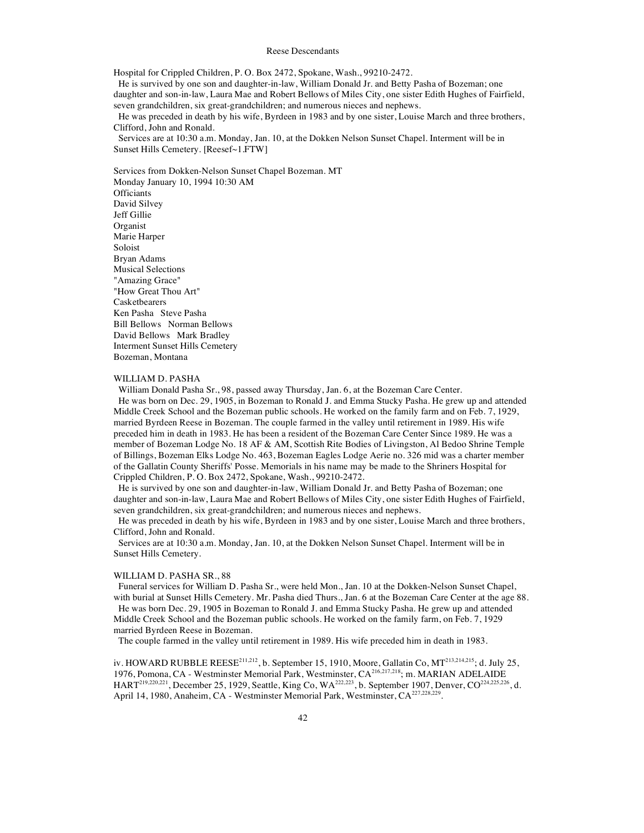Hospital for Crippled Children, P. O. Box 2472, Spokane, Wash., 99210-2472.

He is survived by one son and daughter-in-law, William Donald Jr. and Betty Pasha of Bozeman; one daughter and son-in-law, Laura Mae and Robert Bellows of Miles City, one sister Edith Hughes of Fairfield, seven grandchildren, six great-grandchildren; and numerous nieces and nephews.

He was preceded in death by his wife, Byrdeen in 1983 and by one sister, Louise March and three brothers, Clifford, John and Ronald.

Services are at 10:30 a.m. Monday, Jan. 10, at the Dokken Nelson Sunset Chapel. Interment will be in Sunset Hills Cemetery. [Reesef~1.FTW]

Services from Dokken-Nelson Sunset Chapel Bozeman. MT Monday January 10, 1994 10:30 AM **Officiants** David Silvey Jeff Gillie Organist Marie Harper Soloist Bryan Adams Musical Selections "Amazing Grace" "How Great Thou Art" Casketbearers Ken Pasha Steve Pasha Bill Bellows Norman Bellows David Bellows Mark Bradley Interment Sunset Hills Cemetery

#### WILLIAM D. PASHA

Bozeman, Montana

William Donald Pasha Sr., 98, passed away Thursday, Jan. 6, at the Bozeman Care Center. He was born on Dec. 29, 1905, in Bozeman to Ronald J. and Emma Stucky Pasha. He grew up and attended Middle Creek School and the Bozeman public schools. He worked on the family farm and on Feb. 7, 1929, married Byrdeen Reese in Bozeman. The couple farmed in the valley until retirement in 1989. His wife preceded him in death in 1983. He has been a resident of the Bozeman Care Center Since 1989. He was a member of Bozeman Lodge No. 18 AF & AM, Scottish Rite Bodies of Livingston, Al Bedoo Shrine Temple of Billings, Bozeman Elks Lodge No. 463, Bozeman Eagles Lodge Aerie no. 326 mid was a charter member of the Gallatin County Sheriffs' Posse. Memorials in his name may be made to the Shriners Hospital for Crippled Children, P. O. Box 2472, Spokane, Wash., 99210-2472.

He is survived by one son and daughter-in-law, William Donald Jr. and Betty Pasha of Bozeman; one daughter and son-in-law, Laura Mae and Robert Bellows of Miles City, one sister Edith Hughes of Fairfield, seven grandchildren, six great-grandchildren; and numerous nieces and nephews.

He was preceded in death by his wife, Byrdeen in 1983 and by one sister, Louise March and three brothers, Clifford, John and Ronald.

Services are at 10:30 a.m. Monday, Jan. 10, at the Dokken Nelson Sunset Chapel. Interment will be in Sunset Hills Cemetery.

#### WILLIAM D. PASHA SR., 88

Funeral services for William D. Pasha Sr., were held Mon., Jan. 10 at the Dokken-Nelson Sunset Chapel, with burial at Sunset Hills Cemetery. Mr. Pasha died Thurs., Jan. 6 at the Bozeman Care Center at the age 88. He was born Dec. 29, 1905 in Bozeman to Ronald J. and Emma Stucky Pasha. He grew up and attended Middle Creek School and the Bozeman public schools. He worked on the family farm, on Feb. 7, 1929 married Byrdeen Reese in Bozeman.

The couple farmed in the valley until retirement in 1989. His wife preceded him in death in 1983.

iv. HOWARD RUBBLE REESE<sup>211,212</sup>, b. September 15, 1910, Moore, Gallatin Co, MT<sup>213,214,215</sup>; d. July 25, 1976, Pomona, CA - Westminster Memorial Park, Westminster, CA<sup>216,217,218</sup>; m. MARIAN ADELAIDE HART219,220,221, December 25, 1929, Seattle, King Co, WA222,223, b. September 1907, Denver, CO224,225,226, d. April 14, 1980, Anaheim, CA - Westminster Memorial Park, Westminster, CA<sup>227,228,229</sup>.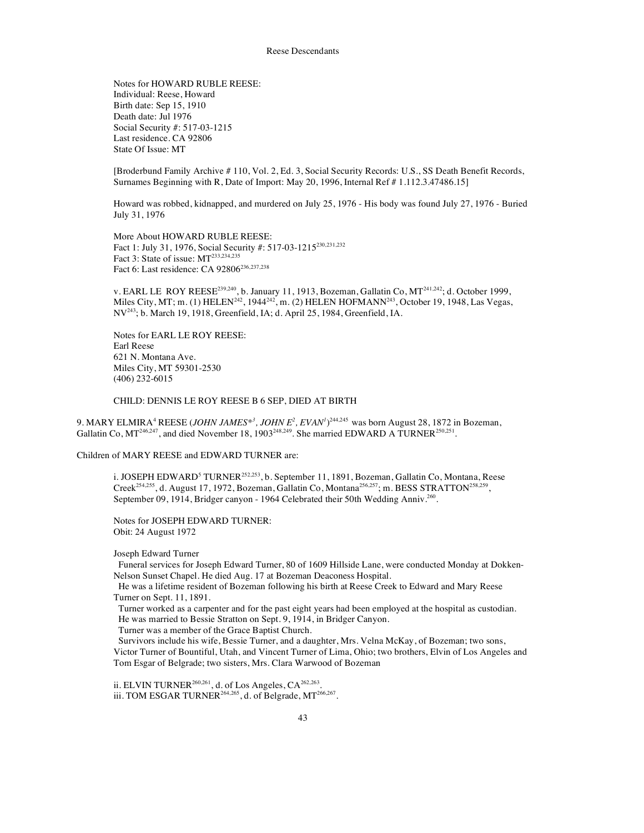Notes for HOWARD RUBLE REESE: Individual: Reese, Howard Birth date: Sep 15, 1910 Death date: Jul 1976 Social Security #: 517-03-1215 Last residence. CA 92806 State Of Issue: MT

[Broderbund Family Archive # 110, Vol. 2, Ed. 3, Social Security Records: U.S., SS Death Benefit Records, Surnames Beginning with R, Date of Import: May 20, 1996, Internal Ref # 1.112.3.47486.15]

Howard was robbed, kidnapped, and murdered on July 25, 1976 - His body was found July 27, 1976 - Buried July 31, 1976

More About HOWARD RUBLE REESE: Fact 1: July 31, 1976, Social Security #: 517-03-1215<sup>230,231,232</sup> Fact 3: State of issue: MT<sup>233,234,235</sup> Fact 6: Last residence: CA 92806<sup>236,237,238</sup>

v. EARL LE ROY REESE<sup>239,240</sup>, b. January 11, 1913, Bozeman, Gallatin Co,  $MT^{241,242}$ ; d. October 1999, Miles City, MT; m. (1) HELEN<sup>242</sup>, 1944<sup>242</sup>, m. (2) HELEN HOFMANN<sup>243</sup>, October 19, 1948, Las Vegas, NV243; b. March 19, 1918, Greenfield, IA; d. April 25, 1984, Greenfield, IA.

Notes for EARL LE ROY REESE: Earl Reese 621 N. Montana Ave. Miles City, MT 59301-2530 (406) 232-6015

CHILD: DENNIS LE ROY REESE B 6 SEP, DIED AT BIRTH

9. MARY ELMIRA<sup>4</sup> REESE (*JOHN JAMES<sup>\*3</sup>*, *JOHN E<sup>2</sup>*, *EVAN<sup>1</sup>*)<sup>244,245</sup> was born August 28, 1872 in Bozeman, Gallatin Co,  $MT^{246,247}$ , and died November 18, 1903<sup>248,249</sup>. She married EDWARD A TURNER<sup>250,251</sup>.

Children of MARY REESE and EDWARD TURNER are:

i. JOSEPH EDWARD<sup>5</sup> TURNER<sup>252,253</sup>, b. September 11, 1891, Bozeman, Gallatin Co, Montana, Reese Creek<sup>254,255</sup>, d. August 17, 1972, Bozeman, Gallatin Co, Montana<sup>256,257</sup>; m. BESS STRATTON<sup>258,259</sup>, September 09, 1914, Bridger canyon - 1964 Celebrated their 50th Wedding Anniv.<sup>260</sup>.

Notes for JOSEPH EDWARD TURNER: Obit: 24 August 1972

Joseph Edward Turner

Funeral services for Joseph Edward Turner, 80 of 1609 Hillside Lane, were conducted Monday at Dokken-Nelson Sunset Chapel. He died Aug. 17 at Bozeman Deaconess Hospital.

He was a lifetime resident of Bozeman following his birth at Reese Creek to Edward and Mary Reese Turner on Sept. 11, 1891.

Turner worked as a carpenter and for the past eight years had been employed at the hospital as custodian. He was married to Bessie Stratton on Sept. 9, 1914, in Bridger Canyon.

Turner was a member of the Grace Baptist Church.

Survivors include his wife, Bessie Turner, and a daughter, Mrs. Velna McKay, of Bozeman; two sons, Victor Turner of Bountiful, Utah, and Vincent Turner of Lima, Ohio; two brothers, Elvin of Los Angeles and Tom Esgar of Belgrade; two sisters, Mrs. Clara Warwood of Bozeman

ii. ELVIN TURNER<sup>260,261</sup>, d. of Los Angeles,  $CA^{262,263}$ . iii. TOM ESGAR TURNER<sup>264,265</sup>, d. of Belgrade, MT<sup>266,267</sup>.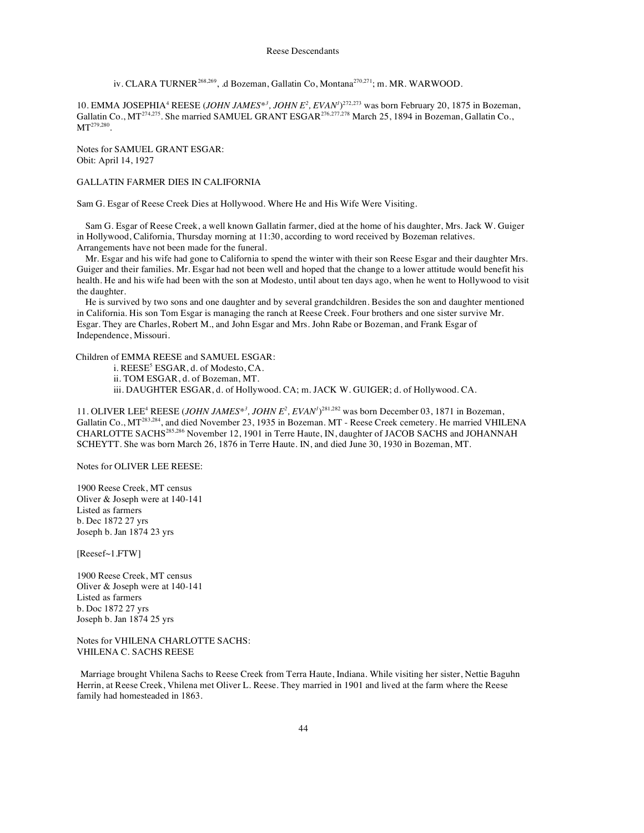iv. CLARA TURNER268,269, .d Bozeman, Gallatin Co, Montana270,271; m. MR. WARWOOD.

10. EMMA JOSEPHIA<sup>4</sup> REESE (*JOHN JAMES*<sup>\*</sup><sup>3</sup>, *JOHN E*<sup>2</sup>, *EVAN<sup><i>I*</sup>)<sup>272,273</sup> was born February 20, 1875 in Bozeman, Gallatin Co., MT<sup>274,275</sup>. She married SAMUEL GRANT ESGAR<sup>276,277,278</sup> March 25, 1894 in Bozeman, Gallatin Co., MT<sup>279,280</sup>

Notes for SAMUEL GRANT ESGAR: Obit: April 14, 1927

## GALLATIN FARMER DIES IN CALIFORNIA

Sam G. Esgar of Reese Creek Dies at Hollywood. Where He and His Wife Were Visiting.

Sam G. Esgar of Reese Creek, a well known Gallatin farmer, died at the home of his daughter, Mrs. Jack W. Guiger in Hollywood, California, Thursday morning at 11:30, according to word received by Bozeman relatives. Arrangements have not been made for the funeral.

Mr. Esgar and his wife had gone to California to spend the winter with their son Reese Esgar and their daughter Mrs. Guiger and their families. Mr. Esgar had not been well and hoped that the change to a lower attitude would benefit his health. He and his wife had been with the son at Modesto, until about ten days ago, when he went to Hollywood to visit the daughter.

He is survived by two sons and one daughter and by several grandchildren. Besides the son and daughter mentioned in California. His son Tom Esgar is managing the ranch at Reese Creek. Four brothers and one sister survive Mr. Esgar. They are Charles, Robert M., and John Esgar and Mrs. John Rabe or Bozeman, and Frank Esgar of Independence, Missouri.

Children of EMMA REESE and SAMUEL ESGAR:

i. REESE<sup>5</sup> ESGAR, d. of Modesto, CA.

ii. TOM ESGAR, d. of Bozeman, MT.

iii. DAUGHTER ESGAR, d. of Hollywood. CA; m. JACK W. GUIGER; d. of Hollywood. CA.

11. OLIVER LEE<sup>4</sup> REESE (*JOHN JAMES*<sup>\*</sup><sup>3</sup>, *JOHN E*<sup>2</sup>, *EVAN<sup>1</sup>*)<sup>281,282</sup> was born December 03, 1871 in Bozeman, Gallatin Co., MT283,284, and died November 23, 1935 in Bozeman. MT - Reese Creek cemetery. He married VHILENA CHARLOTTE SACHS285,286 November 12, 1901 in Terre Haute, IN, daughter of JACOB SACHS and JOHANNAH SCHEYTT. She was born March 26, 1876 in Terre Haute. IN, and died June 30, 1930 in Bozeman, MT.

Notes for OLIVER LEE REESE:

1900 Reese Creek, MT census Oliver & Joseph were at 140-141 Listed as farmers b. Dec 1872 27 yrs Joseph b. Jan 1874 23 yrs

[Reesef~1.FTW]

1900 Reese Creek, MT census Oliver & Joseph were at 140-141 Listed as farmers b. Doc 1872 27 yrs Joseph b. Jan 1874 25 yrs

Notes for VHILENA CHARLOTTE SACHS: VHILENA C. SACHS REESE

Marriage brought Vhilena Sachs to Reese Creek from Terra Haute, Indiana. While visiting her sister, Nettie Baguhn Herrin, at Reese Creek, Vhilena met Oliver L. Reese. They married in 1901 and lived at the farm where the Reese family had homesteaded in 1863.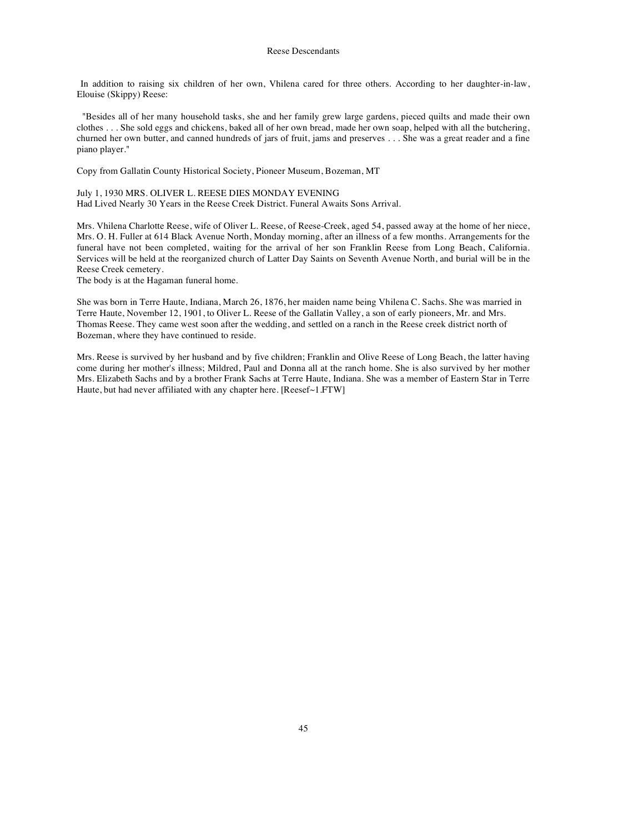In addition to raising six children of her own, Vhilena cared for three others. According to her daughter-in-law, Elouise (Skippy) Reese:

"Besides all of her many household tasks, she and her family grew large gardens, pieced quilts and made their own clothes . . . She sold eggs and chickens, baked all of her own bread, made her own soap, helped with all the butchering, churned her own butter, and canned hundreds of jars of fruit, jams and preserves . . . She was a great reader and a fine piano player."

Copy from Gallatin County Historical Society, Pioneer Museum, Bozeman, MT

July 1, 1930 MRS. OLIVER L. REESE DIES MONDAY EVENING Had Lived Nearly 30 Years in the Reese Creek District. Funeral Awaits Sons Arrival.

Mrs. Vhilena Charlotte Reese, wife of Oliver L. Reese, of Reese-Creek, aged 54, passed away at the home of her niece, Mrs. O. H. Fuller at 614 Black Avenue North, Monday morning, after an illness of a few months. Arrangements for the funeral have not been completed, waiting for the arrival of her son Franklin Reese from Long Beach, California. Services will be held at the reorganized church of Latter Day Saints on Seventh Avenue North, and burial will be in the Reese Creek cemetery.

The body is at the Hagaman funeral home.

She was born in Terre Haute, Indiana, March 26, 1876, her maiden name being Vhilena C. Sachs. She was married in Terre Haute, November 12, 1901, to Oliver L. Reese of the Gallatin Valley, a son of early pioneers, Mr. and Mrs. Thomas Reese. They came west soon after the wedding, and settled on a ranch in the Reese creek district north of Bozeman, where they have continued to reside.

Mrs. Reese is survived by her husband and by five children; Franklin and Olive Reese of Long Beach, the latter having come during her mother's illness; Mildred, Paul and Donna all at the ranch home. She is also survived by her mother Mrs. Elizabeth Sachs and by a brother Frank Sachs at Terre Haute, Indiana. She was a member of Eastern Star in Terre Haute, but had never affiliated with any chapter here. [Reesef~1.FTW]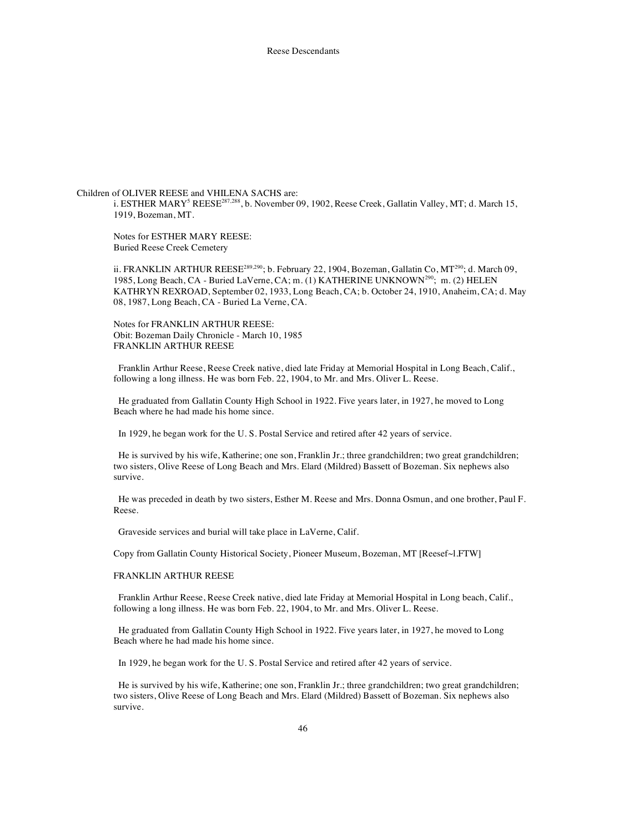Children of OLIVER REESE and VHILENA SACHS are: i. ESTHER MARY<sup>5</sup> REESE<sup>287,288</sup>, b. November 09, 1902, Reese Creek, Gallatin Valley, MT; d. March 15, 1919, Bozeman, MT.

Notes for ESTHER MARY REESE: Buried Reese Creek Cemetery

ii. FRANKLIN ARTHUR REESE<sup>289,290</sup>; b. February 22, 1904, Bozeman, Gallatin Co, MT<sup>290</sup>; d. March 09, 1985, Long Beach, CA - Buried LaVerne, CA; m. (1) KATHERINE UNKNOWN<sup>290</sup>; m. (2) HELEN KATHRYN REXROAD, September 02, 1933, Long Beach, CA; b. October 24, 1910, Anaheim, CA; d. May 08, 1987, Long Beach, CA - Buried La Verne, CA.

Notes for FRANKLIN ARTHUR REESE: Obit: Bozeman Daily Chronicle - March 10, 1985 FRANKLIN ARTHUR REESE

Franklin Arthur Reese, Reese Creek native, died late Friday at Memorial Hospital in Long Beach, Calif., following a long illness. He was born Feb. 22, 1904, to Mr. and Mrs. Oliver L. Reese.

He graduated from Gallatin County High School in 1922. Five years later, in 1927, he moved to Long Beach where he had made his home since.

In 1929, he began work for the U. S. Postal Service and retired after 42 years of service.

He is survived by his wife, Katherine; one son, Franklin Jr.; three grandchildren; two great grandchildren; two sisters, Olive Reese of Long Beach and Mrs. Elard (Mildred) Bassett of Bozeman. Six nephews also survive.

He was preceded in death by two sisters, Esther M. Reese and Mrs. Donna Osmun, and one brother, Paul F. Reese.

Graveside services and burial will take place in LaVerne, Calif.

Copy from Gallatin County Historical Society, Pioneer Museum, Bozeman, MT [Reesef~l.FTW]

# FRANKLIN ARTHUR REESE

Franklin Arthur Reese, Reese Creek native, died late Friday at Memorial Hospital in Long beach, Calif., following a long illness. He was born Feb. 22, 1904, to Mr. and Mrs. Oliver L. Reese.

He graduated from Gallatin County High School in 1922. Five years later, in 1927, he moved to Long Beach where he had made his home since.

In 1929, he began work for the U. S. Postal Service and retired after 42 years of service.

He is survived by his wife, Katherine; one son, Franklin Jr.; three grandchildren; two great grandchildren; two sisters, Olive Reese of Long Beach and Mrs. Elard (Mildred) Bassett of Bozeman. Six nephews also survive.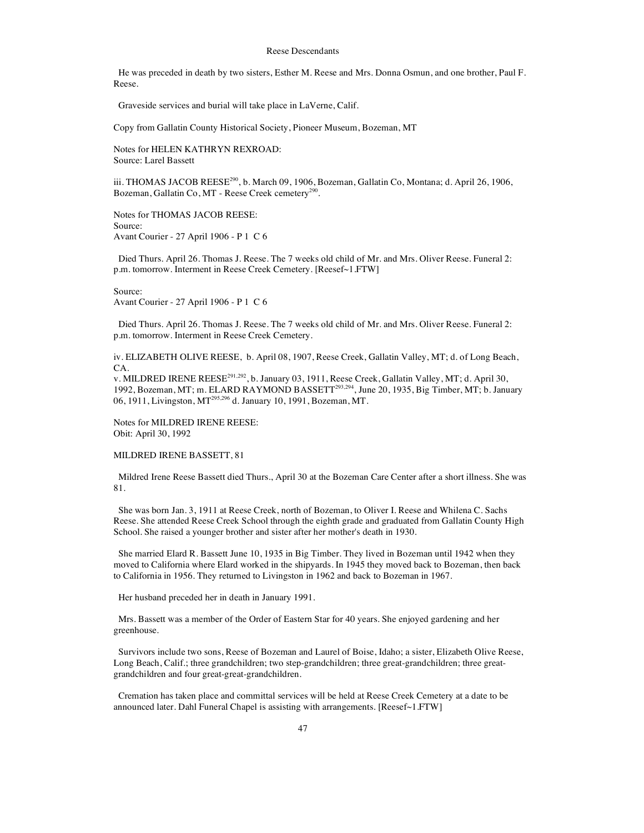He was preceded in death by two sisters, Esther M. Reese and Mrs. Donna Osmun, and one brother, Paul F. Reese.

Graveside services and burial will take place in LaVerne, Calif.

Copy from Gallatin County Historical Society, Pioneer Museum, Bozeman, MT

Notes for HELEN KATHRYN REXROAD: Source: Larel Bassett

iii. THOMAS JACOB REESE<sup>290</sup>, b. March 09, 1906, Bozeman, Gallatin Co, Montana; d. April 26, 1906, Bozeman, Gallatin Co, MT - Reese Creek cemetery<sup>290</sup>.

Notes for THOMAS JACOB REESE: Source: Avant Courier - 27 April 1906 - P 1 C 6

Died Thurs. April 26. Thomas J. Reese. The 7 weeks old child of Mr. and Mrs. Oliver Reese. Funeral 2: p.m. tomorrow. Interment in Reese Creek Cemetery. [Reesef~1.FTW]

Source: Avant Courier - 27 April 1906 - P 1 C 6

Died Thurs. April 26. Thomas J. Reese. The 7 weeks old child of Mr. and Mrs. Oliver Reese. Funeral 2: p.m. tomorrow. Interment in Reese Creek Cemetery.

iv. ELIZABETH OLIVE REESE, b. April 08, 1907, Reese Creek, Gallatin Valley, MT; d. of Long Beach,  $\mathsf{CA}$ 

v. MILDRED IRENE REESE<sup>291, 292</sup>, b. January 03, 1911, Reese Creek, Gallatin Valley, MT; d. April 30, 1992, Bozeman, MT; m. ELARD RAYMOND BASSETT<sup>293,294</sup>, June 20, 1935, Big Timber, MT; b. January 06, 1911, Livingston, MT<sup>295,296</sup> d. January 10, 1991, Bozeman, MT.

Notes for MILDRED IRENE REESE: Obit: April 30, 1992

## MILDRED IRENE BASSETT, 81

Mildred Irene Reese Bassett died Thurs., April 30 at the Bozeman Care Center after a short illness. She was 81.

She was born Jan. 3, 1911 at Reese Creek, north of Bozeman, to Oliver I. Reese and Whilena C. Sachs Reese. She attended Reese Creek School through the eighth grade and graduated from Gallatin County High School. She raised a younger brother and sister after her mother's death in 1930.

She married Elard R. Bassett June 10, 1935 in Big Timber. They lived in Bozeman until 1942 when they moved to California where Elard worked in the shipyards. In 1945 they moved back to Bozeman, then back to California in 1956. They returned to Livingston in 1962 and back to Bozeman in 1967.

Her husband preceded her in death in January 1991.

Mrs. Bassett was a member of the Order of Eastern Star for 40 years. She enjoyed gardening and her greenhouse.

Survivors include two sons, Reese of Bozeman and Laurel of Boise, Idaho; a sister, Elizabeth Olive Reese, Long Beach, Calif.; three grandchildren; two step-grandchildren; three great-grandchildren; three greatgrandchildren and four great-great-grandchildren.

Cremation has taken place and committal services will be held at Reese Creek Cemetery at a date to be announced later. Dahl Funeral Chapel is assisting with arrangements. [Reesef~1.FTW]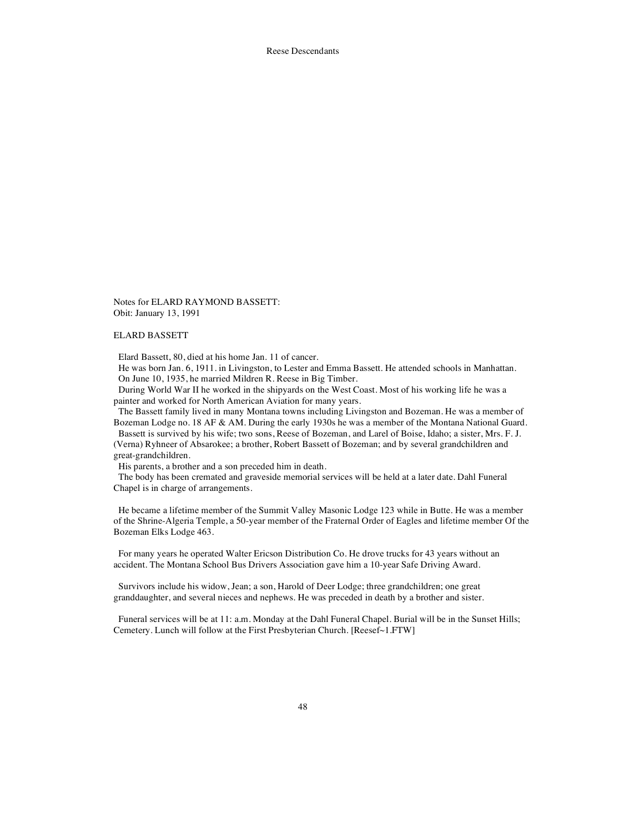Notes for ELARD RAYMOND BASSETT: Obit: January 13, 1991

#### ELARD BASSETT

Elard Bassett, 80, died at his home Jan. 11 of cancer.

He was born Jan. 6, 1911. in Livingston, to Lester and Emma Bassett. He attended schools in Manhattan. On June 10, 1935, he married Mildren R. Reese in Big Timber.

During World War II he worked in the shipyards on the West Coast. Most of his working life he was a painter and worked for North American Aviation for many years.

The Bassett family lived in many Montana towns including Livingston and Bozeman. He was a member of Bozeman Lodge no. 18 AF & AM. During the early 1930s he was a member of the Montana National Guard. Bassett is survived by his wife; two sons, Reese of Bozeman, and Larel of Boise, Idaho; a sister, Mrs. F. J. (Verna) Ryhneer of Absarokee; a brother, Robert Bassett of Bozeman; and by several grandchildren and

great-grandchildren.

His parents, a brother and a son preceded him in death.

The body has been cremated and graveside memorial services will be held at a later date. Dahl Funeral Chapel is in charge of arrangements.

He became a lifetime member of the Summit Valley Masonic Lodge 123 while in Butte. He was a member of the Shrine-Algeria Temple, a 50-year member of the Fraternal Order of Eagles and lifetime member Of the Bozeman Elks Lodge 463.

For many years he operated Walter Ericson Distribution Co. He drove trucks for 43 years without an accident. The Montana School Bus Drivers Association gave him a 10-year Safe Driving Award.

Survivors include his widow, Jean; a son, Harold of Deer Lodge; three grandchildren; one great granddaughter, and several nieces and nephews. He was preceded in death by a brother and sister.

Funeral services will be at 11: a.m. Monday at the Dahl Funeral Chapel. Burial will be in the Sunset Hills; Cemetery. Lunch will follow at the First Presbyterian Church. [Reesef~1.FTW]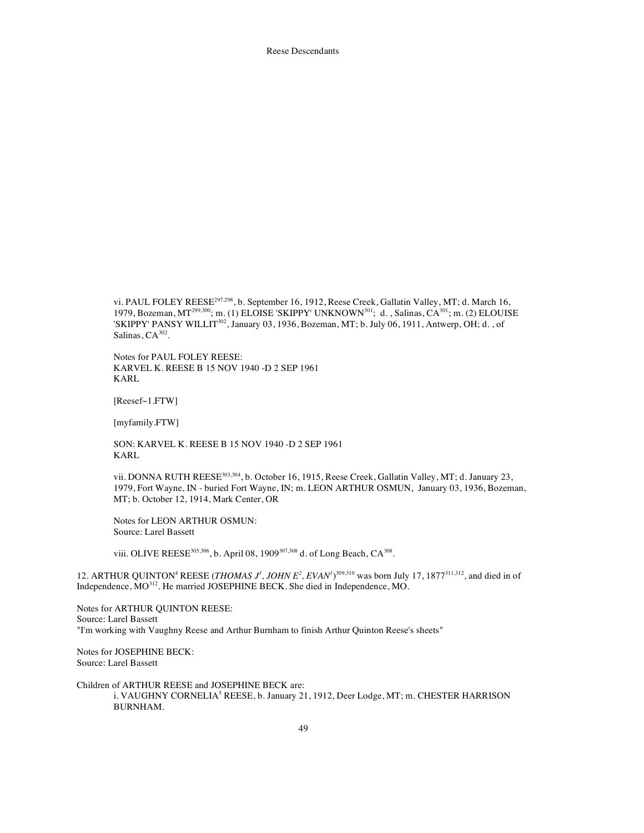vi. PAUL FOLEY REESE<sup>297,298</sup>, b. September 16, 1912, Reese Creek, Gallatin Valley, MT; d. March 16, 1979, Bozeman, MT<sup>299,300</sup>; m. (1) ELOISE 'SKIPPY' UNKNOWN<sup>301</sup>; d., Salinas, CA<sup>301</sup>; m. (2) ELOUISE 'SKIPPY' PANSY WILLIT<sup>302</sup>, January 03, 1936, Bozeman, MT; b. July 06, 1911, Antwerp, OH; d., of Salinas, CA<sup>302</sup>.

Notes for PAUL FOLEY REESE: KARVEL K. REESE B 15 NOV 1940 -D 2 SEP 1961 KARL

[Reesef~1.FTW]

[myfamily.FTW]

SON: KARVEL K. REESE B 15 NOV 1940 -D 2 SEP 1961 KARL

vii. DONNA RUTH REESE  $303,304$ , b. October 16, 1915, Reese Creek, Gallatin Valley, MT; d. January 23, 1979, Fort Wayne, IN - buried Fort Wayne, IN; m. LEON ARTHUR OSMUN, January 03, 1936, Bozeman, MT; b. October 12, 1914, Mark Center, OR

Notes for LEON ARTHUR OSMUN: Source: Larel Bassett

viii. OLIVE REESE<sup>305,306</sup>, b. April 08, 1909<sup>307,308</sup> d. of Long Beach, CA<sup>308</sup>.

12. ARTHUR QUINTON<sup>4</sup> REESE (*THOMAS*  $J^3$ *, JOHN E<sup>2</sup>, EVAN<sup>* $J$ *309,310</sup> was born July 17, 1877<sup>311,312</sup>, and died in of* Independence,  $MO^{312}$ . He married JOSEPHINE BECK. She died in Independence, MO.

Notes for ARTHUR QUINTON REESE: Source: Larel Bassett "I'm working with Vaughny Reese and Arthur Burnham to finish Arthur Quinton Reese's sheets"

Notes for JOSEPHINE BECK: Source: Larel Bassett

Children of ARTHUR REESE and JOSEPHINE BECK are: i. VAUGHNY CORNELIA<sup>5</sup> REESE, b. January 21, 1912, Deer Lodge, MT; m. CHESTER HARRISON BURNHAM.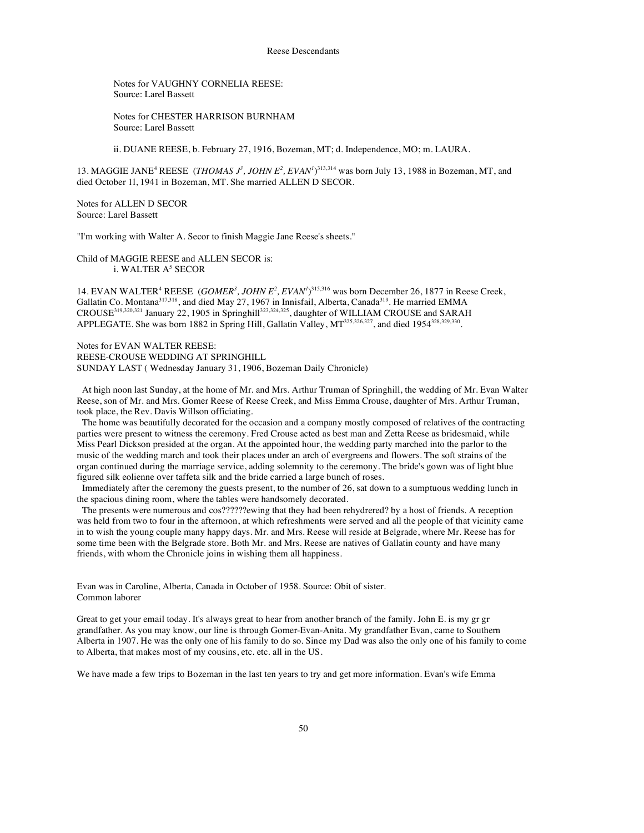Notes for VAUGHNY CORNELIA REESE: Source: Larel Bassett

Notes for CHESTER HARRISON BURNHAM Source: Larel Bassett

ii. DUANE REESE, b. February 27, 1916, Bozeman, MT; d. Independence, MO; m. LAURA.

13. MAGGIE JANE<sup>4</sup> REESE (*THOMAS*  $J^3$ *, JOHN E<sup>2</sup>, EVAN<sup>* $1$ *</sup>)*<sup>313,314</sup> was born July 13, 1988 in Bozeman, MT, and died October 1l, 1941 in Bozeman, MT. She married ALLEN D SECOR.

Notes for ALLEN D SECOR Source: Larel Bassett

"I'm working with Walter A. Secor to finish Maggie Jane Reese's sheets."

Child of MAGGIE REESE and ALLEN SECOR is: i. WALTER A<sup>5</sup> SECOR

14. EVAN WALTER<sup>4</sup> REESE (*GOMER<sup>3</sup>*, *JOHN E<sup>2</sup>*, *EVAN<sup>1</sup>*)<sup>315,316</sup> was born December 26, 1877 in Reese Creek, Gallatin Co. Montana<sup>317,318</sup>, and died May 27, 1967 in Innisfail, Alberta, Canada<sup>319</sup>. He married EMMA CROUSE<sup>319,320,321</sup> January 22, 1905 in Springhill<sup>323,324,325</sup>, daughter of WILLIAM CROUSE and SARAH APPLEGATE. She was born 1882 in Spring Hill, Gallatin Valley, MT<sup>325,326,327</sup>, and died 1954<sup>328,329,330</sup>.

Notes for EVAN WALTER REESE: REESE-CROUSE WEDDING AT SPRINGHILL SUNDAY LAST ( Wednesday January 31, 1906, Bozeman Daily Chronicle)

At high noon last Sunday, at the home of Mr. and Mrs. Arthur Truman of Springhill, the wedding of Mr. Evan Walter Reese, son of Mr. and Mrs. Gomer Reese of Reese Creek, and Miss Emma Crouse, daughter of Mrs. Arthur Truman, took place, the Rev. Davis Willson officiating.

The home was beautifully decorated for the occasion and a company mostly composed of relatives of the contracting parties were present to witness the ceremony. Fred Crouse acted as best man and Zetta Reese as bridesmaid, while Miss Pearl Dickson presided at the organ. At the appointed hour, the wedding party marched into the parlor to the music of the wedding march and took their places under an arch of evergreens and flowers. The soft strains of the organ continued during the marriage service, adding solemnity to the ceremony. The bride's gown was of light blue figured silk eolienne over taffeta silk and the bride carried a large bunch of roses.

Immediately after the ceremony the guests present, to the number of 26, sat down to a sumptuous wedding lunch in the spacious dining room, where the tables were handsomely decorated.

The presents were numerous and cos??????ewing that they had been rehydrered? by a host of friends. A reception was held from two to four in the afternoon, at which refreshments were served and all the people of that vicinity came in to wish the young couple many happy days. Mr. and Mrs. Reese will reside at Belgrade, where Mr. Reese has for some time been with the Belgrade store. Both Mr. and Mrs. Reese are natives of Gallatin county and have many friends, with whom the Chronicle joins in wishing them all happiness.

Evan was in Caroline, Alberta, Canada in October of 1958. Source: Obit of sister. Common laborer

Great to get your email today. It's always great to hear from another branch of the family. John E. is my gr gr grandfather. As you may know, our line is through Gomer-Evan-Anita. My grandfather Evan, came to Southern Alberta in 1907. He was the only one of his family to do so. Since my Dad was also the only one of his family to come to Alberta, that makes most of my cousins, etc. etc. all in the US.

We have made a few trips to Bozeman in the last ten years to try and get more information. Evan's wife Emma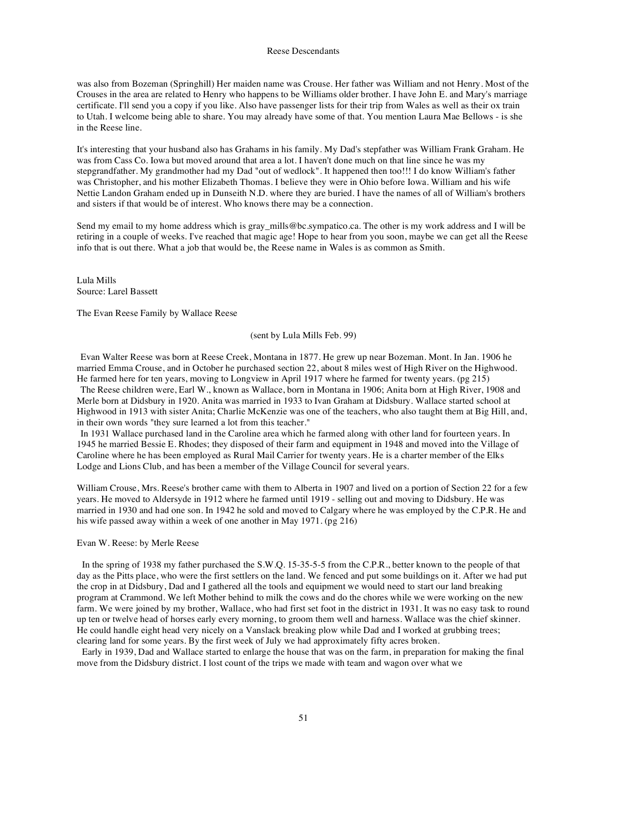was also from Bozeman (Springhill) Her maiden name was Crouse. Her father was William and not Henry. Most of the Crouses in the area are related to Henry who happens to be Williams older brother. I have John E. and Mary's marriage certificate. I'll send you a copy if you like. Also have passenger lists for their trip from Wales as well as their ox train to Utah. I welcome being able to share. You may already have some of that. You mention Laura Mae Bellows - is she in the Reese line.

It's interesting that your husband also has Grahams in his family. My Dad's stepfather was William Frank Graham. He was from Cass Co. Iowa but moved around that area a lot. I haven't done much on that line since he was my stepgrandfather. My grandmother had my Dad "out of wedlock". It happened then too!!! I do know William's father was Christopher, and his mother Elizabeth Thomas. I believe they were in Ohio before Iowa. William and his wife Nettie Landon Graham ended up in Dunseith N.D. where they are buried. I have the names of all of William's brothers and sisters if that would be of interest. Who knows there may be a connection.

Send my email to my home address which is gray\_mills@bc.sympatico.ca. The other is my work address and I will be retiring in a couple of weeks. I've reached that magic age! Hope to hear from you soon, maybe we can get all the Reese info that is out there. What a job that would be, the Reese name in Wales is as common as Smith.

Lula Mills Source: Larel Bassett

The Evan Reese Family by Wallace Reese

## (sent by Lula Mills Feb. 99)

Evan Walter Reese was born at Reese Creek, Montana in 1877. He grew up near Bozeman. Mont. In Jan. 1906 he married Emma Crouse, and in October he purchased section 22, about 8 miles west of High River on the Highwood. He farmed here for ten years, moving to Longview in April 1917 where he farmed for twenty years. (pg 215)

The Reese children were, Earl W., known as Wallace, born in Montana in 1906; Anita born at High River, 1908 and Merle born at Didsbury in 1920. Anita was married in 1933 to Ivan Graham at Didsbury. Wallace started school at Highwood in 1913 with sister Anita; Charlie McKenzie was one of the teachers, who also taught them at Big Hill, and, in their own words "they sure learned a lot from this teacher."

In 1931 Wallace purchased land in the Caroline area which he farmed along with other land for fourteen years. In 1945 he married Bessie E. Rhodes; they disposed of their farm and equipment in 1948 and moved into the Village of Caroline where he has been employed as Rural Mail Carrier for twenty years. He is a charter member of the Elks Lodge and Lions Club, and has been a member of the Village Council for several years.

William Crouse, Mrs. Reese's brother came with them to Alberta in 1907 and lived on a portion of Section 22 for a few years. He moved to Aldersyde in 1912 where he farmed until 1919 - selling out and moving to Didsbury. He was married in 1930 and had one son. In 1942 he sold and moved to Calgary where he was employed by the C.P.R. He and his wife passed away within a week of one another in May 1971. (pg 216)

## Evan W. Reese: by Merle Reese

In the spring of 1938 my father purchased the S.W.Q. 15-35-5-5 from the C.P.R., better known to the people of that day as the Pitts place, who were the first settlers on the land. We fenced and put some buildings on it. After we had put the crop in at Didsbury, Dad and I gathered all the tools and equipment we would need to start our land breaking program at Crammond. We left Mother behind to milk the cows and do the chores while we were working on the new farm. We were joined by my brother, Wallace, who had first set foot in the district in 1931. It was no easy task to round up ten or twelve head of horses early every morning, to groom them well and harness. Wallace was the chief skinner. He could handle eight head very nicely on a Vanslack breaking plow while Dad and I worked at grubbing trees; clearing land for some years. By the first week of July we had approximately fifty acres broken.

Early in 1939, Dad and Wallace started to enlarge the house that was on the farm, in preparation for making the final move from the Didsbury district. I lost count of the trips we made with team and wagon over what we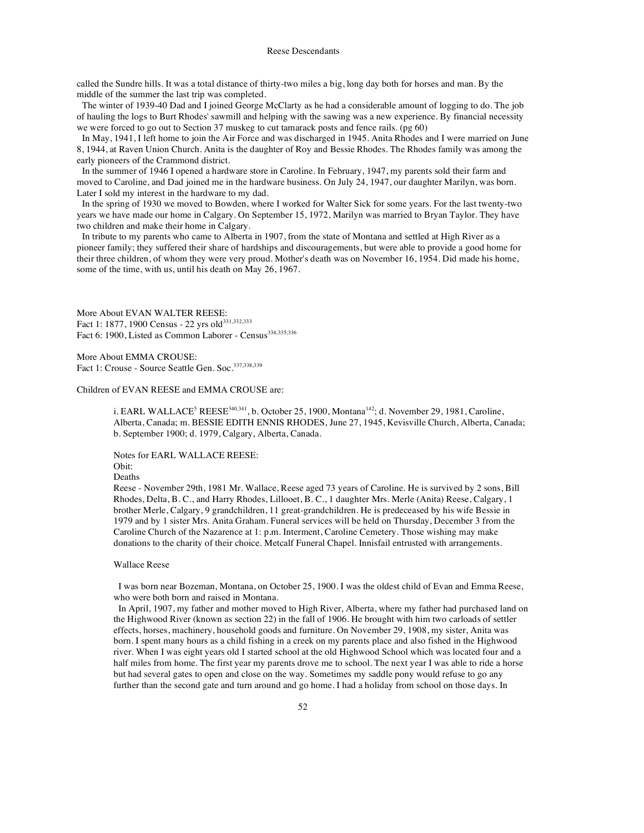called the Sundre hills. It was a total distance of thirty-two miles a big, long day both for horses and man. By the middle of the summer the last trip was completed.

The winter of 1939-40 Dad and I joined George McClarty as he had a considerable amount of logging to do. The job of hauling the logs to Burt Rhodes' sawmill and helping with the sawing was a new experience. By financial necessity we were forced to go out to Section 37 muskeg to cut tamarack posts and fence rails. (pg 60)

In May, 1941, I left home to join the Air Force and was discharged in 1945. Anita Rhodes and I were married on June 8, 1944, at Raven Union Church. Anita is the daughter of Roy and Bessie Rhodes. The Rhodes family was among the early pioneers of the Crammond district.

In the summer of 1946 I opened a hardware store in Caroline. In February, 1947, my parents sold their farm and moved to Caroline, and Dad joined me in the hardware business. On July 24, 1947, our daughter Marilyn, was born. Later I sold my interest in the hardware to my dad.

In the spring of 1930 we moved to Bowden, where I worked for Walter Sick for some years. For the last twenty-two years we have made our home in Calgary. On September 15, 1972, Marilyn was married to Bryan Taylor. They have two children and make their home in Calgary.

In tribute to my parents who came to Alberta in 1907, from the state of Montana and settled at High River as a pioneer family; they suffered their share of hardships and discouragements, but were able to provide a good home for their three children, of whom they were very proud. Mother's death was on November 16, 1954. Did made his home, some of the time, with us, until his death on May 26, 1967.

More About EVAN WALTER REESE: Fact 1: 1877, 1900 Census - 22 yrs old<sup>331,332,333</sup> Fact 6: 1900, Listed as Common Laborer - Census<sup>334,335,336</sup>

More About EMMA CROUSE: Fact 1: Crouse - Source Seattle Gen. Soc.<sup>337,338,339</sup>

## Children of EVAN REESE and EMMA CROUSE are:

i. EARL WALLACE<sup>5</sup> REESE<sup>340,341</sup>, b. October 25, 1900, Montana<sup>142</sup>; d. November 29, 1981, Caroline, Alberta, Canada; m. BESSIE EDITH ENNIS RHODES, June 27, 1945, Kevisville Church, Alberta, Canada; b. September 1900; d. 1979, Calgary, Alberta, Canada.

Notes for EARL WALLACE REESE: Obit:

#### Deaths

Reese - November 29th, 1981 Mr. Wallace, Reese aged 73 years of Caroline. He is survived by 2 sons, Bill Rhodes, Delta, B. C., and Harry Rhodes, Lillooet, B. C., 1 daughter Mrs. Merle (Anita) Reese, Calgary, 1 brother Merle, Calgary, 9 grandchildren, 11 great-grandchildren. He is predeceased by his wife Bessie in 1979 and by 1 sister Mrs. Anita Graham. Funeral services will be held on Thursday, December 3 from the Caroline Church of the Nazarence at 1: p.m. Interment, Caroline Cemetery. Those wishing may make donations to the charity of their choice. Metcalf Funeral Chapel. Innisfail entrusted with arrangements.

# Wallace Reese

I was born near Bozeman, Montana, on October 25, 1900. I was the oldest child of Evan and Emma Reese, who were both born and raised in Montana.

In April, 1907, my father and mother moved to High River, Alberta, where my father had purchased land on the Highwood River (known as section 22) in the fall of 1906. He brought with him two carloads of settler effects, horses, machinery, household goods and furniture. On November 29, 1908, my sister, Anita was born. I spent many hours as a child fishing in a creek on my parents place and also fished in the Highwood river. When I was eight years old I started school at the old Highwood School which was located four and a half miles from home. The first year my parents drove me to school. The next year I was able to ride a horse but had several gates to open and close on the way. Sometimes my saddle pony would refuse to go any further than the second gate and turn around and go home. I had a holiday from school on those days. In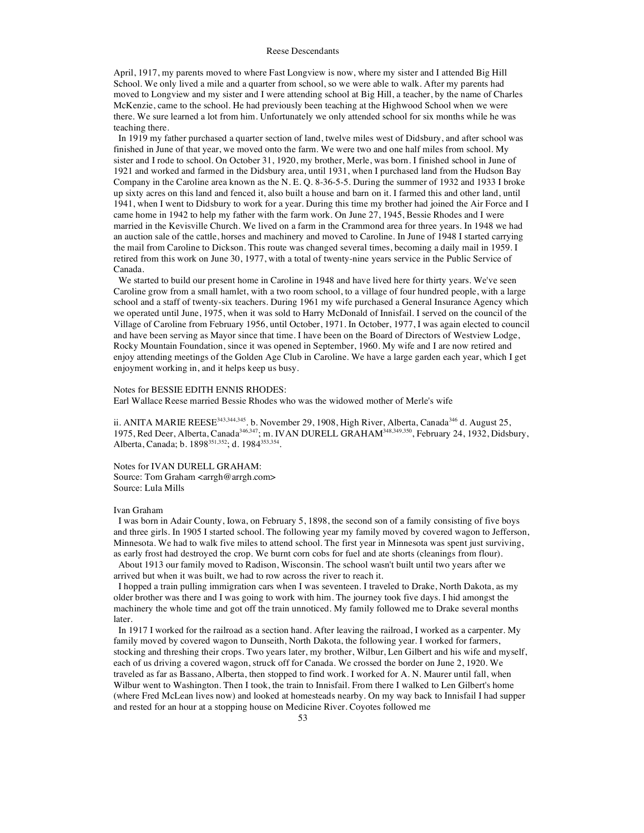April, 1917, my parents moved to where Fast Longview is now, where my sister and I attended Big Hill School. We only lived a mile and a quarter from school, so we were able to walk. After my parents had moved to Longview and my sister and I were attending school at Big Hill, a teacher, by the name of Charles McKenzie, came to the school. He had previously been teaching at the Highwood School when we were there. We sure learned a lot from him. Unfortunately we only attended school for six months while he was teaching there.

In 1919 my father purchased a quarter section of land, twelve miles west of Didsbury, and after school was finished in June of that year, we moved onto the farm. We were two and one half miles from school. My sister and I rode to school. On October 31, 1920, my brother, Merle, was born. I finished school in June of 1921 and worked and farmed in the Didsbury area, until 1931, when I purchased land from the Hudson Bay Company in the Caroline area known as the N. E. Q. 8-36-5-5. During the summer of 1932 and 1933 I broke up sixty acres on this land and fenced it, also built a house and barn on it. I farmed this and other land, until 1941, when I went to Didsbury to work for a year. During this time my brother had joined the Air Force and I came home in 1942 to help my father with the farm work. On June 27, 1945, Bessie Rhodes and I were married in the Kevisville Church. We lived on a farm in the Crammond area for three years. In 1948 we had an auction sale of the cattle, horses and machinery and moved to Caroline. In June of 1948 I started carrying the mail from Caroline to Dickson. This route was changed several times, becoming a daily mail in 1959. I retired from this work on June 30, 1977, with a total of twenty-nine years service in the Public Service of Canada.

We started to build our present home in Caroline in 1948 and have lived here for thirty years. We've seen Caroline grow from a small hamlet, with a two room school, to a village of four hundred people, with a large school and a staff of twenty-six teachers. During 1961 my wife purchased a General Insurance Agency which we operated until June, 1975, when it was sold to Harry McDonald of Innisfail. I served on the council of the Village of Caroline from February 1956, until October, 1971. In October, 1977, I was again elected to council and have been serving as Mayor since that time. I have been on the Board of Directors of Westview Lodge, Rocky Mountain Foundation, since it was opened in September, 1960. My wife and I are now retired and enjoy attending meetings of the Golden Age Club in Caroline. We have a large garden each year, which I get enjoyment working in, and it helps keep us busy.

# Notes for BESSIE EDITH ENNIS RHODES:

Earl Wallace Reese married Bessie Rhodes who was the widowed mother of Merle's wife

ii. ANITA MARIE REESE<sup>343,344,345</sup>. b. November 29, 1908, High River, Alberta, Canada<sup>346</sup> d. August 25, 1975, Red Deer, Alberta, Canada346,347; m. IVAN DURELL GRAHAM348,349,350, February 24, 1932, Didsbury, Alberta, Canada; b. 1898<sup>351,352</sup>; d. 1984<sup>353,354</sup>.

Notes for IVAN DURELL GRAHAM: Source: Tom Graham <arrgh@arrgh.com>

Source: Lula Mills

#### Ivan Graham

I was born in Adair County, Iowa, on February 5, 1898, the second son of a family consisting of five boys and three girls. In 1905 I started school. The following year my family moved by covered wagon to Jefferson, Minnesota. We had to walk five miles to attend school. The first year in Minnesota was spent just surviving, as early frost had destroyed the crop. We burnt corn cobs for fuel and ate shorts (cleanings from flour). About 1913 our family moved to Radison, Wisconsin. The school wasn't built until two years after we

arrived but when it was built, we had to row across the river to reach it. I hopped a train pulling immigration cars when I was seventeen. I traveled to Drake, North Dakota, as my older brother was there and I was going to work with him. The journey took five days. I hid amongst the machinery the whole time and got off the train unnoticed. My family followed me to Drake several months later.

In 1917 I worked for the railroad as a section hand. After leaving the railroad, I worked as a carpenter. My family moved by covered wagon to Dunseith, North Dakota, the following year. I worked for farmers, stocking and threshing their crops. Two years later, my brother, Wilbur, Len Gilbert and his wife and myself, each of us driving a covered wagon, struck off for Canada. We crossed the border on June 2, 1920. We traveled as far as Bassano, Alberta, then stopped to find work. I worked for A. N. Maurer until fall, when Wilbur went to Washington. Then I took, the train to Innisfail. From there I walked to Len Gilbert's home (where Fred McLean lives now) and looked at homesteads nearby. On my way back to Innisfail I had supper and rested for an hour at a stopping house on Medicine River. Coyotes followed me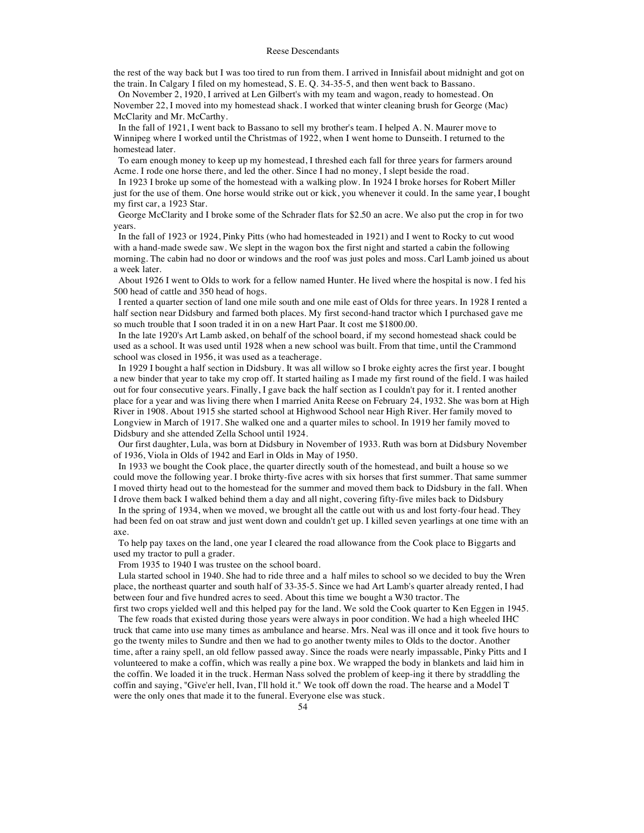the rest of the way back but I was too tired to run from them. I arrived in Innisfail about midnight and got on the train. In Calgary I filed on my homestead, S. E. Q. 34-35-5, and then went back to Bassano.

On November 2, 1920, I arrived at Len Gilbert's with my team and wagon, ready to homestead. On November 22, I moved into my homestead shack. I worked that winter cleaning brush for George (Mac) McClarity and Mr. McCarthy.

In the fall of 1921, I went back to Bassano to sell my brother's team. I helped A. N. Maurer move to Winnipeg where I worked until the Christmas of 1922, when I went home to Dunseith. I returned to the homestead later.

To earn enough money to keep up my homestead, I threshed each fall for three years for farmers around Acme. I rode one horse there, and led the other. Since I had no money, I slept beside the road.

In 1923 I broke up some of the homestead with a walking plow. In 1924 I broke horses for Robert Miller just for the use of them. One horse would strike out or kick, you whenever it could. In the same year, I bought my first car, a 1923 Star.

George McClarity and I broke some of the Schrader flats for \$2.50 an acre. We also put the crop in for two years.

In the fall of 1923 or 1924, Pinky Pitts (who had homesteaded in 1921) and I went to Rocky to cut wood with a hand-made swede saw. We slept in the wagon box the first night and started a cabin the following morning. The cabin had no door or windows and the roof was just poles and moss. Carl Lamb joined us about a week later.

About 1926 I went to Olds to work for a fellow named Hunter. He lived where the hospital is now. I fed his 500 head of cattle and 350 head of hogs.

I rented a quarter section of land one mile south and one mile east of Olds for three years. In 1928 I rented a half section near Didsbury and farmed both places. My first second-hand tractor which I purchased gave me so much trouble that I soon traded it in on a new Hart Paar. It cost me \$1800.00.

In the late 1920's Art Lamb asked, on behalf of the school board, if my second homestead shack could be used as a school. It was used until 1928 when a new school was built. From that time, until the Crammond school was closed in 1956, it was used as a teacherage.

In 1929 I bought a half section in Didsbury. It was all willow so I broke eighty acres the first year. I bought a new binder that year to take my crop off. It started hailing as I made my first round of the field. I was hailed out for four consecutive years. Finally, I gave back the half section as I couldn't pay for it. I rented another place for a year and was living there when I married Anita Reese on February 24, 1932. She was born at High River in 1908. About 1915 she started school at Highwood School near High River. Her family moved to Longview in March of 1917. She walked one and a quarter miles to school. In 1919 her family moved to Didsbury and she attended Zella School until 1924.

Our first daughter, Lula, was born at Didsbury in November of 1933. Ruth was born at Didsbury November of 1936, Viola in Olds of 1942 and Earl in Olds in May of 1950.

In 1933 we bought the Cook place, the quarter directly south of the homestead, and built a house so we could move the following year. I broke thirty-five acres with six horses that first summer. That same summer I moved thirty head out to the homestead for the summer and moved them back to Didsbury in the fall. When I drove them back I walked behind them a day and all night, covering fifty-five miles back to Didsbury

In the spring of 1934, when we moved, we brought all the cattle out with us and lost forty-four head. They had been fed on oat straw and just went down and couldn't get up. I killed seven yearlings at one time with an axe.

To help pay taxes on the land, one year I cleared the road allowance from the Cook place to Biggarts and used my tractor to pull a grader.

From 1935 to 1940 I was trustee on the school board.

Lula started school in 1940. She had to ride three and a half miles to school so we decided to buy the Wren place, the northeast quarter and south half of 33-35-5. Since we had Art Lamb's quarter already rented, I had between four and five hundred acres to seed. About this time we bought a W30 tractor. The

first two crops yielded well and this helped pay for the land. We sold the Cook quarter to Ken Eggen in 1945. The few roads that existed during those years were always in poor condition. We had a high wheeled IHC truck that came into use many times as ambulance and hearse. Mrs. Neal was ill once and it took five hours to go the twenty miles to Sundre and then we had to go another twenty miles to Olds to the doctor. Another time, after a rainy spell, an old fellow passed away. Since the roads were nearly impassable, Pinky Pitts and I volunteered to make a coffin, which was really a pine box. We wrapped the body in blankets and laid him in the coffin. We loaded it in the truck. Herman Nass solved the problem of keep-ing it there by straddling the coffin and saying, "Give'er hell, Ivan, I'll hold it." We took off down the road. The hearse and a Model T were the only ones that made it to the funeral. Everyone else was stuck.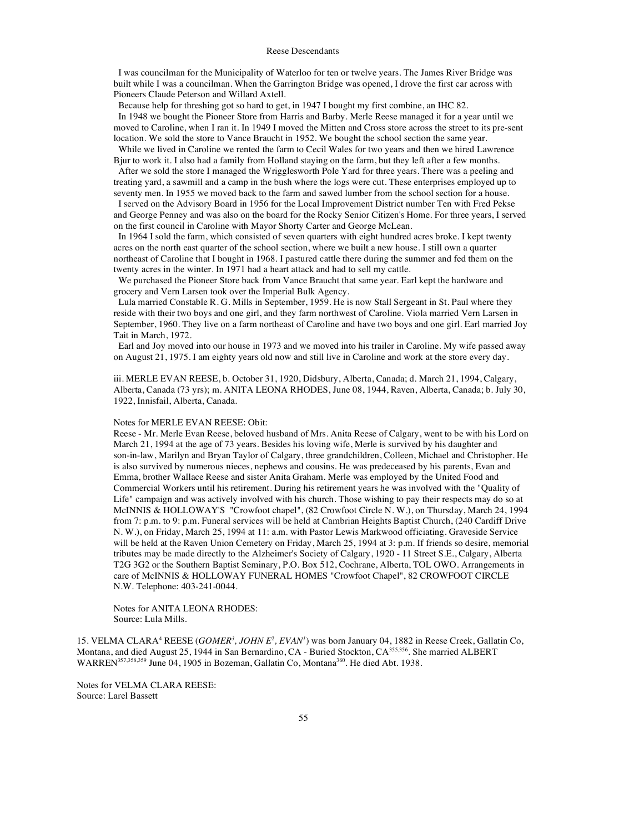I was councilman for the Municipality of Waterloo for ten or twelve years. The James River Bridge was built while I was a councilman. When the Garrington Bridge was opened, I drove the first car across with Pioneers Claude Peterson and Willard Axtell.

Because help for threshing got so hard to get, in 1947 I bought my first combine, an IHC 82.

In 1948 we bought the Pioneer Store from Harris and Barby. Merle Reese managed it for a year until we moved to Caroline, when I ran it. In 1949 I moved the Mitten and Cross store across the street to its pre-sent location. We sold the store to Vance Braucht in 1952. We bought the school section the same year.

While we lived in Caroline we rented the farm to Cecil Wales for two years and then we hired Lawrence Bjur to work it. I also had a family from Holland staying on the farm, but they left after a few months.

After we sold the store I managed the Wrigglesworth Pole Yard for three years. There was a peeling and treating yard, a sawmill and a camp in the bush where the logs were cut. These enterprises employed up to seventy men. In 1955 we moved back to the farm and sawed lumber from the school section for a house.

I served on the Advisory Board in 1956 for the Local Improvement District number Ten with Fred Pekse and George Penney and was also on the board for the Rocky Senior Citizen's Home. For three years, I served on the first council in Caroline with Mayor Shorty Carter and George McLean.

In 1964 I sold the farm, which consisted of seven quarters with eight hundred acres broke. I kept twenty acres on the north east quarter of the school section, where we built a new house. I still own a quarter northeast of Caroline that I bought in 1968. I pastured cattle there during the summer and fed them on the twenty acres in the winter. In 1971 had a heart attack and had to sell my cattle.

We purchased the Pioneer Store back from Vance Braucht that same year. Earl kept the hardware and grocery and Vern Larsen took over the Imperial Bulk Agency.

Lula married Constable R. G. Mills in September, 1959. He is now Stall Sergeant in St. Paul where they reside with their two boys and one girl, and they farm northwest of Caroline. Viola married Vern Larsen in September, 1960. They live on a farm northeast of Caroline and have two boys and one girl. Earl married Joy Tait in March, 1972.

Earl and Joy moved into our house in 1973 and we moved into his trailer in Caroline. My wife passed away on August 21, 1975. I am eighty years old now and still live in Caroline and work at the store every day.

iii. MERLE EVAN REESE, b. October 31, 1920, Didsbury, Alberta, Canada; d. March 21, 1994, Calgary, Alberta, Canada (73 yrs); m. ANITA LEONA RHODES, June 08, 1944, Raven, Alberta, Canada; b. July 30, 1922, Innisfail, Alberta, Canada.

## Notes for MERLE EVAN REESE: Obit:

Reese - Mr. Merle Evan Reese, beloved husband of Mrs. Anita Reese of Calgary, went to be with his Lord on March 21, 1994 at the age of 73 years. Besides his loving wife, Merle is survived by his daughter and son-in-law, Marilyn and Bryan Taylor of Calgary, three grandchildren, Colleen, Michael and Christopher. He is also survived by numerous nieces, nephews and cousins. He was predeceased by his parents, Evan and Emma, brother Wallace Reese and sister Anita Graham. Merle was employed by the United Food and Commercial Workers until his retirement. During his retirement years he was involved with the "Quality of Life" campaign and was actively involved with his church. Those wishing to pay their respects may do so at McINNIS & HOLLOWAY'S "Crowfoot chapel", (82 Crowfoot Circle N. W.), on Thursday, March 24, 1994 from 7: p.m. to 9: p.m. Funeral services will be held at Cambrian Heights Baptist Church, (240 Cardiff Drive N. W.), on Friday, March 25, 1994 at 11: a.m. with Pastor Lewis Markwood officiating. Graveside Service will be held at the Raven Union Cemetery on Friday, March 25, 1994 at 3: p.m. If friends so desire, memorial tributes may be made directly to the Alzheimer's Society of Calgary, 1920 - 11 Street S.E., Calgary, Alberta T2G 3G2 or the Southern Baptist Seminary, P.O. Box 512, Cochrane, Alberta, TOL OWO. Arrangements in care of McINNIS & HOLLOWAY FUNERAL HOMES "Crowfoot Chapel", 82 CROWFOOT CIRCLE N.W. Telephone: 403-241-0044.

Notes for ANITA LEONA RHODES: Source: Lula Mills.

15. VELMA CLARA<sup>4</sup> REESE (*GOMER<sup>3</sup>*, *JOHN E<sup>2</sup>*, *EVAN<sup>1</sup>*) was born January 04, 1882 in Reese Creek, Gallatin Co, Montana, and died August 25, 1944 in San Bernardino, CA - Buried Stockton, CA<sup>355,356</sup>. She married ALBERT WARREN<sup>357,358,359</sup> June 04, 1905 in Bozeman, Gallatin Co, Montana<sup>360</sup>. He died Abt. 1938.

Notes for VELMA CLARA REESE: Source: Larel Bassett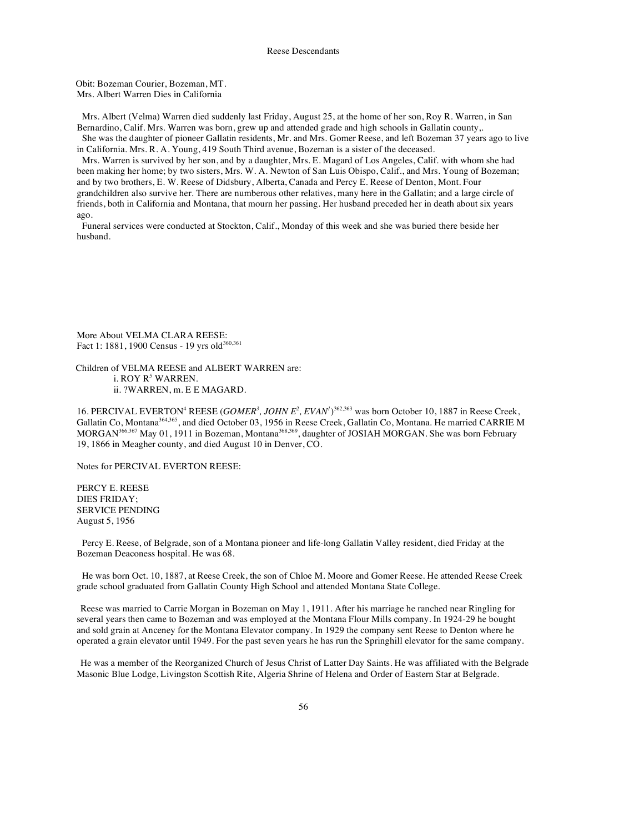Obit: Bozeman Courier, Bozeman, MT. Mrs. Albert Warren Dies in California

Mrs. Albert (Velma) Warren died suddenly last Friday, August 25, at the home of her son, Roy R. Warren, in San Bernardino, Calif. Mrs. Warren was born, grew up and attended grade and high schools in Gallatin county,. She was the daughter of pioneer Gallatin residents, Mr. and Mrs. Gomer Reese, and left Bozeman 37 years ago to live

in California. Mrs. R. A. Young, 419 South Third avenue, Bozeman is a sister of the deceased.

Mrs. Warren is survived by her son, and by a daughter, Mrs. E. Magard of Los Angeles, Calif. with whom she had been making her home; by two sisters, Mrs. W. A. Newton of San Luis Obispo, Calif., and Mrs. Young of Bozeman; and by two brothers, E. W. Reese of Didsbury, Alberta, Canada and Percy E. Reese of Denton, Mont. Four grandchildren also survive her. There are numberous other relatives, many here in the Gallatin; and a large circle of friends, both in California and Montana, that mourn her passing. Her husband preceded her in death about six years ago.

Funeral services were conducted at Stockton, Calif., Monday of this week and she was buried there beside her husband.

More About VELMA CLARA REESE: Fact 1: 1881, 1900 Census - 19 yrs old<sup>360,361</sup>

Children of VELMA REESE and ALBERT WARREN are: i. ROY R<sup>5</sup> WARREN. ii. ?WARREN, m. E E MAGARD.

16. PERCIVAL EVERTON<sup>4</sup> REESE (*GOMER<sup>3</sup>*, *JOHN E<sup>2</sup>*, *EVAN<sup>I</sup>*)<sup>362,363</sup> was born October 10, 1887 in Reese Creek, Gallatin Co, Montana<sup>364,365</sup>, and died October 03, 1956 in Reese Creek, Gallatin Co, Montana. He married CARRIE M MORGAN<sup>366,367</sup> May 01, 1911 in Bozeman, Montana<sup>368,369</sup>, daughter of JOSIAH MORGAN. She was born February 19, 1866 in Meagher county, and died August 10 in Denver, CO.

Notes for PERCIVAL EVERTON REESE:

PERCY E. REESE DIES FRIDAY; SERVICE PENDING August 5, 1956

Percy E. Reese, of Belgrade, son of a Montana pioneer and life-long Gallatin Valley resident, died Friday at the Bozeman Deaconess hospital. He was 68.

He was born Oct. 10, 1887, at Reese Creek, the son of Chloe M. Moore and Gomer Reese. He attended Reese Creek grade school graduated from Gallatin County High School and attended Montana State College.

Reese was married to Carrie Morgan in Bozeman on May 1, 1911. After his marriage he ranched near Ringling for several years then came to Bozeman and was employed at the Montana Flour Mills company. In 1924-29 he bought and sold grain at Anceney for the Montana Elevator company. In 1929 the company sent Reese to Denton where he operated a grain elevator until 1949. For the past seven years he has run the Springhill elevator for the same company.

He was a member of the Reorganized Church of Jesus Christ of Latter Day Saints. He was affiliated with the Belgrade Masonic Blue Lodge, Livingston Scottish Rite, Algeria Shrine of Helena and Order of Eastern Star at Belgrade.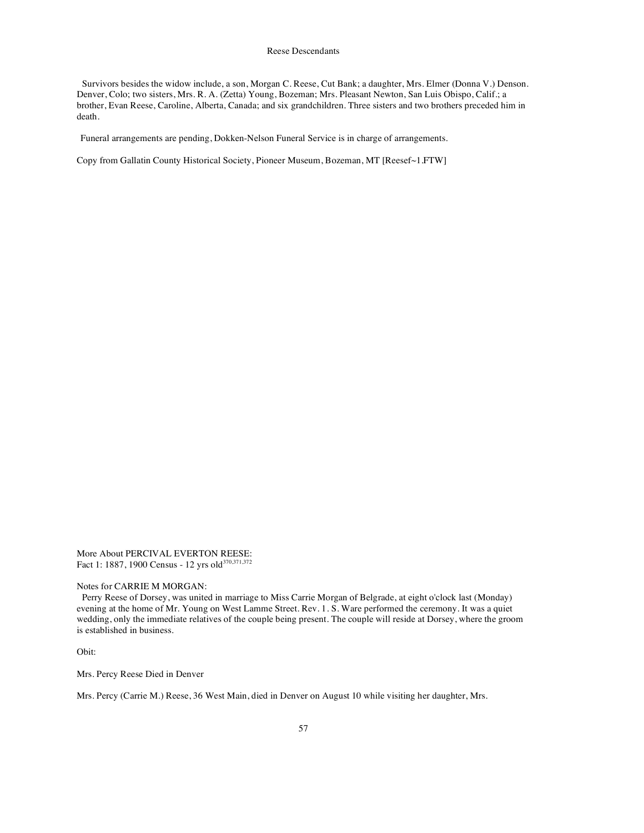Survivors besides the widow include, a son, Morgan C. Reese, Cut Bank; a daughter, Mrs. Elmer (Donna V.) Denson. Denver, Colo; two sisters, Mrs. R. A. (Zetta) Young, Bozeman; Mrs. Pleasant Newton, San Luis Obispo, Calif.; a brother, Evan Reese, Caroline, Alberta, Canada; and six grandchildren. Three sisters and two brothers preceded him in death.

Funeral arrangements are pending, Dokken-Nelson Funeral Service is in charge of arrangements.

Copy from Gallatin County Historical Society, Pioneer Museum, Bozeman, MT [Reesef~1.FTW]

More About PERCIVAL EVERTON REESE: Fact 1: 1887, 1900 Census - 12 yrs old<sup>370,371,372</sup>

Notes for CARRIE M MORGAN:

Perry Reese of Dorsey, was united in marriage to Miss Carrie Morgan of Belgrade, at eight o'clock last (Monday) evening at the home of Mr. Young on West Lamme Street. Rev. 1. S. Ware performed the ceremony. It was a quiet wedding, only the immediate relatives of the couple being present. The couple will reside at Dorsey, where the groom is established in business.

Obit:

Mrs. Percy Reese Died in Denver

Mrs. Percy (Carrie M.) Reese, 36 West Main, died in Denver on August 10 while visiting her daughter, Mrs.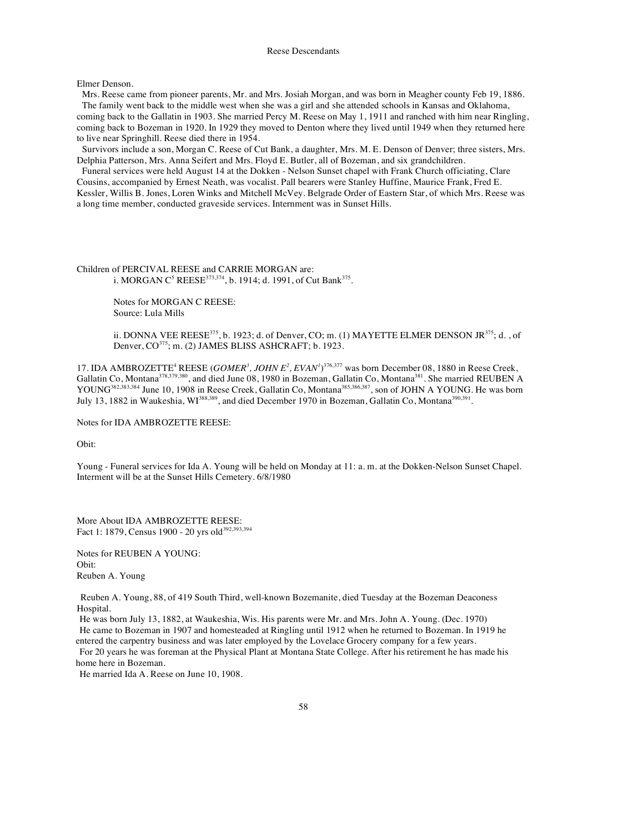Elmer Denson.

Mrs. Reese came from pioneer parents, Mr. and Mrs. Josiah Morgan, and was born in Meagher county Feb 19, 1886. The family went back to the middle west when she was a girl and she attended schools in Kansas and Oklahoma, coming back to the Gallatin in 1903. She married Percy M. Reese on May 1, 1911 and ranched with him near Ringling, coming back to Bozeman in 1920. In 1929 they moved to Denton where they lived until 1949 when they returned here to live near Springhill. Reese died there in 1954.

Survivors include a son, Morgan C. Reese of Cut Bank, a daughter, Mrs. M. E. Denson of Denver; three sisters, Mrs. Delphia Patterson, Mrs. Anna Seifert and Mrs. Floyd E. Butler, all of Bozeman, and six grandchildren.

Funeral services were held August 14 at the Dokken - Nelson Sunset chapel with Frank Church officiating, Clare Cousins, accompanied by Ernest Neath, was vocalist. Pall bearers were Stanley Huffine, Maurice Frank, Fred E. Kessler, Willis B. Jones, Loren Winks and Mitchell McVey. Belgrade Order of Eastern Star, of which Mrs. Reese was a long time member, conducted graveside services. Internment was in Sunset Hills.

Children of PERCIVAL REESE and CARRIE MORGAN are: i. MORGAN C<sup>5</sup> REESE<sup>373,374</sup>, b. 1914; d. 1991, of Cut Bank<sup>375</sup>.

> Notes for MORGAN C REESE: Source: Lula Mills

ii. DONNA VEE REESE $3^{75}$ , b. 1923; d. of Denver, CO; m. (1) MAYETTE ELMER DENSON JR $3^{75}$ ; d. , of Denver, CO<sup>375</sup>; m. (2) JAMES BLISS ASHCRAFT; b. 1923.

17. IDA AMBROZETTE<sup>4</sup> REESE (*GOMER<sup>3</sup>*, *JOHN E<sup>2</sup>*, *EVAN<sup>1</sup>*)<sup>376,377</sup> was born December 08, 1880 in Reese Creek, Gallatin Co, Montana<sup>378,379,380</sup>, and died June 08, 1980 in Bozeman, Gallatin Co, Montana<sup>381</sup>. She married REUBEN A YOUNG<sup>382,383,384</sup> June 10, 1908 in Reese Creek, Gallatin Co, Montana<sup>385,386,387</sup>, son of JOHN A YOUNG. He was born July 13, 1882 in Waukeshia, WI<sup>388,389</sup>, and died December 1970 in Bozeman, Gallatin Co, Montana<sup>390,391</sup>.

Notes for IDA AMBROZETTE REESE:

Obit:

Young - Funeral services for Ida A. Young will be held on Monday at 11: a. m. at the Dokken-Nelson Sunset Chapel. Interment will be at the Sunset Hills Cemetery. 6/8/1980

More About IDA AMBROZETTE REESE: Fact 1: 1879, Census 1900 - 20 yrs old<sup>392,393,394</sup>

Notes for REUBEN A YOUNG: Obit: Reuben A. Young

Reuben A. Young, 88, of 419 South Third, well-known Bozemanite, died Tuesday at the Bozeman Deaconess Hospital.

He was born July 13, 1882, at Waukeshia, Wis. His parents were Mr. and Mrs. John A. Young. (Dec. 1970) He came to Bozeman in 1907 and homesteaded at Ringling until 1912 when he returned to Bozeman. In 1919 he

entered the carpentry business and was later employed by the Lovelace Grocery company for a few years. For 20 years he was foreman at the Physical Plant at Montana State College. After his retirement he has made his

home here in Bozeman.

He married Ida A. Reese on June 10, 1908.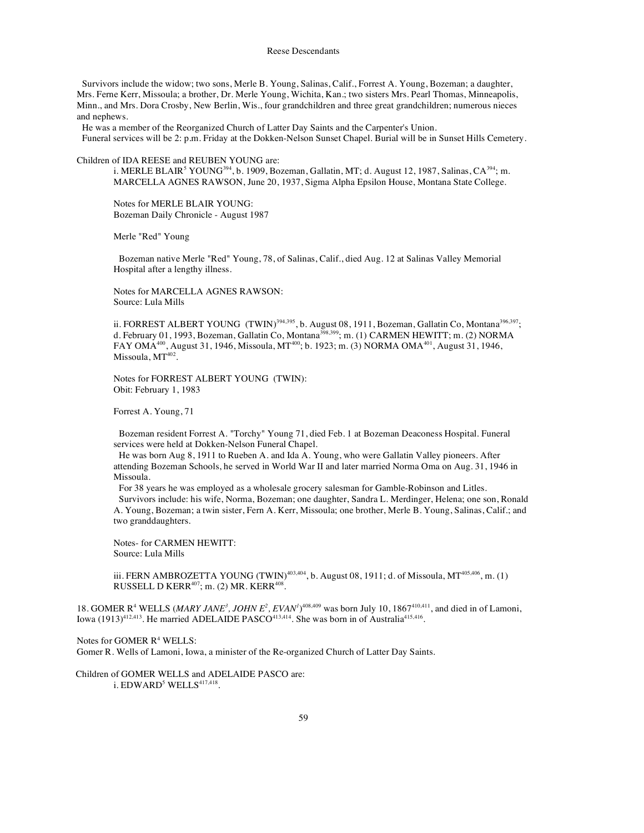Survivors include the widow; two sons, Merle B. Young, Salinas, Calif., Forrest A. Young, Bozeman; a daughter, Mrs. Ferne Kerr, Missoula; a brother, Dr. Merle Young, Wichita, Kan.; two sisters Mrs. Pearl Thomas, Minneapolis, Minn., and Mrs. Dora Crosby, New Berlin, Wis., four grandchildren and three great grandchildren; numerous nieces and nephews.

He was a member of the Reorganized Church of Latter Day Saints and the Carpenter's Union. Funeral services will be 2: p.m. Friday at the Dokken-Nelson Sunset Chapel. Burial will be in Sunset Hills Cemetery.

Children of IDA REESE and REUBEN YOUNG are:

i. MERLE BLAIR<sup>5</sup> YOUNG<sup>394</sup>, b. 1909, Bozeman, Gallatin, MT; d. August 12, 1987, Salinas, CA<sup>394</sup>; m. MARCELLA AGNES RAWSON, June 20, 1937, Sigma Alpha Epsilon House, Montana State College.

Notes for MERLE BLAIR YOUNG: Bozeman Daily Chronicle - August 1987

Merle "Red" Young

Bozeman native Merle "Red" Young, 78, of Salinas, Calif., died Aug. 12 at Salinas Valley Memorial Hospital after a lengthy illness.

Notes for MARCELLA AGNES RAWSON: Source: Lula Mills

ii. FORREST ALBERT YOUNG (TWIN)<sup>394,395</sup>, b. August 08, 1911, Bozeman, Gallatin Co, Montana<sup>396,397</sup>; d. February 01, 1993, Bozeman, Gallatin Co, Montana<sup>398,399</sup>; m. (1) CARMEN HEWITT; m. (2) NORMA FAY OMA<sup>400</sup>, August 31, 1946, Missoula, MT<sup>400</sup>; b. 1923; m. (3) NORMA OMA<sup>401</sup>, August 31, 1946, Missoula, MT402.

Notes for FORREST ALBERT YOUNG (TWIN): Obit: February 1, 1983

Forrest A. Young, 71

Bozeman resident Forrest A. "Torchy" Young 71, died Feb. 1 at Bozeman Deaconess Hospital. Funeral services were held at Dokken-Nelson Funeral Chapel.

He was born Aug 8, 1911 to Rueben A. and Ida A. Young, who were Gallatin Valley pioneers. After attending Bozeman Schools, he served in World War II and later married Norma Oma on Aug. 31, 1946 in Missoula.

For 38 years he was employed as a wholesale grocery salesman for Gamble-Robinson and Litles.

Survivors include: his wife, Norma, Bozeman; one daughter, Sandra L. Merdinger, Helena; one son, Ronald A. Young, Bozeman; a twin sister, Fern A. Kerr, Missoula; one brother, Merle B. Young, Salinas, Calif.; and two granddaughters.

Notes- for CARMEN HEWITT: Source: Lula Mills

iii. FERN AMBROZETTA YOUNG  $(TWIN)^{403,404}$ , b. August 08, 1911; d. of Missoula, MT<sup>405,406</sup>, m. (1) RUSSELL D KERR $407$ ; m. (2) MR. KERR $408$ .

18. GOMER R<sup>4</sup> WELLS (*MARY JANE<sup>3</sup>*, *JOHN E<sup>2</sup>*, *EVAN<sup>I</sup>*)<sup>408,409</sup> was born July 10, 1867<sup>410,411</sup>, and died in of Lamoni, Iowa (1913)<sup>412,413</sup>. He married ADELAIDE PASCO<sup>413,414</sup>. She was born in of Australia<sup>415,416</sup>.

Notes for GOMER R<sup>4</sup> WELLS: Gomer R. Wells of Lamoni, Iowa, a minister of the Re-organized Church of Latter Day Saints.

Children of GOMER WELLS and ADELAIDE PASCO are: i.  $EDWARD<sup>5</sup> WELLS<sup>417,418</sup>$ .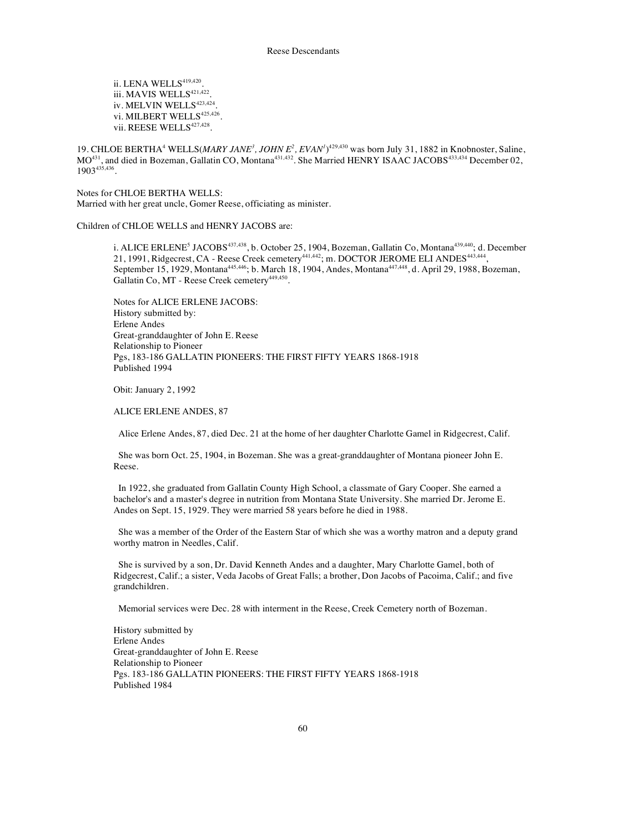ii. LENA WELLS<sup>419,420</sup>. iii. MAVIS WELLS $421,422$ . iv. MELVIN WELLS $423,424$ . vi. MILBERT WELLS<sup>425,426</sup>. vii. REESE WELLS<sup>427,428</sup>.

19. CHLOE BERTHA<sup>4</sup> WELLS(*MARY JANE<sup>3</sup>*, *JOHN E<sup>2</sup>*, *EVAN<sup>1</sup>*<sup>129,430</sup> was born July 31, 1882 in Knobnoster, Saline,  $MO^{431}$ , and died in Bozeman, Gallatin CO, Montana<sup>431,432</sup>. She Married HENRY ISAAC JACOBS<sup>433,434</sup> December 02, 1903435,436.

Notes for CHLOE BERTHA WELLS: Married with her great uncle, Gomer Reese, officiating as minister.

Children of CHLOE WELLS and HENRY JACOBS are:

i. ALICE ERLENE<sup>5</sup> JACOBS<sup>437,438</sup>, b. October 25, 1904, Bozeman, Gallatin Co, Montana<sup>439,440</sup>; d. December 21, 1991, Ridgecrest, CA - Reese Creek cemetery<sup>441,442</sup>; m. DOCTOR JEROME ELI ANDES<sup>443,444</sup>, September 15, 1929, Montana445,446; b. March 18, 1904, Andes, Montana447,448, d. April 29, 1988, Bozeman, Gallatin Co, MT - Reese Creek cemetery<sup>449,450</sup>.

Notes for ALICE ERLENE JACOBS: History submitted by: Erlene Andes Great-granddaughter of John E. Reese Relationship to Pioneer Pgs, 183-186 GALLATIN PIONEERS: THE FIRST FIFTY YEARS 1868-1918 Published 1994

Obit: January 2, 1992

ALICE ERLENE ANDES, 87

Alice Erlene Andes, 87, died Dec. 21 at the home of her daughter Charlotte Gamel in Ridgecrest, Calif.

She was born Oct. 25, 1904, in Bozeman. She was a great-granddaughter of Montana pioneer John E. Reese.

In 1922, she graduated from Gallatin County High School, a classmate of Gary Cooper. She earned a bachelor's and a master's degree in nutrition from Montana State University. She married Dr. Jerome E. Andes on Sept. 15, 1929. They were married 58 years before he died in 1988.

She was a member of the Order of the Eastern Star of which she was a worthy matron and a deputy grand worthy matron in Needles, Calif.

She is survived by a son, Dr. David Kenneth Andes and a daughter, Mary Charlotte Gamel, both of Ridgecrest, Calif.; a sister, Veda Jacobs of Great Falls; a brother, Don Jacobs of Pacoima, Calif.; and five grandchildren.

Memorial services were Dec. 28 with interment in the Reese, Creek Cemetery north of Bozeman.

History submitted by Erlene Andes Great-granddaughter of John E. Reese Relationship to Pioneer Pgs. 183-186 GALLATIN PIONEERS: THE FIRST FIFTY YEARS 1868-1918 Published 1984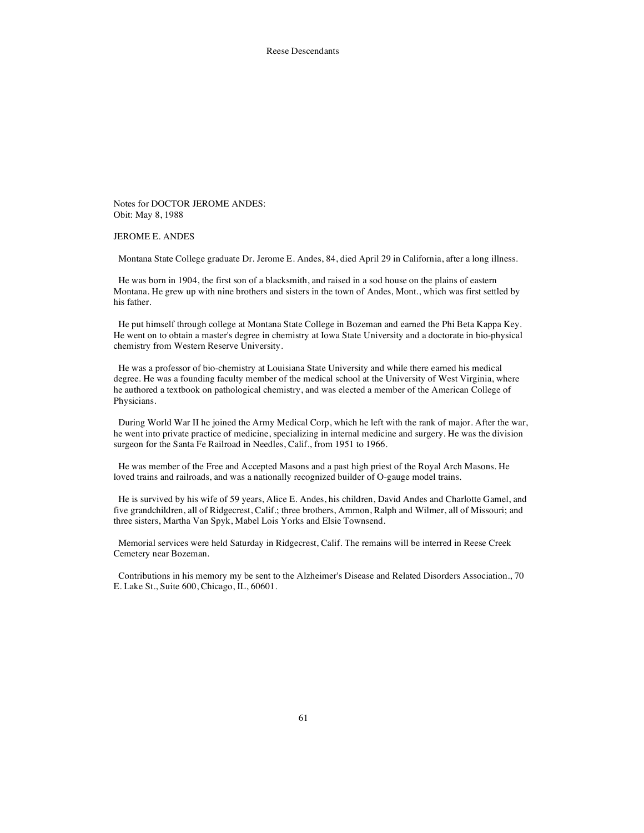Notes for DOCTOR JEROME ANDES: Obit: May 8, 1988

JEROME E. ANDES

Montana State College graduate Dr. Jerome E. Andes, 84, died April 29 in California, after a long illness.

He was born in 1904, the first son of a blacksmith, and raised in a sod house on the plains of eastern Montana. He grew up with nine brothers and sisters in the town of Andes, Mont., which was first settled by his father.

He put himself through college at Montana State College in Bozeman and earned the Phi Beta Kappa Key. He went on to obtain a master's degree in chemistry at Iowa State University and a doctorate in bio-physical chemistry from Western Reserve University.

He was a professor of bio-chemistry at Louisiana State University and while there earned his medical degree. He was a founding faculty member of the medical school at the University of West Virginia, where he authored a textbook on pathological chemistry, and was elected a member of the American College of Physicians.

During World War II he joined the Army Medical Corp, which he left with the rank of major. After the war, he went into private practice of medicine, specializing in internal medicine and surgery. He was the division surgeon for the Santa Fe Railroad in Needles, Calif., from 1951 to 1966.

He was member of the Free and Accepted Masons and a past high priest of the Royal Arch Masons. He loved trains and railroads, and was a nationally recognized builder of O-gauge model trains.

He is survived by his wife of 59 years, Alice E. Andes, his children, David Andes and Charlotte Gamel, and five grandchildren, all of Ridgecrest, Calif.; three brothers, Ammon, Ralph and Wilmer, all of Missouri; and three sisters, Martha Van Spyk, Mabel Lois Yorks and Elsie Townsend.

Memorial services were held Saturday in Ridgecrest, Calif. The remains will be interred in Reese Creek Cemetery near Bozeman.

Contributions in his memory my be sent to the Alzheimer's Disease and Related Disorders Association., 70 E. Lake St., Suite 600, Chicago, IL, 60601.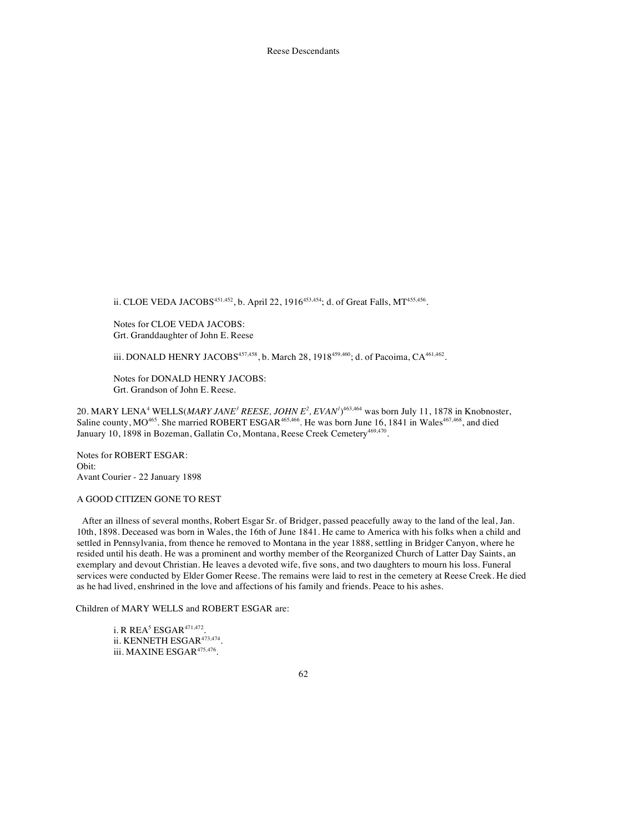ii. CLOE VEDA JACOBS<sup>451,452</sup>, b. April 22, 1916<sup>453,454</sup>; d. of Great Falls, MT<sup>455,456</sup>.

Notes for CLOE VEDA JACOBS: Grt. Granddaughter of John E. Reese

iii. DONALD HENRY JACOBS<sup>457,458</sup>, b. March 28, 1918<sup>459,460</sup>; d. of Pacoima, CA<sup>461,462</sup>.

Notes for DONALD HENRY JACOBS: Grt. Grandson of John E. Reese.

20. MARY LENA<sup>4</sup> WELLS(*MARY JANE<sup>3</sup> REESE, JOHN E<sup>2</sup>, EVAN<sup><i>I*</sup>)<sup>463,464</sup> was born July 11, 1878 in Knobnoster, Saline county, MO<sup>465</sup>. She married ROBERT ESGAR<sup>465,466</sup>. He was born June 16, 1841 in Wales<sup>467,468</sup>, and died January 10, 1898 in Bozeman, Gallatin Co, Montana, Reese Creek Cemetery<sup>469,470</sup>.

Notes for ROBERT ESGAR: Obit: Avant Courier - 22 January 1898

## A GOOD CITIZEN GONE TO REST

After an illness of several months, Robert Esgar Sr. of Bridger, passed peacefully away to the land of the leal, Jan. 10th, 1898. Deceased was born in Wales, the 16th of June 1841. He came to America with his folks when a child and settled in Pennsylvania, from thence he removed to Montana in the year 1888, settling in Bridger Canyon, where he resided until his death. He was a prominent and worthy member of the Reorganized Church of Latter Day Saints, an exemplary and devout Christian. He leaves a devoted wife, five sons, and two daughters to mourn his loss. Funeral services were conducted by Elder Gomer Reese. The remains were laid to rest in the cemetery at Reese Creek. He died as he had lived, enshrined in the love and affections of his family and friends. Peace to his ashes.

Children of MARY WELLS and ROBERT ESGAR are:

i. R $R$   $R$   $E$   $A$ <sup>5</sup> $E$   $S$   $G$   $AR$ <sup> $471,472$ </sup>. ii. KENNETH ESGAR<sup>473,474</sup>. iii. MAXINE ESGAR $^{475,476}.$